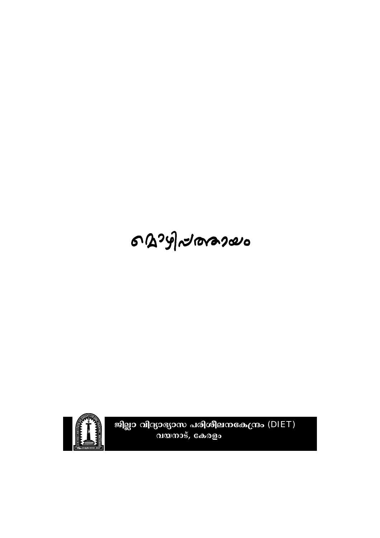# 6 B 24 2 10 ras 2000



ജില്ലാ വിദ്യാഭ്യാസ പരിശീലനകേന്ദ്രം (DIET)<br>വയനാട്, കേരളം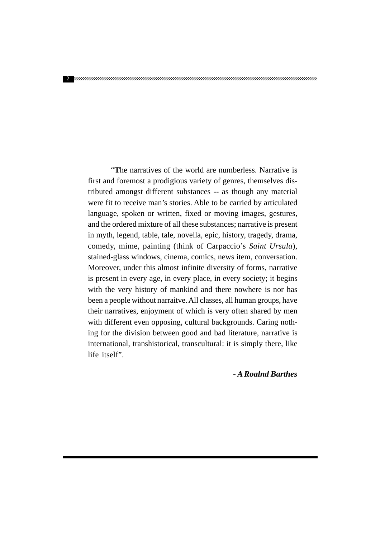"The narratives of the world are numberless. Narrative is first and foremost a prodigious variety of genres, themselves distributed amongst different substances -- as though any material were fit to receive man's stories. Able to be carried by articulated language, spoken or written, fixed or moving images, gestures, and the ordered mixture of all these substances; narrative is present in myth, legend, table, tale, novella, epic, history, tragedy, drama, comedy, mime, painting (think of Carpaccio's Saint Ursula), stained-glass windows, cinema, comics, news item, conversation. Moreover, under this almost infinite diversity of forms, narrative is present in every age, in every place, in every society; it begins with the very history of mankind and there nowhere is nor has been a people without narraitve. All classes, all human groups, have their narratives, enjoyment of which is very often shared by men with different even opposing, cultural backgrounds. Caring nothing for the division between good and bad literature, narrative is international, transhistorical, transcultural: it is simply there, like life itself".

- A Roalnd Barthes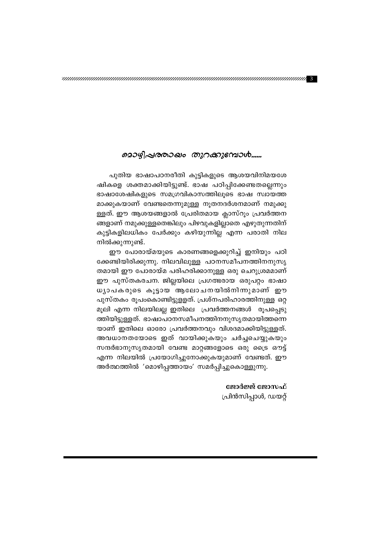### മൊഴിപ്രരരാഖം തുറക്കുമ്പോൾ......

പുതിയ ഭാഷാപഠനരീതി കുട്ടികളുടെ ആശയവിനിമയശേ ഷികളെ ശക്തമാക്കിയിട്ടുണ്ട്. ഭാഷ പഠിപ്പിക്കേണ്ടതല്ലെന്നും ഭാഷാശേഷികളുടെ സമഗ്രവികാസത്തിലൂടെ ഭാഷ സ്വായത്ത മാക്കുകയാണ് വേണ്ടതെന്നുമുള്ള നൂതനദർശനമാണ് നമുക്കു ള്ളത്. ഈ ആശയങ്ങളാൽ പ്രേരിതമായ ക്ലാസ്റും പ്രവർത്തന ങ്ങളാണ് നമുക്കുള്ളതെങ്കിലും പിഴവുകളില്ലാതെ എഴുതുന്നതിന് കുട്ടികളിലധികം പേർക്കും കഴിയുന്നില്ല എന്ന പരാതി നില നിൽക്കുന്നുണ്ട്.

ഈ പോരായ്മയുടെ കാരണങ്ങളെക്കുറിച്ച് ഇനിയും പഠി ക്കേണ്ടിയിരിക്കുന്നു. നിലവിലുള്ള പഠനസമീപനത്തിനനുസൃ തമായി ഈ പോരായ്മ പരിഹരിക്കാനുള്ള ഒരു ചെറുശ്രമമാണ് ഈ പുസ്തകരചന. ജില്ലയിലെ പ്രഗത്ഭരായ ഒരുപറ്റം ഭാഷാ ധ്യാപകരുടെ കൂട്ടായ ആലോചനയിൽനിന്നുമാണ് ഈ പുസ്തകം രൂപംകൊണ്ടിട്ടുളളത്. പ്രശ്നപരിഹാരത്തിനുള്ള ഒറ്റ മൂലി എന്ന നിലയിലല്ല ഇതിലെ പ്രവർത്തനങ്ങൾ രൂപപ്പെടു ത്തിയിട്ടുള്ളത്. ഭാഷാപഠനസമീപനത്തിനനുസൃതമായിത്തന്നെ യാണ് ഇതിലെ ഓരോ പ്രവർത്തനവും വിശദമാക്കിയിട്ടുള്ളത്. അവധാനതയോടെ ഇത് വായിക്കുകയും ചർച്ചചെയ്യുകയും സന്ദർഭാനുസൃതമായി വേണ്ട മാറ്റങ്ങളോടെ ഒരു ട്രൈ ഔട്ട് എന്ന നിലയിൽ പ്രയോഗിച്ചുനോക്കുകയുമാണ് വേണ്ടത്. ഈ അർത്ഥത്തിൽ 'മൊഴിപ്പത്തായം' സമർപ്പിച്ചുകൊള്ളുന്നു.

### ജോർജ്ജ് ജോസഫ്

പ്രിൻസിപ്പാൾ, ഡയറ്റ്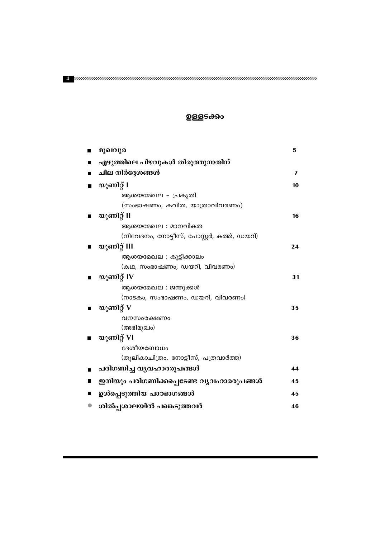| മുഖവുര                                     | 5  |
|--------------------------------------------|----|
| എഴുത്തിലെ പിഴവുകൾ തിരുത്തുന്നതിന്          |    |
| ചില നിർദ്ദേശങ്ങൾ                           | 7  |
| യൂണിറ്റ് I                                 | 10 |
| ആശയമേഖല - പ്രകൃതി                          |    |
| (സംഭാഷണം, കവിത, യാത്രാവിവരണം)              |    |
| യൂണിറ്റ് II                                | 16 |
|                                            |    |
| ആശയമേഖല : മാനവികത                          |    |
| (നിവേദനം, നോട്ടീസ്, പോസ്റ്റർ, കത്ത്, ഡയറി) |    |
| യൂണിറ്റ് III                               | 24 |
| ആശയമേഖല : കുട്ടിക്കാലം                     |    |
| (കഥ, സംഭാഷണം, ഡയറി, വിവരണം)                |    |
| യൂണിറ്റ് IV                                | 31 |
| ആശയമേഖല : ജന്തുക്കൾ                        |    |
| (നാടകം, സംഭാഷണം, ഡയറി, വിവരണം)             |    |
| യൂണിറ്റ് $V$                               | 35 |
| വനസംരക്ഷണം                                 |    |
| (അഭിമുഖം)                                  |    |
| യൂണിറ്റ് VI<br>Ш                           | 36 |
| ദേശീയബോധം                                  |    |
| (തൂലികാചിത്രം, നോട്ടീസ്, പത്രവാർത്ത)       |    |
| പരിഗണിച്ച വൃവഹാരരൂപങ്ങൾ                    | 44 |
| ഇനിയും പരിഗണിക്കപ്പെടേണ്ട വ്യവഹാരരൂപങ്ങൾ   | 45 |
| ഉൾപ്പെടുത്തിയ പാഠഭാഗങ്ങൾ                   | 45 |
| ശിൽപ്പശാലയിൽ പങ്കെടുത്തവർ                  | 46 |

### ഉള്ളടക്കം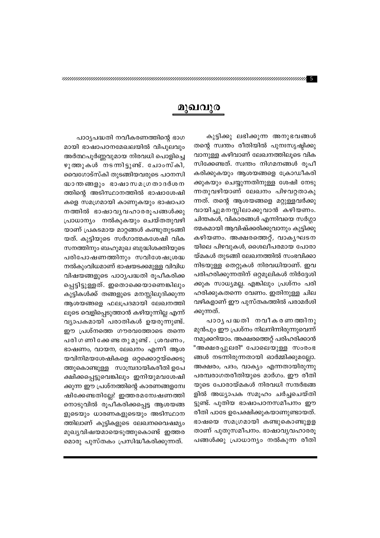### മുഖവുര

കുട്ടിക്കു ലഭിക്കുന്ന അനുഭവങ്ങൾ തന്റെ സ്വന്തം രീതിയിൽ പുനഃസൃഷ്ടിക്കു വാനുള്ള കഴിവാണ് ലേഖനത്തിലൂടെ വിക സിക്കേണ്ടത്. സ്വന്തം നിഗമനങ്ങൾ രൂപീ കരിക്കുകയും ആശയങ്ങളെ ക്രോഡീകരി ക്കുകയും ചെയ്യുന്നതിനുള്ള ശേഷി നേടു ന്നതുവഴിയാണ് ലേഖനം പിഴവറ്റതാകു ന്നത്. തന്റെ ആശയങ്ങളെ മറ്റുള്ളവർക്കു വായിച്ചുമനസ്സിലാക്കുവാൻ കഴിയണം. ചിന്തകൾ, വികാരങ്ങൾ എന്നിവയെ സർഗ്ഗാ ത്മകമായി ആവിഷ്ക്കരിക്കുവാനും കുട്ടിക്കു കഴിയണം. അക്ഷരത്തെറ്റ്, വാകൃഘടന യിലെ പിഴവുകൾ, ശൈലീപരമായ പോരാ യ്മകൾ തുടങ്ങി ലേഖനത്തിൽ സംഭവിക്കാ നിടയുള്ള തെറ്റുകൾ നിരവധിയാണ്. ഇവ പരിഹരിക്കുന്നതിന് ഒറ്റമൂലികൾ നിർദ്ദേശി ക്കുക സാധ്യമല്ല. എങ്കിലും പ്രശ്നം പരി ഹരിക്കുകതന്നെ വേണം. ഇതിനുള്ള ചില വഴികളാണ് ഈ പുസ്തകത്തിൽ പരാമർശി ക്കുന്നത്.

പാഠൃപദ്ധതി നവീകരണത്തിനു മുൻപും ഈ പ്രശ്നം നിലനിന്നിരുന്നുവെന്ന് നമുക്കറിയാം. അക്ഷരത്തെറ്റ് പരിഹരിക്കാൻ "അക്ഷരപ്പുലരി" പോലെയുള്ള സംരംഭ ങ്ങൾ നടന്നിരുന്നതായി ഓർമ്മിക്കുമല്ലോ. അക്ഷരം, പദം, വാക്യം എന്നതായിരുന്നു പരമ്പരാഗതരീതിയുടെ മാർഗം. ഈ രീതി യുടെ പോരായ്മകൾ നിരവധി സന്ദർഭങ്ങ ളിൽ അധ്യാപക സമൂഹം ചർച്ചചെയ്തി ട്ടുണ്ട്. പുതിയ ഭാഷാപഠനസമീപനം ഈ രീതി പാടേ ഉപേക്ഷിക്കുകയാണുണ്ടായത്. ഭാഷയെ സമഗ്രമായി കണ്ടുകൊണ്ടുളള താണ് പുതുസമീപനം. ഭാഷാവൃവഹാരരൂ പങ്ങൾക്കു പ്രാധാന്യം നൽകുന്ന രീതി

പാഠ്യപദ്ധതി നവീകരണത്തിന്റെ ഭാഗ മായി ഭാഷാപഠനമേഖലയിൽ വിപുലവും അർത്ഥപൂർണ്ണവുമായ നിരവധി പൊളിച്ചെ ഴുത്തുകൾ നടന്നിട്ടുണ്ട്. ചോംസ്കി, വൈഗോട്സ്കി തുടങ്ങിയവരുടെ പഠനസി ദ്ധാന്തങ്ങളും ഭാഷാസമഗ്രതാദർശന ത്തിന്റെ അടിസ്ഥാനത്തിൽ ഭാഷാശേഷി കളെ സമഗ്രമായി കാണുകയും ഭാഷാപഠ നത്തിൽ ഭാഷാവൃവഹാരരൂപങ്ങൾക്കു പ്രാധാന്യം നൽകുകയും ചെയ്തതുവഴി യാണ് പ്രകടമായ മാറ്റങ്ങൾ കണ്ടുതുടങ്ങി യത്. കുട്ടിയുടെ സർഗാത്മകശേഷി വിക സനത്തിനും ബഹുമുഖ ബുദ്ധിശക്തിയുടെ പരിപോഷണത്തിനും സവിശേഷശ്രദ്ധ നൽകുംവിധമാണ് ഭാഷയടക്കമുള്ള വിവിധ വിഷയങ്ങളുടെ പാഠൃപദ്ധതി രൂപീകരിക്ക പ്പെട്ടിട്ടുള്ളത്. ഇതൊക്കെയാണെങ്കിലും കുട്ടികൾക്ക് തങ്ങളുടെ മനസ്സിലുദിക്കുന്ന ആശയങ്ങളെ ഫലപ്രദമായി ലേഖനത്തി ലൂടെ വെളിപ്പെടുത്താൻ കഴിയുന്നില്ല എന്ന് വ്യാപകമായി പരാതികൾ ഉയരുന്നുണ്ട്. ഈ പ്രശ്നത്തെ ഗൗരവത്തോടെ തന്നെ പരിഗണിക്കേണ്ടതുമുണ്ട്. ശ്രവണം, ഭാഷണം, വായന, ലേഖനം എന്നീ ആശ യവിനിമയശേഷികളെ ഒറ്റക്കൊറ്റയ്ക്കെടു ത്തുകൊണ്ടുള്ള സാമ്പ്രദായികരീതി ഉപേ ക്ഷിക്കപ്പെട്ടുവെങ്കിലും ഇനിയുമവശേഷി ക്കുന്ന ഈ പ്രശ്നത്തിന്റെ കാരണങ്ങളന്വേ ഷിക്കേണ്ടതില്ലേ? ഇത്തരമന്വേഷണത്തി നൊടുവിൽ രൂപീകരിക്കപ്പെട്ട ആശയങ്ങ ളുടെയും ധാരണകളുടെയും അടിസ്ഥാന ത്തിലാണ് കുട്ടികളുടെ ലേഖനവൈഷമ്യം മുഖ്യവിഷയമായെടുത്തുകൊണ്ട് ഇത്തര മൊരു പുസ്തകം പ്രസിദ്ധീകരിക്കുന്നത്.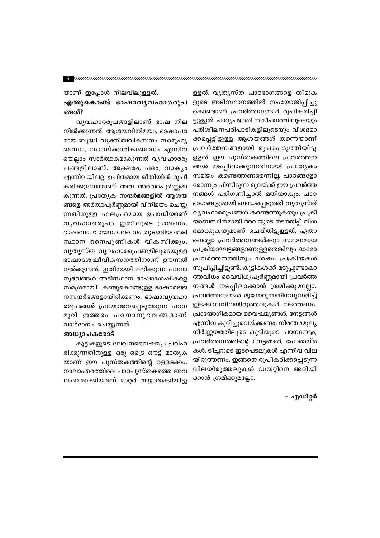യാണ് ഇപ്പോൾ നിലവിലുള്ളത്. എന്തുകൊണ്ട് ഭാഷാവൃവഹാരരൂപ ങ്ങൾ?

വ്യവഹാരരൂപങ്ങളിലാണ് ഭാഷ നില നിൽക്കുന്നത്. ആശയവിനിമയം, ഭാഷാപര മായ ബുദ്ധി, വ്യക്തിത്വവികസനം, സാമൂഹ്യ ബന്ധം, സാംസ്ക്കാരികബോധം എന്നിവ യെല്ലാം സാർത്ഥകമാകുന്നത് വ്യവഹാരരു പങ്ങളിലാണ്. അക്ഷരം, പദം, വാകൃം എന്നിവയിലല്ല ഉചിതമായ രീതിയിൽ രൂപീ കരിക്കുമ്പോഴാണ് അവ അർത്ഥപൂർണ്ണമാ കുന്നത്. പ്രത്യേക സന്ദർഭങ്ങളിൽ ആശയ ങ്ങളെ അർത്ഥപൂർണ്ണമായി വിനിമയം ചെയ്യു ന്നതിനുള്ള ഫലപ്രദമായ ഉപാധിയാണ് വൃവഹാരരൂപം. ഇതിലൂടെ ശ്രവണം, ഭാഷണം, വായന, ലേഖനം തുടങ്ങിയ അടി സ്ഥാന നൈപുണികൾ വികസിക്കും. വൃത്യസ്ത വൃവഹാരരൂപങ്ങളിലൂടെയുള്ള ഭാഷാശേഷീവികസനത്തിനാണ് ഊന്നൽ നൽകുന്നത്. ഇതിനായി ലഭിക്കുന്ന പഠനാ നുഭവങ്ങൾ അടിസ്ഥാന ഭാഷാശേഷികളെ സമഗ്രമായി കണ്ടുകൊണ്ടുള്ള ഭാഷാർജ്ജ നസന്ദർഭങ്ങളായിരിക്കണം. ഭാഷാവ്യവഹാ രരൂപങ്ങൾ പ്രയോജനപ്പെടുത്തുന്ന പഠന മുറി ഇത്തരം പഠനാനുഭവങ്ങളാണ് വാഗ്ദാനം ചെയ്യുന്നത്.

#### അധ്യാപകരോട്

കുട്ടികളുടെ ലേഖനവൈഷമ്യം പരിഹ രിക്കുന്നതിനുള്ള ഒരു ട്രൈ ഔട്ട് മാതൃക യാണ് ഈ പുസ്തകത്തിന്റെ ഉള്ളടക്കം. നാലാംതരത്തിലെ പാഠപുസ്തകത്തെ അവ ലംബമാക്കിയാണ് മാറ്റർ തയ്യാറാക്കിയിട്ടു

ള്ളത്. വൃത്യസ്ത പാഠഭാഗങ്ങളെ തീമുക ളുടെ അടിസ്ഥാനത്തിൽ സംയോജിപ്പിച്ചു കൊണ്ടാണ് പ്രവർത്തനങ്ങൾ രൂപീകരിച്ചി ട്ടുള്ളത്. പാഠൃപദ്ധതി സമീപനത്തിലൂടെയും പരിശീലനപരിപാടികളിലുടെയും വിശദമാ ക്കപ്പെട്ടിട്ടുള്ള ആശയങ്ങൾ തന്നെയാണ് പ്രവർത്തനങ്ങളായി രൂപപ്പെടുത്തിയിട്ടു ള്ളത്. ഈ പുസ്തകത്തിലെ പ്രവർത്തന ങ്ങൾ നടപ്പിലാക്കുന്നതിനായി പ്രത്യേകം സമയം കണ്ടെത്തണമെന്നില്ല. പാഠങ്ങളോ രോന്നും പിന്നിടുന്ന മുറയ്ക്ക് ഈ പ്രവർത്ത നങ്ങൾ പരിഗണിച്ചാൽ മതിയാകും. പാഠ ഭാഗങ്ങളുമായി ബന്ധപ്പെടുത്തി വൃതൃസ്ത് വ്യവഹാരരൂപങ്ങൾ കണ്ടെത്തുകയും പ്രക്രി യാബന്ധിതമായി അവയുടെ നടത്തിപ്പ് വിശ ദമാക്കുകയുമാണ് ചെയ്തിട്ടുള്ളത്. ഏതാ ണ്ടെല്ലാ പ്രവർത്തനങ്ങൾക്കും സമാനമായ പ്രക്രിയാഘട്ടങ്ങളാണുള്ളതെങ്കിലും ഓരോ പ്രവർത്തനത്തിനും ശേഷം പ്രക്രിയകൾ സൂചിപ്പിച്ചിട്ടുണ്ട്. കുട്ടികൾക്ക് മടുപ്പുണ്ടാകാ ത്തവിധം വൈവിധ്യപൂർണ്ണമായി പ്രവർത്ത നങ്ങൾ നടപ്പിലാക്കാൻ ശ്രമിക്കുമല്ലോ. പ്രവർത്തനങ്ങൾ മുന്നേറുന്നതിനനുസരിച്ച് ഇടക്കാലവിലയിരുത്തലുകൾ നടത്തണം. പ്രായോഗികമായ വൈഷമ്യങ്ങൾ, നേട്ടങ്ങൾ എന്നിവ കുറിച്ചുവെയ്ക്കണം. നിരന്തരമൂല്യ നിർണ്ണയത്തിലൂടെ കുട്ടിയുടെ പഠനനേട്ടം, പ്രവർത്തനത്തിന്റെ നേട്ടങ്ങൾ, പോരായ്മ കൾ, ടീച്ചറുടെ ഇടപെടലുകൾ എന്നിവ വില യിരുത്തണം. ഇങ്ങനെ രൂപീകരിക്കപ്പെടുന്ന വിലയിരുത്തലുകൾ ഡയറ്റിനെ അറിയി ക്കാൻ ശ്രമിക്കുമല്ലോ.

– എഡിറ്റർ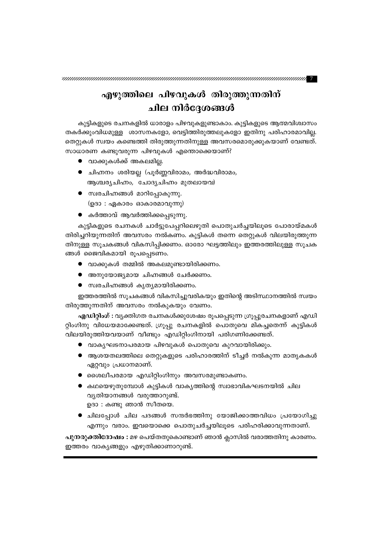, 1999), 1999, 1999, 1999, 1999, 1999, 1999, 1999, 1999, 1999, 1999, 1999, 1999, 1999, 1999, 1999, 1999, 1999, <br>1999, 1999, 1999, 1999, 1999, 1999, 1999, 1999, 1999, 1999, 1999, 1999, 1999, 1999, 1999, 1999, 1999, 1999, 1

### എഴുത്തിലെ പിഴവുകൾ തിരുത്തുന്നതിന് ചില നിർദേശങ്ങൾ

കുട്ടികളുടെ രചനകളിൽ ധാരാളം പിഴവുകളുണ്ടാകാം. കുട്ടികളുടെ ആത്മവിശ്വാസം തകർക്കുംവിധമുള്ള ശാസനകളോ, വെട്ടിത്തിരുത്തലുകളോ ഇതിനു പരിഹാരമാവില്ല. തെറ്റുകൾ സ്വയം കണ്ടെത്തി തിരുത്തുന്നതിനുള്ള അവസരമൊരുക്കുകയാണ് വേണ്ടത്. സാധാരണ കണ്ടുവരുന്ന പിഴവുകൾ എന്തൊക്കെയാണ്?

- വാക്കുകൾക്ക് അകലമില്ല.
- ചിഹ്നനം ശരിയല്ല (പൂർണ്ണവിരാമം, അർദ്ധവിരാമം, ആശ്ചര്യചിഹ്നം, ചോദ്യചിഹ്നം മുതലായവ)
- സ്വരചിഹ്നങ്ങൾ മാറിപ്പോകുന്നു. (ഉദാ : ഏകാരം ഓകാരമാവുന്നു)
- കർത്താവ് ആവർത്തിക്കപ്പെടുന്നു.

കുട്ടികളുടെ രചനകൾ ചാർട്ടുപേപ്പറിലെഴുതി പൊതുചർച്ചയിലൂടെ പോരായ്മകൾ തിരിച്ചറിയുന്നതിന് അവസരം നൽകണം. കുട്ടികൾ തന്നെ തെറ്റുകൾ വിലയിരുത്തുന്ന തിനുള്ള സൂചകങ്ങൾ വികസിപ്പിക്കണം. ഓരോ ഘട്ടത്തിലും ഇത്തരത്തിലുള്ള സൂചക ങ്ങൾ ജൈവികമായി രൂപപ്പെടണം.

- വാക്കുകൾ തമ്മിൽ അകലമുണ്ടായിരിക്കണം.
- അനുയോജ്യമായ ചിഹ്നങ്ങൾ ചേർക്കണം.
- സ്വരചിഹ്നങ്ങൾ കൃത്യമായിരിക്കണം.

ഇത്തരത്തിൽ സൂചകങ്ങൾ വികസിച്ചുവരികയും ഇതിന്റെ അടിസ്ഥാനത്തിൽ സ്വയം തിരുത്തുന്നതിന് അവസരം നൽകുകയും വേണം.

എഡിറ്റിംഗ് : വ്യക്തിഗത രചനകൾക്കുശേഷം രൂപപ്പെടുന്ന ഗ്രൂപ്പുരചനകളാണ് എഡി റ്റിംഗിനു വിധേയമാക്കേണ്ടത്. ഗ്രൂപ്പു രചനകളിൽ പൊതുവെ മികച്ചതെന്ന് കുട്ടികൾ വിലയിരുത്തിയവയാണ് വീണ്ടും എഡിറ്റിംഗിനായി പരിഗണിക്കേണ്ടത്.

- വാകൃഘടനാപരമായ പിഴവുകൾ പൊതുവെ കുറവായിരിക്കും.
- $\bullet$  ആശയതലത്തിലെ തെറ്റുകളുടെ പരിഹാരത്തിന് ടീച്ചർ നൽകുന്ന മാതൃകകൾ ഏറ്റവും പ്രധാനമാണ്.
- $\bullet$  ശൈലീപരമായ എഡിറ്റിംഗിനും അവസരമുണ്ടാകണം.
- $\bullet$  കഥയെഴുതുമ്പോൾ കുട്ടികൾ വാകൃത്തിന്റെ സ്വാഭാവികഘടനയിൽ ചില വ്യതിയാനങ്ങൾ വരുത്താറുണ്ട്. ഉദാ : കണ്ടു ഞാൻ സീതയെ.
- $\bullet$  ചിലപ്പോൾ ചില പദങ്ങൾ സന്ദർഭത്തിനു യോജിക്കാത്തവിധം പ്രയോഗിച്ചു എന്നും വരാം. ഇവയൊക്കെ പൊതുചർച്ചയിലൂടെ പരിഹരിക്കാവുന്നതാണ്.

പുനരുക്തിദോഷം : മഴ പെയ്തതുകൊണ്ടാണ് ഞാൻ ക്ലാസിൽ വരാത്തതിനു കാരണം. ഇത്തരം വാകൃങ്ങളും എഴുതിക്കാണാറുണ്ട്.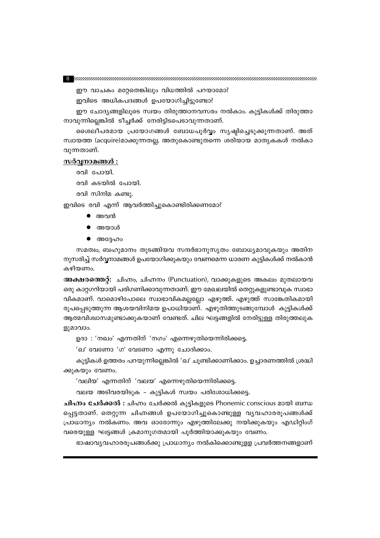ഈ വാചകം മറ്റേതെങ്കിലും വിധത്തിൽ പറയാമോ?

ഇവിടെ അധികപദങ്ങൾ ഉപയോഗിച്ചിട്ടുണ്ടോ?

ഈ ചോദ്യങ്ങളിലൂടെ സ്വയം തിരുത്താനവസരം നൽകാം. കുട്ടികൾക്ക് തിരുത്താ നാവുന്നില്ലെങ്കിൽ ടീച്ചർക്ക് നേരിട്ടിടപെടാവുന്നതാണ്.

ശൈലീപരമായ പ്രയോഗങ്ങൾ ബോധപൂർവ്വം സൃഷ്ടിച്ചെടുക്കുന്നതാണ്. അത് സ്ഥായത്ത (acquire)മാക്കുന്നതല്ല, അതുകൊണ്ടുതന്നെ ശരിയായ മാതൃകകൾ നൽകാ വുന്നതാണ്.

### <u>സർവ്വനാമങ്ങൾ :</u>

രവി ചോയി.

രവി കടയിൽ പോയി.

രവി സിനിമ കണ്ടു.

ഇവിടെ രവി എന്ന് ആവർത്തിച്ചുകൊണ്ടിരിക്കണമോ?

- അവൻ
- അയാൾ
- $\bullet$  അദ്ദേഹം

സമത്വം, ബഹുമാനം തുടങ്ങിയവ സന്ദർഭാനുസൃതം ബോധ്യമാവുകയും അതിന നുസരിച്ച് സർവ്വനാമങ്ങൾ ഉപയോഗിക്കുകയും വേണമെന്ന ധാരണ കുട്ടികൾക്ക് നൽകാൻ കഴിയണം.

അക്ഷരത്തെറ്റ്: ചിഹ്നം, ചിഹ്നനം (Punctuation), വാക്കുകളുടെ അകലം മുതലായവ ഒരു കാറ്റഗറിയായി പരിഗണിക്കാവുന്നതാണ്. ഈ മേഖലയിൽ തെറ്റുകളുണ്ടാവുക സ്വാഭാ വികമാണ്. വാമൊഴിപോലെ സ്വാഭാവികമല്ലല്ലോ എഴുത്ത്. എഴുത്ത് സാങ്കേതികമായി രൂപപ്പെടുത്തുന്ന ആശയവിനിമയ ഉപാധിയാണ്. എഴുതിത്തുടങ്ങുമ്പോൾ കുട്ടികൾക്ക് ആത്മവിശ്വാസമുണ്ടാക്കുകയാണ് വേണ്ടത്. ചില ഘട്ടങ്ങളിൽ നേരിട്ടുള്ള തിരുത്തലുക ളുമാവാം.

ഉദാ: 'നഖം' എന്നതിന് 'നഗം' എന്നെഴുതിയെന്നിരിക്കട്ടെ.

'ഖ' വേണോ 'ഗ' വേണോ എന്നു ചോദിക്കാം.

കുട്ടികൾ ഉത്തരം പറയുന്നില്ലെങ്കിൽ 'ഖ' ചൂണ്ടിക്കാണിക്കാം. ഉച്ചാരണത്തിൽ ശ്രദ്ധി ക്കുകയും വേണം.

'വലിയ' എന്നതിന് 'വലയ' എന്നെഴുതിയെന്നിരിക്കട്ടെ.

വലയ അടിവരയിടുക - കുട്ടികൾ സ്വയം പരിശോധിക്കട്ടെ.

**ചിഹ്നം ചേർക്കൽ :** ചിഹ്നം ചേർക്കൽ കുട്ടികളുടെ Phonemic conscious മായി ബന്ധ പ്പെട്ടതാണ്. തെറ്റുന്ന ചിഹ്നങ്ങൾ ഉപയോഗിച്ചുകൊണ്ടുള്ള വൃവഹാരരൂപങ്ങൾക്ക് പ്രാധാന്യം നൽകണം. അവ ഓരോന്നും എഴുത്തിലേക്കു നയിക്കുകയും എഡിറ്റിംഗ് വരെയുള്ള ഘട്ടങ്ങൾ ക്രമാനുഗതമായി പൂർത്തിയാക്കുകയും വേണം.

ഭാഷാവ്യവഹാരരൂപങ്ങൾക്കു പ്രാധാന്യം നൽകിക്കൊണ്ടുളള പ്രവർത്തനങ്ങളാണ്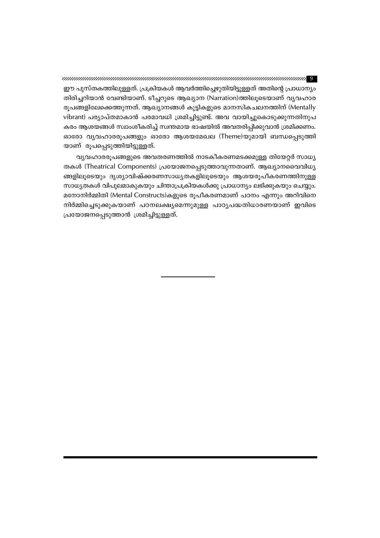, www.manuarumanuarumanuarumanuarumanuarumanuarumanuarumanuarumanua ഈ പുസ്തകത്തിലുള്ളത്. പ്രക്രിയകൾ ആവർത്തിച്ചെഴുതിയിട്ടുള്ളത് അതിന്റെ പ്രാധാന്യം തിരിച്ചറിയാൻ വേണ്ടിയാണ്. ടീച്ചറുടെ ആഖ്യാന (Narration)ത്തിലൂടെയാണ് വ്യവഹാര രൂപങ്ങളിലേക്കെത്തുന്നത്. ആഖ്യാനങ്ങൾ കുട്ടികളുടെ മാനസികചലനത്തിന് (Mentally vibrant) പര്യാപ്തമാകാൻ പരമാവധി ശ്രമിച്ചിട്ടുണ്ട്. അവ വായിച്ചുകൊടുക്കുന്നതിനുപ കരം ആശയങ്ങൾ സ്വാംശീകരിച്ച് സ്വന്തമായ ഭാഷയിൽ അവതരിപ്പിക്കുവാൻ ശ്രമിക്കണം. ഓരോ വ്യവഹാരരൂപങ്ങളും ഓരോ ആശയമേഖല (Theme)യുമായി ബന്ധപ്പെടുത്തി യാണ് രൂപപ്പെടുത്തിയിട്ടുള്ളത്.

വ്യവഹാരരൂപങ്ങളുടെ അവതരണത്തിൽ നാടകീകരണമടക്കമുള്ള തിയേറ്റർ സാധ്യ തകൾ (Theatrical Components) പ്രയോജനപ്പെടുത്താവുന്നതാണ്. ആഖ്യാനവൈവിധ്യ ങ്ങളിലൂടെയും ദൃശ്യാവിഷ്ക്കരണസാധ്യതകളിലൂടെയും ആശയരൂപീകരണത്തിനുള്ള സാധ്യതകൾ വിപുലമാകുകയും ചിന്താപ്രക്രിയകൾക്കു പ്രാധാന്യം ലഭിക്കുകയും ചെയ്യും. മനോനിർമ്മിതി (Mental Constructs)കളുടെ രൂപീകരണമാണ് പഠനം എന്നും അറിവിനെ നിർമ്മിച്ചെടുക്കുകയാണ് പഠനലക്ഷ്യമെന്നുമുള്ള പാഠ്യപദ്ധതിധാരണയാണ് ഇവിടെ പ്രയോജനപ്പെടുത്താൻ ശ്രമിച്ചിട്ടുള്ളത്.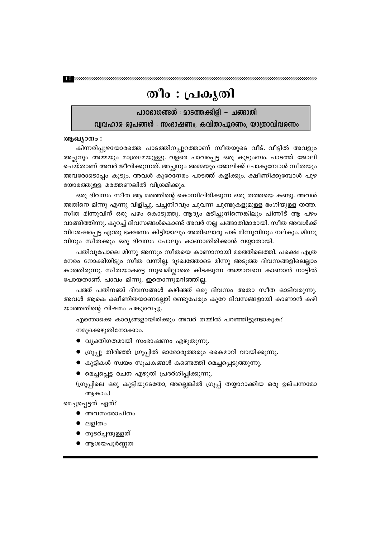## തീം : പ്രകൃതി

പാഠഭാഗങ്ങൾ : മാടത്തക്കിളി – ചങ്ങാതി വ്വവഹാര രൂപങ്ങൾ : സംഭാഷണം, കവിതാപൂരണം, യാത്രാവിവരണം

#### ആഖ്യാനം :

കിന്നരിപ്പുഴയോരത്തെ പാടത്തിനപ്പുറത്താണ് സീതയുടെ വീട്. വീട്ടിൽ അവളും അച്ഛനും അമ്മയും മാത്രമേയുള്ളൂ. വളരെ പാവപ്പെട്ട ഒരു കുടുംബം. പാടത്ത് ജോലി ചെയ്താണ് അവർ ജീവിക്കുന്നത്. അച്ഛനും അമ്മയും ജോലിക്ക് പോകുമ്പോൾ സീതയും അവരോടൊപ്പം കൂടും. അവൾ കുറേനേരം പാടത്ത് കളിക്കും. ക്ഷീണിക്കുമ്പോൾ പുഴ യോരത്തുള്ള മരത്തണലിൽ വിശ്രമിക്കും.

ഒരു ദിവസം സീത ആ മരത്തിന്റെ കൊമ്പിലിരിക്കുന്ന ഒരു തത്തയെ കണ്ടു. അവൾ അതിനെ മിന്നു എന്നു വിളിച്ചു. പച്ചനിറവും ചുവന്ന ചുണ്ടുകളുമുള്ള ഭംഗിയുള്ള തത്ത. സീത മിന്നുവിന് ഒരു പഴം കൊടുത്തു. ആദ്യം മടിച്ചുനിന്നെങ്കിലും പിന്നീട് ആ പഴം വാങ്ങിത്തിന്നു. കുറച്ച് ദിവസങ്ങൾകൊണ്ട് അവർ നല്ല ചങ്ങാതിമാരായി. സീത അവൾക്ക് വിശേഷപ്പെട്ട എന്തു ഭക്ഷണം കിട്ടിയാലും അതിലൊരു പങ്ക് മിന്നുവിനും നല്കും. മിന്നു വിനും സീതക്കും ഒരു ദിവസം പോലും കാണാതിരിക്കാൻ വയ്യാതായി.

പതിവുപോലെ മിന്നു അന്നും സീതയെ കാണാനായി മരത്തിലെത്തി. പക്ഷെ എത്ര നേരം നോക്കിയിട്ടും സീത വന്നില്ല. ദുഃഖത്തോടെ മിന്നു അടുത്ത ദിവസങ്ങളിലെല്ലാം കാത്തിരുന്നു. സീതയാകട്ടെ സുഖമില്ലാതെ കിടക്കുന്ന അമ്മാവനെ കാണാൻ നാട്ടിൽ പോയതാണ്. പാവം മിന്നു, ഇതൊന്നുമറിഞ്ഞില്ല.

പത്ത് പതിനഞ്ച് ദിവസങ്ങൾ കഴിഞ്ഞ് ഒരു ദിവസം അതാ സീത ഓടിവരുന്നു. അവൾ ആകെ ക്ഷീണിതയാണല്ലോ? രണ്ടുപേരും കുറേ ദിവസങ്ങളായി കാണാൻ കഴി യാത്തതിന്റെ വിഷമം പങ്കുവെച്ചു.

എന്തൊക്കെ കാര്യങ്ങളായിരിക്കും അവർ തമ്മിൽ പറഞ്ഞിട്ടുണ്ടാകുക?

നമുക്കെഴുതിനോക്കാം.

- വ്യക്തിഗതമായി സംഭാഷണം എഴുതുന്നു.
- ഗ്രൂപ്പു തിരിഞ്ഞ് ഗ്രൂപ്പിൽ ഓരോരുത്തരും കൈമാറി വായിക്കുന്നു.
- കുട്ടികൾ സ്വയം സൂചകങ്ങൾ കണ്ടെത്തി മെച്ചപ്പെടുത്തുന്നു.
- മെച്ചപ്പെട്ട രചന എഴുതി പ്രദർശിപ്പിക്കുന്നു.
- (ഗ്രൂപ്പിലെ ഒരു കുട്ടിയുടേതോ, അല്ലെങ്കിൽ ഗ്രൂപ്പ് തയ്യാറാക്കിയ ഒരു ഉല്പന്നമോ ആകാം.)

മെച്ചപ്പെട്ടത് ഏത്?

- $\bullet$  അവസരോചിതം
- $\bullet$  ലളിതം
- തുടർച്ചയുള്ളത്
- $\bullet$  ആശയപൂർണ്ണത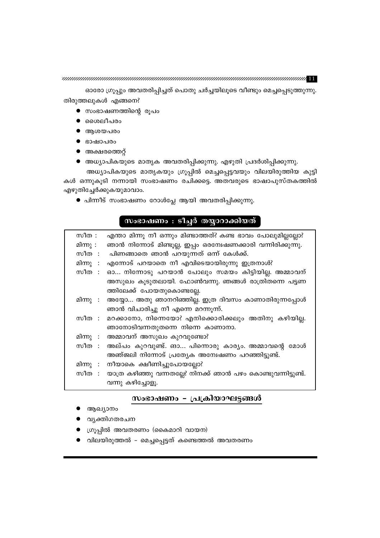$\bm{T}$  . The construction of the construction of the construction of the construction of  $\bm{T}$ 

ഓരോ ഗ്രൂപ്പും അവതരിപ്പിച്ചത് പൊതു ചർച്ചയിലൂടെ വീണ്ടും മെച്ചപ്പെടുത്തുന്നു. തിരുത്തലുകൾ എങ്ങനെ?

- $\bullet$  സംഭാഷണത്തിന്റെ രൂപം
- ശൈലീപരം
- ആശയപരം
- ഭാഷാപരം
- $\bullet$  അക്ഷരത്തെറ്റ്
- അധ്യാപികയുടെ മാതൃക അവതരിപ്പിക്കുന്നു. എഴുതി പ്രദർശിപ്പിക്കുന്നു.

അധ്യാപികയുടെ മാതൃകയും ഗ്രൂപ്പിൽ മെച്ചപ്പെട്ടവയും വിലയിരുത്തിയ കുട്ടി കൾ ഒന്നുകൂടി നന്നായി സംഭാഷണം രചിക്കട്ടെ. അതവരുടെ ഭാഷാപുസ്തകത്തിൽ എഴുതിച്ചേർക്കുകയുമാവാം.

 $\bullet$  പിന്നീട് സംഭാഷണം റോൾപ്ലേ ആയി അവതരിപ്പിക്കുന്നു.

### സംഭാഷണം : ടീച്ചർ തയ്യാറാക്കിയത്

| സീത $:$  | എന്താ മിന്നൂ നീ ഒന്നും മിണ്ടാത്തത്? കണ്ട ഭാവം പോലുമില്ലല്ലോ?        |
|----------|---------------------------------------------------------------------|
| മിന്നു : | ഞാൻ നിന്നോട് മിണ്ടൂല്ല, ഇപ്പം ഒരന്വേഷണക്കാരി വന്നിരിക്കുന്നു.       |
|          | സീത : പിണങ്ങാതെ ഞാൻ പറയുന്നത് ഒന്ന് കേൾക്ക്.                        |
| മിന്നു : | എന്നോട് പറയാതെ നീ എവിടെയായിരുന്നു ഇത്രനാൾ?                          |
| സീത :    | ഓ നിന്നോടു പറയാൻ പോലും സമയം കിട്ടിയില്ല. അമ്മാവന്                   |
|          | അസുഖം കൂടുതലായി. ഫോൺവന്നു. ഞങ്ങൾ രാത്രിതന്നെ പട്ടണ                  |
|          | ത്തിലേക്ക് പോയതുകൊണ്ടല്ലേ.                                          |
|          | മിന്നു : അയ്യോ അതു ഞാനറിഞ്ഞില്ല. ഇത്ര ദിവസം കാണാതിരുന്നപ്പോൾ        |
|          | ഞാൻ വിചാരിച്ചു നീ എന്നെ മറന്നുന്ന്.                                 |
|          | സീത : മറക്കാനോ, നിന്നെയോ? എനിക്കൊരിക്കലും അതിനു കഴിയില്ല.           |
|          | ഞാനോടിവന്നതുതന്നെ നിന്നെ കാണാനാ.                                    |
|          | മിന്നു : അമ്മാവന് അസുഖം കുറവുണ്ടോ?                                  |
| സീത :    | അല്പം കുറവുണ്ട്. ങാ പിന്നൊരു കാര്യം. അമ്മാവന്റെ മോൾ                 |
|          | അഞ്ജലി നിന്നോട് പ്രത്യേക അമ്പേഷണം പറഞ്ഞിട്ടുണ്ട്.                   |
|          | മിന്നു : നീയാകെ ക്ഷീണിച്ചുപോയല്ലോ?                                  |
|          | സീത : യാത്ര കഴിഞ്ഞു വന്നതല്ലേ? നിനക്ക് ഞാൻ പഴം കൊണ്ടുവന്നിട്ടുണ്ട്. |
|          | വന്നു കഴിച്ചോളൂ.                                                    |

### സംഭാഷണം - പ്രക്രിയാഘട്ടങ്ങൾ

- ആഖ്യാനം
- വ്യക്തിഗതരചന
- ഗ്രൂപ്പിൽ അവതരണം (കൈമാറി വായന)
- വിലയിരുത്തൽ മെച്ചപ്പെട്ടത് കണ്ടെത്തൽ അവതരണം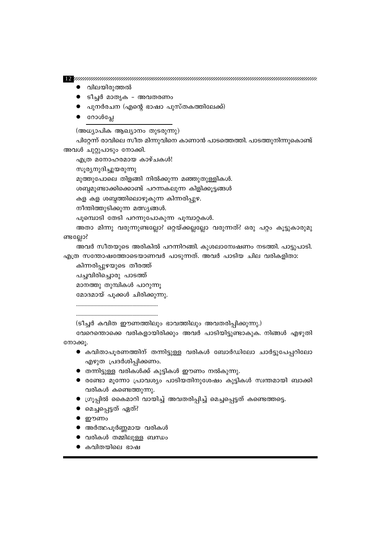$\bullet$  കവിതയിലെ ഭാഷ

● മെച്ചപ്പെട്ടത് ഏത്?

 $\bullet$  ഈണം

● അർത്ഥപൂർണ്ണമായ വരികൾ  $\bullet$  വരികൾ തമ്മിലുള്ള ബന്ധം

● ഗ്രൂപ്പിൽ കൈമാറി വായിച്ച് അവതരിപ്പിച്ച് മെച്ചപ്പെട്ടത് കണ്ടെത്തട്ടെ.

- വരികൾ കണ്ടെത്തുന്നു.
- 
- $\bullet$  രണ്ടോ മൂന്നോ പ്രാവശ്യം പാടിയതിനുശേഷം കുട്ടികൾ സ്ഥതമായി ബാക്കി
- $\bullet$  തന്നിട്ടുള്ള വരികൾക്ക് കുട്ടികൾ ഈണം നൽകുന്നു.
- 
- എഴുത പ്രദർശിപ്പിക്കണം.
- കവിതാപൂരണത്തിന് തന്നിട്ടുള്ള വരികൾ ബോർഡിലോ ചാർട്ടുപേപ്പറിലോ
- നോക്കൂ.
- (ടീച്ചർ കവിത ഈണത്തിലും ഭാവത്തിലും അവതരിപ്പിക്കുന്നു.) വേറെന്തൊക്കെ വരികളായിരിക്കും അവർ പാടിയിട്ടുണ്ടാകുക. നിങ്ങൾ എഴുതി

മോദമായ് പൂക്കൾ ചിരിക്കുന്നു.

മാനത്തു തുമ്പികൾ പാറുന്നൂ

പച്ചവിരിച്ചൊരു പാടത്ത്

കിന്നരിപ്പുഴയുടെ തീരത്ത്

എത്ര സന്തോഷത്തോടെയാണവർ പാടുന്നത്. അവർ പാടിയ ചില വരികളിതാ:

ണ്ടല്ലോ? അവർ സീതയുടെ അരികിൽ പറന്നിറങ്ങി. കുശലാമ്പേഷണം നടത്തി. പാട്ടുപാടി.

പൂമ്പൊടി തേടി പറന്നുപോകുന്ന പൂമ്പാറ്റകൾ. അതാ മിന്നു വരുന്നുണ്ടല്ലോ? ഒറ്റയ്ക്കല്ലല്ലോ വരുന്നത്? ഒരു പറ്റം കൂട്ടുകാരുമു

നീന്തിത്തുടിക്കുന്ന മത്സ്യങ്ങൾ.

കള കള ശബ്ദത്തിലൊഴുകുന്ന കിന്നരിപ്പുഴ.

ശബ്ദമുണ്ടാക്കിക്കൊണ്ട് പറന്നകലുന്ന കിളിക്കൂട്ടങ്ങൾ

മുത്തുപോലെ തിളങ്ങി നിൽക്കുന്ന മഞ്ഞുതുള്ളികൾ.

സൂര്യനുദിച്ചുയരുന്നു

എത്ര മനോഹരമായ കാഴ്ചകൾ!

അവൾ ചുറ്റുപാടും നോക്കി.

(അധ്യാപിക ആഖ്യാനം തുടരുന്നു) പിറ്റേന്ന് രാവിലെ സീത മിന്നുവിനെ കാണാൻ പാടത്തെത്തി. പാടത്തുനിന്നുകൊണ്ട്

- $\bullet$  റോൾപ്ലേ
- പുനർരചന (എന്റെ ഭാഷാ പുസ്തകത്തിലേക്ക്)
- ടീച്ചർ മാതൃക അവതരണം
- വിലയിരുത്തൽ

<u> Dennammannammannammannammannammannammannammannammannam</u>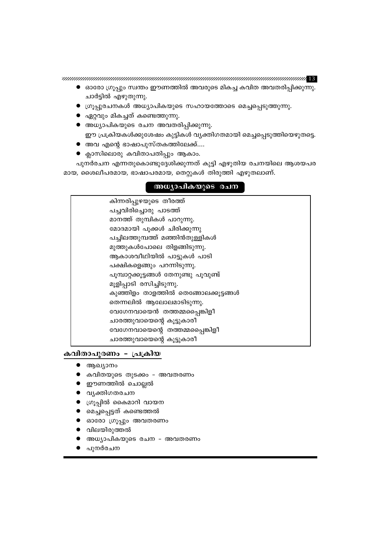- പുനർരചന
- അധ്യാപികയുടെ രചന അവതരണം
- വിലയിരുത്തൽ
- ഓരോ ഗ്രൂപ്പും അവതരണം
- മെച്ചപ്പെട്ടത് കണ്ടെത്തൽ
- ഗ്രൂപ്പിൽ കൈമാറി വായന
- വൃക്തിഗതരചന
- ഈണത്തിൽ ചൊല്ലൽ
- കവിതയുടെ തുടക്കം അവതരണ<mark>ം</mark>
- ആഖ്യാനം

### കവിതാപൂരണം - പ്രക്രിയ

| കിന്നരിപ്പുഴയുടെ തീരത്ത്               |
|----------------------------------------|
| പച്ചവിരിച്ചൊരു പാടത്ത്                 |
| മാനത്ത് തുമ്പികൾ പാറുന്നു.             |
| മോദമായി പൂക്കൾ ചിരിക്കുന്നു            |
| പച്ചിലത്തുമ്പത്ത് മഞ്ഞിൻതുള്ളികൾ       |
| മുത്തുകൾപോലെ തിളങ്ങിടുന്നു.            |
| ആകാശവീഥിയിൽ പാട്ടുകൾ പാടി              |
| പക്ഷികളെങ്ങും പറന്നിടുന്നു.            |
| പൂമ്പാറ്റക്കൂട്ടങ്ങൾ തേനുണ്ടു പൂവുണ്ട് |
| മൂളിപ്പാടി രസിച്ചിടുന്നു.              |
| കുഞ്ഞിളം താളത്തിൽ തെങ്ങോലക്കൂട്ടങ്ങൾ   |
| തെന്നലിൽ ആലോലമാടിടുന്നു.               |
| വേഗേനവായെൻ തത്തമ്മപ്പൈങ്കിളീ           |
| ചാരത്തുവായെന്റെ കൂട്ടുകാരീ             |
| വേഗേനവായെന്റെ തത്തമ്മപ്പൈങ്കിളീ        |
| ചാരത്തുവായെന്റെ കൂട്ടുകാരീ             |

### അധ്യാപികയുടെ രചന

മായ, ശൈലീപരമായ, ഭാഷാപരമായ, തെറ്റുകൾ തിരുത്തി എഴുതലാണ്.

- ക്ലാസിലൊരു കവിതാപതിപ്പും ആകാം. പുനർരചന എന്നതുകൊണ്ടുദ്ദേശിക്കുന്നത് കുട്ടി എഴുതിയ രചനയിലെ ആശയപര
- അവ എന്റെ ഭാഷാപുസ്തകത്തിലേക്ക്....
- അധ്യാപികയുടെ രചന അവതരിപ്പിക്കുന്നു. ഈ പ്രക്രിയകൾക്കുശേഷം കുട്ടികൾ വ്യക്തിഗതമായി മെച്ചപ്പെടുത്തിയെഴുതട്ടെ.
- $\bullet$  ഏറ്റവും മികച്ചത് കണ്ടെത്തുന്നു.
- ഗ്രൂപ്പുരചനകൾ അധ്യാപികയുടെ സഹായത്തോടെ മെച്ചപ്പെടുത്തുന്നു.
- $\bullet$  ഓരോ ഗ്രൂപ്പും സ്വന്തം ഈണത്തിൽ അവരുടെ മികച്ച കവിത അവതരിപ്പിക്കുന്നു. ചാർട്ടിൽ എഴുതുന്നു.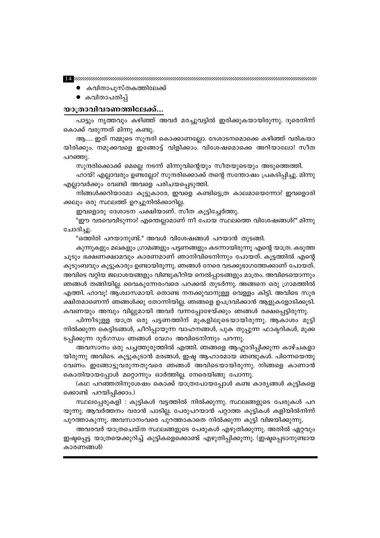$\bf E$ ynnammannammannammannammannammannammannammannammanna

- കവിതാപുസ്തകത്തിലേക്ക്
- കവിതാപതിപ്പ്

### യാത്രാവിവരണത്തിലേക്ക്...

പാട്ടും നൃത്തവും കഴിഞ്ഞ് അവർ മരച്ചുവട്ടിൽ ഇരിക്കുകയായിരുന്നു. ദൂരെനിന്ന് കൊക്ക് വരുന്നത് മിന്നു കണ്ടു.

ആ…. ഇത് നമ്മുടെ സുന്ദരി കൊക്കാണല്ലോ. ദേശാടനമൊക്കെ കഴിഞ്ഞ് വരികയാ യിരിക്കും. നമുക്കവളെ ഇങ്ങോട്ട് വിളിക്കാം. വിശേഷമൊക്കെ അറിയാലോ! സീത പറഞ്ഞു.

സുന്ദരിക്കൊക്ക് മെല്ലെ നടന്ന് മിന്നുവിന്റെയും സീതയുടെയും അടുത്തെത്തി.

ഹായ്! എല്ലാവരും ഉണ്ടല്ലോ? സുന്ദരിക്കൊക്ക് തന്റെ സന്തോഷം പ്രകടിപ്പിച്ചു. മിന്നു എല്ലാവർക്കും വേണ്ടി അവളെ പരിചയപ്പെടുത്തി.

നിങ്ങൾക്കറിയാമോ കൂട്ടുകാരേ, ഇവളെ കണ്ടിട്ടെത്ര കാലമായെന്നോ? ഇവളൊരി ക്കലും ഒരു സ്ഥലത്ത് ഉറച്ചുനിൽക്കാറില്ല.

ഇവളൊരു ദേശാടന പക്ഷിയാണ്. സീത കൂട്ടിച്ചേർത്തു.

"ഈ വരവെവിടുന്നാ? എന്തെല്ലാമാണ് നീ പോയ സ്ഥലത്തെ വിശേഷങ്ങൾ?" മിന്നു ചോദിച്ചു.

"ഒത്തിരി പറയാനുണ്ട്." അവൾ വിശേഷങ്ങൾ പറയാൻ തുടങ്ങി.

കുന്നുകളും മലകളും ഗ്രാമങ്ങളും പട്ടണങ്ങളും കടന്നായിരുന്നു എന്റെ യാത്ര. കടുത്ത ചൂടും ഭക്ഷണക്ഷാമവും കാരണമാണ് ഞാനിവിടെനിന്നും പോയത്. കൂട്ടത്തിൽ എന്റെ കുടുംബവും കൂട്ടുകാരും ഉണ്ടായിരുന്നു. ഞങ്ങൾ നേരെ വടക്കുഭാഗത്തേക്കാണ് പോയത്. അവിടെ വറ്റിയ ജലാശയങ്ങളും വിണ്ടുകീറിയ നെൽപ്പാടങ്ങളും മാത്രം. അവിടെയൊന്നും ഞങ്ങൾ തങ്ങിയില്ല. വൈകുന്നേരംവരെ പറക്കൽ തുടർന്നു. അങ്ങനെ ഒരു ഗ്രാമത്തിൽ എത്തി. ഹാവൂ! ആശ്വാസമായി. തൊണ്ട നനക്കുവാനുള്ള വെള്ളം കിട്ടി. അവിടെ സുര ക്ഷിതമാണെന്ന് ഞങ്ങൾക്കു തോന്നിയില്ല. ഞങ്ങളെ ഉപദ്രവിക്കാൻ ആളുകളോടിക്കൂടി. കവണയും അമ്പും വില്ലുമായി അവർ വന്നപ്പോഴേയ്ക്കും ഞങ്ങൾ രക്ഷപ്പെട്ടിരുന്നു.

പിന്നീടുള്ള യാത്ര ഒരു പട്ടണത്തിന് മുകളിലൂടെയായിരുന്നു. ആകാശം മുട്ടി നിൽക്കുന്ന കെട്ടിടങ്ങൾ, ചീറിപ്പായുന്ന വാഹനങ്ങൾ, പുക തുപ്പുന്ന ഫാക്ടറികൾ, മൂക്ക ടപ്പിക്കുന്ന ദുർഗന്ധം ഞങ്ങൾ വേഗം അവിടെനിന്നും പറന്നു.

അവസാനം ഒരു പച്ചത്തുരുത്തിൽ എത്തി. ഞങ്ങളെ ആഹ്ലാദിപ്പിക്കുന്ന കാഴ്ചകളാ യിരുന്നു അവിടെ. കൂട്ടുകൂടാൻ മരങ്ങൾ, ഇഷ്ട ആഹാരമായ ഞണ്ടുകൾ. പിന്നെയെന്തു വേണം. ഇങ്ങോട്ടുവരുന്നതുവരെ ഞങ്ങൾ അവിടെയായിരുന്നു. നിങ്ങളെ കാണാൻ കൊതിയായപ്പോൾ മറ്റൊന്നും ഓർത്തില്ല. നേരെയിങ്ങു പോന്നു.

(കഥ പറഞ്ഞതിനുശേഷം കൊക്ക് യാത്രപോയപ്പോൾ കണ്ട കാര്യങ്ങൾ കുട്ടികളെ ക്കൊണ്ട് പറയിപ്പിക്കാം.)

സ്ഥലപ്പേരുകളി : കുട്ടികൾ വട്ടത്തിൽ നിൽക്കുന്നു. സ്ഥലങ്ങളുടെ പേരുകൾ പറ യുന്നു. ആവർത്തനം വരാൻ പാടില്ല. പേരുപറയാൻ പറ്റാത്ത കുട്ടികൾ കളിയിൽനിന്ന് പുറത്താകുന്നു. അവസാനംവരെ പുറത്താകാതെ നിൽക്കുന്ന കുട്ടി വിജയിക്കുന്നു.

അവരവർ യാത്രചെയ്ത സ്ഥലങ്ങളുടെ പേരുകൾ എഴുതിക്കുന്നു. അതിൽ ഏറ്റവും ഇഷ്ടപ്പെട്ട യാത്രയെക്കുറിച്ച് കുട്ടികളെക്കൊണ്ട് എഴുതിപ്പിക്കുന്നു. (ഇഷ്ടപ്പെടാനുണ്ടായ കാരണങ്ങൾ)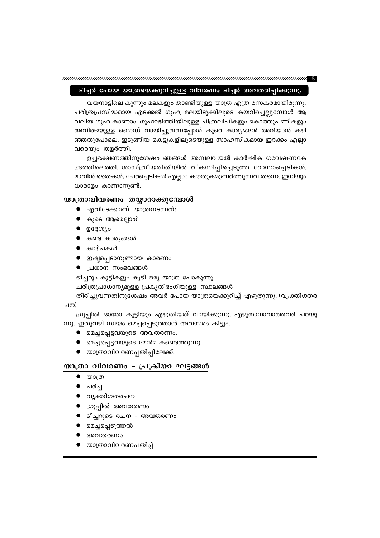### ടീച്ചർ പോയ യാത്രയെക്കുറിച്ചുള്ള വിവരണം ടീച്ചർ അവതരിപ്പിക്കുന്നു.

വയനാട്ടിലെ കുന്നും മലകളും താണ്ടിയുള്ള യാത്ര എത്ര രസകരമായിരുന്നു. ചരിത്രപ്രസിദ്ധമായ എടക്കൽ ഗുഹ, മലയിടുക്കിലൂടെ കയറിച്ചെല്ലുമ്പോൾ ആ വലിയ ഗുഹ കാണാം. ഗുഹാഭിത്തിയിലുള്ള ചിത്രലിപികളും കൊത്തുപണികളും അവിടെയുള്ള ഗൈഡ് വായിച്ചുതന്നപ്പോൾ കുറെ കാര്യങ്ങൾ അറിയാൻ കഴി ഞ്ഞതുപോലെ. ഇടുങ്ങിയ കെട്ടുകളിലൂടെയുള്ള സാഹസികമായ ഇറക്കം എല്ലാ വരെയും തളർത്തി.

ഉച്ചഭക്ഷണത്തിനുശേഷം ഞങ്ങൾ അമ്പലവയൽ കാർഷിക ഗവേഷണകേ ന്ദ്രത്തിലെത്തി. ശാസ്ത്രീയരീതിയിൽ വികസിപ്പിച്ചെടുത്ത റോസാച്ചെടികൾ, മാവിൻ തൈകൾ, പേരച്ചെടികൾ എല്ലാം കൗതുകമുണർത്തുന്നവ തന്നെ. ഇനിയും ധാരാളം കാണാനുണ്ട്.

### യാത്രാവിവരണം തയ്യാറാക്കുമ്പോൾ

- എവിടേക്കാണ് യാത്രനടന്നത്?
- കൂടെ ആരെല്ലാം?
- ഉദ്ദേശ്യം
- കണ്ട കാര്യങ്ങൾ
- കാഴ്ചകൾ

 $\bullet$   $\omega$ ാത്ര ● ചർച്ച

● വൃക്തിഗതരചന ● ഗ്രൂപ്പിൽ അവതരണം

● മെച്ചപ്പെടുത്തൽ ● അവതരണം

- ഇഷ്ടപ്പെടാനുണ്ടായ കാരണം
- $\bullet$  പ്രധാന സംഭവങ്ങൾ

ടീച്ചറും കുട്ടികളും കൂടി ഒരു യാത്ര പോകുന്നു

ചരിത്രപ്രാധാന്യമുള്ള പ്രകൃതിഭംഗിയുള്ള സ്ഥലങ്ങൾ

തിരിച്ചുവന്നതിനുശേഷം അവർ പോയ യാത്രയെക്കുറിച്ച് എഴുതുന്നു. (വ്യക്തിഗതര

ചന)

ഗ്രൂപ്പിൽ ഓരോ കുട്ടിയും എഴുതിയത് വായിക്കുന്നു. എഴുതാനാവാത്തവർ പറയു

ന്നു. ഇതുവഴി സ്വയം മെച്ചപ്പെടുത്താൻ അവസരം കിട്ടും.

- മെച്ചപ്പെട്ടവയുടെ അവതരണം.
- 
- 
- 
- 
- 
- 
- 
- 
- മെച്ചപ്പെട്ടവയുടെ മേൻമ കണ്ടെത്തുന്നു.
- 
- 

● ടീച്ചറുടെ രചന - അവതരണം

യാത്രാവിവരണപതിപ്പ്

● യാത്രാവിവരണപ്പതിപ്പിലേക്ക്.

യാത്രാ വിവരണം - പ്രക്രിയാ ഘട്ടങ്ങൾ

- 
- 
- 
- 
- 
- 
- 
- 
-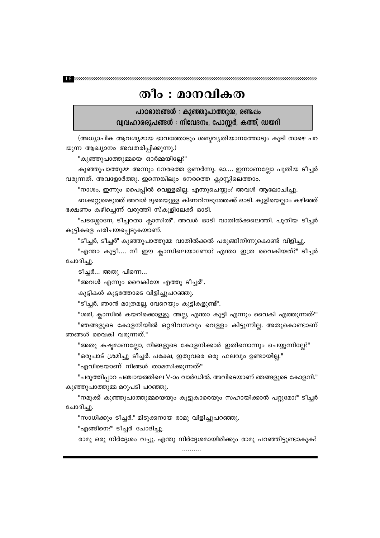### തീം : മാനവികത

പാഠഭാഗങ്ങൾ : കുഞ്ഞുപാത്തുമ്മ, രണ്ടപ്പം വ്വവഹാരരൂപങ്ങൾ : നിവേദനം, പോസ്റ്റർ, കത്ത്, ഡയറി

(അധ്യാപിക ആവശ്യമായ ഭാവത്തോടും ശബ്ദവ്യതിയാനത്തോടും കൂടി താഴെ പറ യുന്ന ആഖ്യാനം അവതരിപ്പിക്കുന്നു.)

"കുഞ്ഞുപാത്തുമ്മയെ ഓർമ്മയില്ലേ?"

കുഞ്ഞുപാത്തുമ്മ അന്നും നേരത്തെ ഉണർന്നു. ഓ.... ഇന്നാണല്ലോ പുതിയ ടീച്ചർ വരുന്നത്. അവളോർത്തു. ഇന്നെങ്കിലും നേരത്തെ ക്ലാസ്സിലെത്താം.

"നാശം, ഇന്നും പൈപ്പിൽ വെള്ളമില്ല. എന്തുചെയ്യും? അവൾ ആലോചിച്ചു.

ബക്കറ്റുമെടുത്ത് അവൾ ദൂരെയുള്ള കിണറിനടുത്തേക്ക് ഓടി. കുളിയെല്ലാം കഴിഞ്ഞ് ഭക്ഷണം കഴിച്ചെന്ന് വരുത്തി സ്കൂളിലേക്ക് ഓടി.

"പടശ്ശോനേ, ടീച്ചറതാ ക്ലാസിൽ". അവൾ ഓടി വാതിൽക്കലെത്തി. പുതിയ ടീച്ചർ കുട്ടികളെ പരിചയപ്പെടുകയാണ്.

"ടീച്ചർ, ടീച്ചർ" കുഞ്ഞുപാത്തുമ്മ വാതിൽക്കൽ പരുങ്ങിനിന്നുകൊണ്ട് വിളിച്ചു.

"എന്താ കുട്ടീ.... നീ ഈ ക്ലാസിലെയാണോ? എന്താ ഇത്ര വൈകിയത്?" ടീച്ചർ ചോദിച്ചു.

ടീച്ചർ... അതു പിന്നെ...

"അവൾ എന്നും വൈകിയേ എത്തൂ ടീച്ചർ".

കുട്ടികൾ കൂട്ടത്തോടെ വിളിച്ചുപറഞ്ഞു.

"ടീച്ചർ, ഞാൻ മാത്രമല്ല, വേറെയും കുട്ടികളുണ്ട്".

"ശരി, ക്ലാസിൽ കയറിക്കൊള്ളൂ. അല്ല, എന്താ കുട്ടി എന്നും വൈകി എത്തുന്നത്?" "ഞങ്ങളുടെ കോളനിയിൽ ഒറ്റദിവസവും വെള്ളം കിട്ടുന്നില്ല. അതുകൊണ്ടാണ് ഞങ്ങൾ വൈകി വരുന്നത്."

"അതു കഷ്ടമാണല്ലോ, നിങ്ങളുടെ കോളനിക്കാർ ഇതിനൊന്നും ചെയ്യുന്നില്ലേ?" "ഒരുപാട് ശ്രമിച്ചു ടീച്ചർ. പക്ഷേ, ഇതുവരെ ഒരു ഫലവും ഉണ്ടായില്ല."

"എവിടെയാണ് നിങ്ങൾ താമസിക്കുന്നത്?"

"പരുത്തിപ്പാറ പഞ്ചായത്തിലെ V-ാം വാർഡിൽ. അവിടെയാണ് ഞങ്ങളുടെ കോളനി." കുഞ്ഞുപാത്തുമ്മ മറുപടി പറഞ്ഞു.

"നമുക്ക് കുഞ്ഞുപാത്തുമ്മയെയും കൂട്ടുകാരെയും സഹായിക്കാൻ പറ്റുമോ?" ടീച്ചർ ചോദിച്ചു.

"സാധിക്കും ടീച്ചർ." മിടുക്കനായ രാമു വിളിച്ചുപറഞ്ഞു.

"എങ്ങിനെ?" ടീച്ചർ ചോദിച്ചു.

രാമു ഒരു നിർദ്ദേശം വച്ചു. എന്തു നിർദ്ദേശമായിരിക്കും രാമു പറഞ്ഞിട്ടുണ്ടാകുക?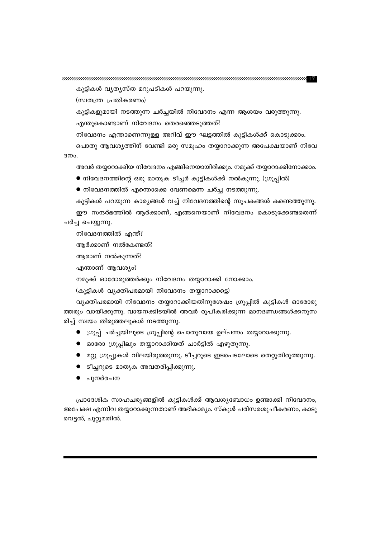കുട്ടികളുമായി നടത്തുന്ന ചർച്ചയിൽ നിവേദനം എന്ന ആശയം വരുത്തുന്നു.

നിവേദനം എന്താണെന്നുള്ള അറിവ് ഈ ഘട്ടത്തിൽ കുട്ടികൾക്ക് കൊടുക്കാം. പൊതു ആവശ്യത്തിന് വേണ്ടി ഒരു സമൂഹം തയ്യാറാക്കുന്ന അപേക്ഷയാണ് നിവേ

അവർ തയ്യാറാക്കിയ നിവേദനം എങ്ങിനെയായിരിക്കും. നമുക്ക് തയ്യാറാക്കിനോക്കാം.

കുട്ടികൾ പറയുന്ന കാര്യങ്ങൾ വച്ച് നിവേദനത്തിന്റെ സൂചകങ്ങൾ കണ്ടെത്തുന്നു. ഈ സന്ദർഭത്തിൽ ആർക്കാണ്, എങ്ങനെയാണ് നിവേദനം കൊടുക്കേണ്ടതെന്ന്

വ്യക്തിപരമായി നിവേദനം തയ്യാറാക്കിയതിനുശേഷം ഗ്രൂപ്പിൽ കുട്ടികൾ ഓരോരു ത്തരും വായിക്കുന്നു. വായനക്കിടയിൽ അവർ രൂപീകരിക്കുന്ന മാനദണ്ഡങ്ങൾക്കനുസ

● മറ്റു ഗ്രൂപ്പുകൾ വിലയിരുത്തുന്നു. ടീച്ചറുടെ ഇടപെടലോടെ തെറ്റുതിരുത്തുന്നു.

● ഗ്രൂപ്പ് ചർച്ചയിലൂടെ ഗ്രൂപ്പിന്റെ പൊതുവായ ഉല്പന്നം തയ്യാറാക്കുന്നു.

 $\bullet$  നിവേദനത്തിന്റെ ഒരു മാതൃക ടീച്ചർ കുട്ടികൾക്ക് നൽകുന്നു. (ഗ്രൂപ്പിൽ)

 $\bullet$  നിവേദനത്തിൽ എന്തൊക്കെ വേണമെന്ന ചർച്ച നടത്തുന്നു.

നമുക്ക് ഓരോരുത്തർക്കും നിവേദനം തയ്യാറാക്കി നോക്കാം.

● ഓരോ ഗ്രൂപ്പിലും തയ്യാറാക്കിയത് ചാർട്ടിൽ എഴുതുന്നു.

(കുട്ടികൾ വ്യക്തിപരമായി നിവേദനം തയ്യാറാക്കട്ടെ)

കുട്ടികൾ വൃതൃസ്ത മറുപടികൾ പറയുന്നു.

(സ്വതന്ത്ര പ്രതികരണം)

ദനം.

ചർച്ച ചെയ്യുന്നു.

നിവേദനത്തിൽ എന്ത്? ആർക്കാണ് നൽകേണ്ടത്? ആരാണ് നൽകുന്നത്? എന്താണ് ആവശ്യം?

എന്തുകൊണ്ടാണ് നിവേദനം തെരഞ്ഞെടുത്തത്?

● ടീച്ചറുടെ മാതൃക അവതരിപ്പിക്കുന്നു.

രിച്ച് സ്വയം തിരുത്തലുകൾ നടത്തുന്നു.

പുനർരചന

പ്രാദേശിക സാഹചര്യങ്ങളിൽ കുട്ടികൾക്ക് ആവശ്യബോധം ഉണ്ടാക്കി നിവേദനം, അപേക്ഷ എന്നിവ തയ്യാറാക്കുന്നതാണ് അഭികാമ്യം. സ്കൂൾ പരിസരശുചീകരണം, കാടു വെട്ടൽ, ചുറ്റുമതിൽ.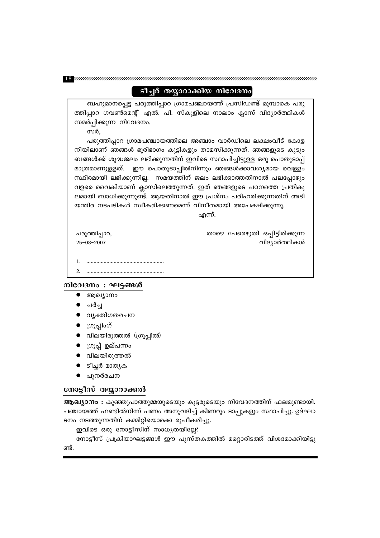### ടീച്ചർ തയ്യാറാക്കിയ നിവേദനം

ബഹുമാനപ്പെട്ട പരുത്തിപ്പാറ ഗ്രാമപഞ്ചായത്ത് പ്രസിഡണ്ട് മുമ്പാകെ പരു ത്തിപ്പാറ ഗവൺമെന്റ് എൽ. പി. സ്കൂളിലെ നാലാം ക്ലാസ് വിദ്യാർത്ഥികൾ സമർപ്പിക്കുന്ന നിവേദനം.

സർ,

പരുത്തിപ്പാറ ഗ്രാമപഞ്ചായത്തിലെ അഞ്ചാം വാർഡിലെ ലക്ഷംവീട് കോള നിയിലാണ് ഞങ്ങൾ ഭൂരിഭാഗം കുട്ടികളും താമസിക്കുന്നത്. ഞങ്ങളുടെ കുടും ബങ്ങൾക്ക് ശുദ്ധജലം ലഭിക്കുന്നതിന് ഇവിടെ സ്ഥാപിച്ചിട്ടുള്ള ഒരു പൊതുടാപ്പ് മാത്രമാണുളളത്. ഈ പൊതുടാപ്പിൽനിന്നും ഞങ്ങൾക്കാവശ്യമായ വെള്ളം സ്ഥിരമായി ലഭിക്കുന്നില്ല. സമയത്തിന് ജലം ലഭിക്കാത്തതിനാൽ പലപ്പോഴും വളരെ വൈകിയാണ് ക്ലാസിലെത്തുന്നത്. ഇത് ഞങ്ങളുടെ പഠനത്തെ പ്രതികൂ ലമായി ബാധിക്കുന്നുണ്ട്. ആയതിനാൽ ഈ പ്രശ്നം പരിഹരിക്കുന്നതിന് അടി യന്തിര നടപടികൾ സ്വീകരിക്കണമെന്ന് വിനീതമായി അപേക്ഷിക്കുന്നു.

എന്ന്.

താഴെ പേരെഴുതി ഒപ്പിട്ടിരിക്കുന്ന

വിദ്യാർത്ഥികൾ

പരുത്തിപ്പാറ,  $25 - 08 - 2007$ 

 $\mathcal{P}$ 

### നിവേദനം : ഘട്ടങ്ങൾ

- $\bullet$  ആഖ്യാനം
- ചർച്ച
- വൃക്തിഗതരചന
- $\bullet$  ကြူ့ဂျါဝဟိ
- വിലയിരുത്തൽ (ഗ്രൂപ്പിൽ)
- ഗ്രൂപ്പ് ഉല്പന്നം
- വിലയിരുത്തൽ
- ടീച്ചർ മാതൃക
- പുനർരചന  $\bullet$

### നോട്ടീസ് തയ്യാറാക്കൽ

ആഖ്യാനം : കുഞ്ഞുപാത്തുമ്മയുടെയും കൂട്ടരുടെയും നിവേദനത്തിന് ഫലമുണ്ടായി. പഞ്ചായത്ത് ഫണ്ടിൽനിന്ന് പണം അനുവദിച്ച് കിണറും ടാപ്പുകളും സ്ഥാപിച്ചു. ഉദ്ഘാ ടനം നടത്തുന്നതിന് കമ്മിറ്റിയൊക്കെ രൂപീകരിച്ചു.

ഇവിടെ ഒരു നോട്ടീസിന് സാധ്യതയില്ലേ?

നോട്ടീസ് പ്രക്രിയാഘട്ടങ്ങൾ ഈ പുസ്തകത്തിൽ മറ്റൊരിടത്ത് വിശദമാക്കിയിട്ടു ണ്ട്.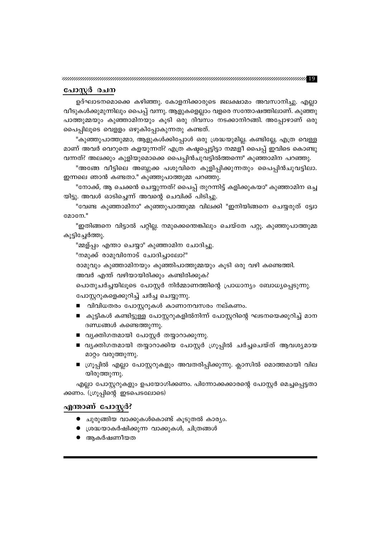### പോസ്റ്റർ രചന

ഉദ്ഘാടനമൊക്കെ കഴിഞ്ഞു. കോളനിക്കാരുടെ ജലക്ഷാമം അവസാനിച്ചു. എല്ലാ വീടുകൾക്കുമുന്നിലും പൈപ്പ് വന്നു. ആളുകളെല്ലാം വളരെ സന്തോഷത്തിലാണ്. കുഞ്ഞു പാത്തുമ്മയും കുഞ്ഞാമിനയും കൂടി ഒരു ദിവസം നടക്കാനിറങ്ങി. അപ്പോഴാണ് ഒരു പൈപ്പിലൂടെ വെളളം ഒഴുകിപ്പോകുന്നതു കണ്ടത്.

"കുഞ്ഞുപാത്തുമ്മാ, ആളുകൾക്കിപ്പോൾ ഒരു ശ്രദ്ധയുമില്ല. കണ്ടില്ലേ, എത്ര വെള്ള മാണ് അവർ വെറുതെ കളയുന്നത്? എത്ര കഷ്ടപ്പെട്ടിട്ടാ നമ്മളീ പൈപ്പ് ഇവിടെ കൊണ്ടു വന്നത്? അലക്കും കുളിയുമൊക്കെ പൈപ്പിൻചുവട്ടിൽത്തന്നെ" കുഞ്ഞാമിന പറഞ്ഞു.

"അങ്ങേ വീട്ടിലെ അബ്ദുക്ക പശുവിനെ കുളിപ്പിക്കുന്നതും പൈപ്പിൻചുവട്ടിലാ. ഇന്നലെ ഞാൻ കണ്ടതാ." കുഞ്ഞുപാത്തുമ്മ പറഞ്ഞു.

"നോക്ക്, ആ ചെക്കൻ ചെയ്യുന്നത്? പൈപ്പ് തുറന്നിട്ട് കളിക്കുകയാ" കുഞ്ഞാമിന ഒച്ച യിട്ടു. അവൾ ഓടിച്ചെന്ന് അവന്റെ ചെവിക്ക് പിടിച്ചു.

"വേണ്ട കുഞ്ഞാമിനാ" കുഞ്ഞുപാത്തുമ്മ വിലക്കി "ഇനിയിങ്ങനെ ചെയ്യരുത് ട്ട്വോ മോനേ."

"ഇതിങ്ങനെ വിട്ടാൽ പറ്റില്ല. നമുക്കെന്തെങ്കിലും ചെയ്തേ പറ്റൂ. കുഞ്ഞുപാത്തുമ്മ കൂട്ടിച്ചേർത്തു.

"മ്മള്പ്പം എന്താ ചെയ്യാ" കുഞ്ഞാമിന ചോദിച്ചു.

"നമുക്ക് രാമുവിനോട് ചോദിച്ചാലോ?"

രാമുവും കുഞ്ഞാമിനയും കുഞ്ഞിപാത്തുമ്മയും കൂടി ഒരു വഴി കണ്ടെത്തി.

പോസ്റ്ററുകളെക്കുറിച്ച് ചർച്ച ചെയ്യുന്നു.

ദണ്ഡങ്ങൾ കണ്ടെത്തുന്നു.

മാറ്റം വരുത്തുന്നു.

ക്കണം. (ഗ്രൂപ്പിന്റെ ഇടപെടലോടെ)

യിരുത്തുന്നു.

എന്താണ് പോസ്റ്റർ?

 $\bullet$  ആകർഷണീയത

അവർ എന്ത് വഴിയായിരിക്കും കണ്ടിരിക്കുക?

■ കുട്ടികൾ കണ്ടിട്ടുള്ള പോസ്റ്ററുകളിൽനിന്ന് പോസ്റ്ററിന്റെ ഘടനയെക്കുറിച്ച് മാന

■ വൃക്തിഗതമായി തയ്യാറാക്കിയ പോസ്റ്റർ ഗ്രൂപ്പിൽ ചർച്ചചെയ്ത് ആവശ്യമായ

■ ഗ്രൂപ്പിൽ എല്ലാ പോസ്റ്ററുകളും അവതരിപ്പിക്കുന്നു. ക്ലാസിൽ മൊത്തമായി വില

എല്ലാ പോസ്റ്ററുകളും ഉപയോഗിക്കണം. പിന്നോക്കക്കാരന്റെ പോസ്റ്റർ മെച്ചപ്പെട്ടതാ

പൊതുചർച്ചയിലൂടെ പോസ്റ്റർ നിർമ്മാണത്തിന്റെ പ്രാധാന്യം ബോധ്യപ്പെടുന്നു.

■ വിവിധതരം പോസ്റ്ററുകൾ കാണാനവസരം നല്കണം.

■ വൃക്തിഗതമായി പോസ്റ്റർ തയ്യാറാക്കുന്നു.

● ചുരുങ്ങിയ വാക്കുകൾകൊണ്ട് കൂടുതൽ കാര്യം. ● ശ്രദ്ധയാകർഷിക്കുന്ന വാക്കുകൾ, ചിത്രങ്ങൾ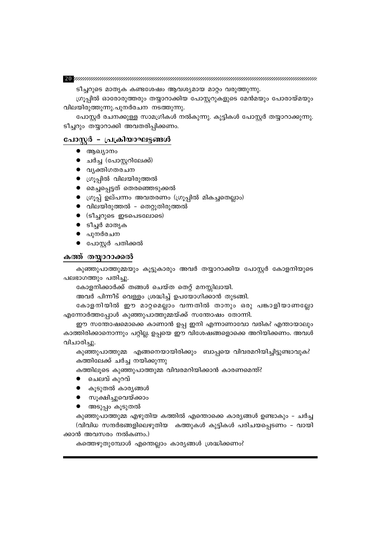കത്തെഴുതുമ്പോൾ എന്തെല്ലാം കാര്യങ്ങൾ ശ്രദ്ധിക്കണം?

ക്കാൻ അവസരം നൽകണം.)

കുഞ്ഞുപാത്തുമ്മ എഴുതിയ കത്തിൽ എന്തൊക്കെ കാര്യങ്ങൾ ഉണ്ടാകും – ചർച്ച (വിവിധ സന്ദർഭങ്ങളിലെഴുതിയ കത്തുകൾ കുട്ടികൾ പരിചയപ്പെടണം - വായി

- അടുപ്പം കൂടുതൽ
- സൂക്ഷിച്ചുവെയ്ക്കാം
- കൂടുതൽ കാര്യങ്ങൾ
- ചെലവ് കുറവ്

കത്തിലൂടെ കുഞ്ഞുപാത്തുമ്മ വിവരമറിയിക്കാൻ കാരണമെന്ത്?

വിചാരിച്ചു. കുഞ്ഞുപാത്തുമ്മ എങ്ങനെയായിരിക്കും ബാപ്പയെ വിവരമറിയിച്ചിട്ടുണ്ടാവുക? കത്തിലേക്ക് ചർച്ച നയിക്കുന്നു

ഈ സന്തോഷമൊക്കെ കാണാൻ ഉപ്പ ഇനി എന്നാണാവോ വരിക? എന്തായാലും കാത്തിരിക്കാനൊന്നും പറ്റില്ല. ഉപ്പയെ ഈ വിശേഷങ്ങളൊക്കെ അറിയിക്കണം. അവൾ

അവർ പിന്നീട് വെള്ളം ശ്രദ്ധിച്ച് ഉപയോഗിക്കാൻ തുടങ്ങി. കോളനിയിൽ ഈ മാറ്റമെല്ലാം വന്നതിൽ താനും ഒരു പങ്കാളിയാണല്ലോ എന്നോർത്തപ്പോൾ കുഞ്ഞുപാത്തുമ്മയ്ക്ക് സന്തോഷം തോന്നി.

കോളനിക്കാർക്ക് തങ്ങൾ ചെയ്ത തെറ്റ് മനസ്സിലായി.

പലഭാഗത്തും പതിച്ചു.

കുഞ്ഞുപാത്തുമ്മയും കൂട്ടുകാരും അവർ തയ്യാറാക്കിയ പോസ്റ്റർ കോളനിയുടെ

### കത്ത് തയ്യാറാക്കൽ

- $\bullet$  പോസ്റ്റർ പതിക്കൽ
- പുനർരചന
- ടീച്ചർ മാതൃക
- $\bullet$  (ടീച്ചറുടെ ഇടപെടലോടെ)
- വിലയിരുത്തൽ തെറ്റുതിരുത്തൽ
- ഗ്രൂപ്പ് ഉല്പന്നം അവതരണം (ഗ്രൂപ്പിൽ മികച്ചതെല്ലാം)
- മെച്ചപ്പെട്ടത് തെരഞ്ഞെടുക്കൽ
- ഗ്രൂപ്പിൽ വിലയിരുത്തൽ
- വൃക്തിഗതരചന
- ചർച്ച (പോസ്റ്ററിലേക്ക്)
- $\bullet$  ആഖ്യാനം

### പോസ്റ്റർ - പ്രക്രിയാഘട്ടങ്ങൾ

ടീച്ചറും തയ്യാറാക്കി അവതരിപ്പിക്കണം.

വിലയിരുത്തുന്നു.പുനർരചന നടത്തുന്നു. പോസ്റ്റർ രചനക്കുള്ള സാമഗ്രികൾ നൽകുന്നു. കുട്ടികൾ പോസ്റ്റർ തയ്യാറാക്കുന്നു.

ടീച്ചറുടെ മാതൃക കണ്ടശേഷം ആവശ്യമായ മാറ്റം വരുത്തുന്നു. ഗ്രൂപ്പിൽ ഓരോരുത്തരും തയ്യാറാക്കിയ പോസ്റ്ററുകളുടെ മേൻമയും പോരായ്മയും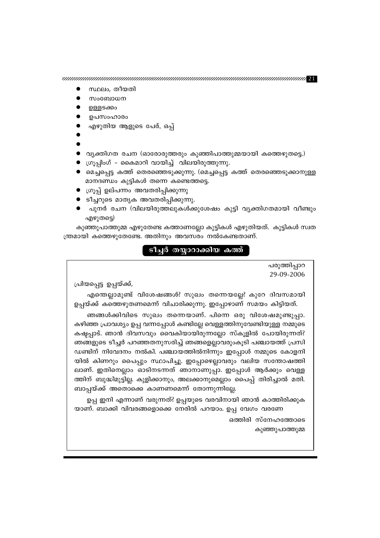ഉപ്പ ഇനി എന്നാണ് വരുന്നത്? ഉപ്പയുടെ വരവിനായി ഞാൻ കാത്തിരിക്കുക യാണ്. ബാക്കി വിവരങ്ങളൊക്കെ നേരിൽ പറയാം. ഉപ്പ വേഗം വരണേ

ഞങ്ങൾക്കിവിടെ സുഖം തന്നെയാണ്. പിന്നെ ഒരു വിശേഷമുണ്ടുപ്പാ. കഴിഞ്ഞ പ്രാവശ്യം ഉപ്പ വന്നപ്പോൾ കണ്ടില്ലേ വെള്ളത്തിനുവേണ്ടിയുള്ള നമ്മുടെ കഷ്ടപ്പാട്. ഞാൻ ദിവസവും വൈകിയായിരുന്നല്ലോ സ്കൂളിൽ പോയിരുന്നത്? ഞങ്ങളുടെ ടീച്ചർ പറഞ്ഞതനുസരിച്ച് ഞങ്ങളെല്ലാവരുംകൂടി പഞ്ചായത്ത് പ്രസി ഡണ്ടിന് നിവേദനം നൽകി. പഞ്ചായത്തിൽനിന്നും ഇപ്പോൾ നമ്മുടെ കോളനി യിൽ കിണറും പൈപ്പും സ്ഥാപിച്ചു. ഇപ്പോഴെല്ലാവരും വലിയ സന്തോഷത്തി ലാണ്. ഇതിനെല്ലാം ഓടിനടന്നത് ഞാനാണുപ്പാ. ഇപ്പോൾ ആർക്കും വെള്ള ത്തിന് ബുദ്ധിമുട്ടില്ല. കുളിക്കാനും, അലക്കാനുമെല്ലാം പൈപ്പ് തിരിച്ചാൽ മതി. ബാപ്പയ്ക്ക് അതൊക്കെ കാണണമെന്ന് തോന്നുന്നില്ലേ.

എന്തെല്ലാമുണ്ട് വിശേഷങ്ങൾ? സുഖം തന്നെയല്ലേ? കുറേ ദിവസമായി ഉപ്പയ്ക്ക് കത്തെഴുതണമെന്ന് വിചാരിക്കുന്നു. ഇപ്പോഴാണ് സമയം കിട്ടിയത്.

പ്രിയപ്പെട്ട ഉപ്പയ്ക്ക്,

29-09-2006

പരുത്തിപ്പാറ

ഒത്തിരി സ്നേഹത്തോടെ

കുഞ്ഞുപാത്തുമ്മ

### ടീച്ചർ തയ്യാറാക്കിയ കത്ത്

കുഞ്ഞുപാത്തുമ്മ എഴുതേണ്ട കത്താണല്ലോ കുട്ടികൾ എഴുതിയത്. കുട്ടികൾ സ്വത ന്ത്രമായി കത്തെഴുതേണ്ടേ. അതിനും അവസരം നൽകേണ്ടതാണ്.

- എഴുതട്ടെ)
- ടീച്ചറുടെ മാതൃക അവതരിപ്പിക്കുന്നു. ● പുനർ രചന (വിലയിരുത്തലുകൾക്കുശേഷം കുട്ടി വ്യക്തിഗതമായി വീണ്ടും
- ഗ്രൂപ്പ് ഉല്പന്നം അവതരിപ്പിക്കുന്നു
- മാനദണ്ഡം കുട്ടികൾ തന്നെ കണ്ടെത്തട്ടെ.
- ഗ്രൂപ്പിംഗ് കൈമാറി വായിച്ച് വിലയിരുത്തുന്നു. ● മെച്ചപ്പെട്ട കത്ത് തെരഞ്ഞെടുക്കുന്നു. (മെച്ചപ്പെട്ട കത്ത് തെരഞ്ഞെടുക്കാനുള്ള
- 
- വൃക്തിഗത രചന (ഓരോരുത്തരും കുഞ്ഞിപാത്തുമ്മയായി കത്തെഴുതട്ടെ.)
- 
- എഴുതിയ ആളുടെ പേര്, ഒപ്പ്
- ഉപസംഹാരം
- ഉള്ളടക്കം
- സംബോധന
- സ്ഥലം, തീയതി

 $\boldsymbol{P}$  . The construction of the construction of the construction of the construction of  $\boldsymbol{P}$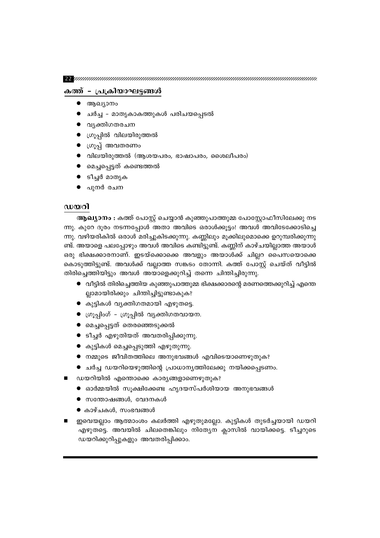${\bf 22}$  yuunnummuunnummuunnummuunnummuunnummuunnummuunnummuun

### കത്ത് - പ്രക്രിയാഘട്ടങ്ങൾ

- ആഖ്യാനം
- ചർച്ച മാതൃകാകത്തുകൾ പരിചയപ്പെടൽ
- വൃക്തിഗതരചന
- ഗ്രൂപ്പിൽ വിലയിരുത്തൽ
- ഗ്രൂപ്പ് അവതരണം
- വിലയിരുത്തൽ (ആശയപരം, ഭാഷാപരം, ശൈലീപരം)
- മെച്ചപ്പെട്ടത് കണ്ടെത്തൽ
- ടീച്ചർ മാതൃക
- പുനർ രചന

### ഡയറി

**ആഖ്യാനം :** കത്ത് പോസ്റ്റ് ചെയ്യാൻ കുഞ്ഞുപാത്തുമ്മ പോസ്റ്റോഫീസിലേക്കു നട ന്നു. കുറേ ദൂരം നടന്നപ്പോൾ അതാ അവിടെ ഒരാൾക്കൂട്ടം! അവൾ അവിടേക്കോടിച്ചെ ന്നു. വഴിയരികിൽ ഒരാൾ മരിച്ചുകിടക്കുന്നു. കണ്ണിലും മൂക്കിലുമൊക്കെ ഉറുമ്പരിക്കുന്നു ണ്ട്. അയാളെ പലപ്പോഴും അവൾ അവിടെ കണ്ടിട്ടുണ്ട്. കണ്ണിന് കാഴ്ചയില്ലാത്ത അയാൾ ഒരു ഭിക്ഷക്കാരനാണ്. ഇടയ്ക്കൊക്കെ അവളും അയാൾക്ക് ചില്ലറ പൈസയൊക്കെ കൊടുത്തിട്ടുണ്ട്. അവൾക്ക് വല്ലാത്ത സങ്കടം തോന്നി. കത്ത് പോസ്റ്റ് ചെയ്ത് വീട്ടിൽ തിരിച്ചെത്തിയിട്ടും അവൾ അയാളെക്കുറിച്ച് തന്നെ ചിന്തിച്ചിരുന്നു.

- വീട്ടിൽ തിരിച്ചെത്തിയ കുഞ്ഞുപാത്തുമ്മ ഭിക്ഷക്കാരന്റെ മരണത്തെക്കുറിച്ച് എന്തെ ല്ലാമായിരിക്കും ചിന്തിച്ചിട്ടുണ്ടാകുക?
- കുട്ടികൾ വൃക്തിഗതമായി എഴുതട്ടെ.
- ഗ്രൂപ്പിംഗ് ഗ്രൂപ്പിൽ വ്യക്തിഗതവായന.
- മെച്ചപ്പെട്ടത് തെരഞ്ഞെടുക്കൽ
- ടീച്ചർ എഴുതിയത് അവതരിപ്പിക്കുന്നു.
- കുട്ടികൾ മെച്ചപ്പെടുത്തി എഴുതുന്നു.
- $\bullet$  നമ്മുടെ ജീവിതത്തിലെ അനുഭവങ്ങൾ എവിടെയാണെഴുതുക?
- ചർച്ച ഡയറിയെഴുത്തിന്റെ പ്രാധാന്യത്തിലേക്കു നയിക്കപ്പെടണം.
- ഡയറിയിൽ എന്തൊക്കെ കാര്യങ്ങളാണെഴുതുക?
	- $\bullet$  ഓർമ്മയിൽ സൂക്ഷിക്കേണ്ട ഹൃദയസ്പർശിയായ അനുഭവങ്ങൾ
	- $\bullet$  സന്തോഷങ്ങൾ, വേദനകൾ
	- കാഴ്ചകൾ, സംഭവങ്ങൾ
- ഇവെയല്ലാം ആത്മാംശം കലർത്തി എഴുതുമല്ലോ. കുട്ടികൾ തുടർച്ചയായി ഡയറി എഴുതട്ടെ. അവയിൽ ചിലതെങ്കിലും നിത്യേന ക്ലാസിൽ വായിക്കട്ടെ. ടീച്ചറുടെ ഡയറിക്കുറിപ്പുകളും അവതരിപ്പിക്കാം.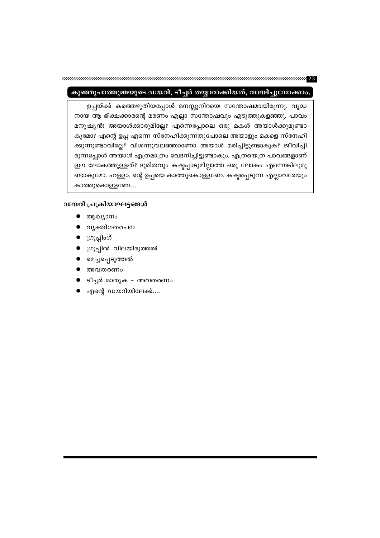### കുഞ്ഞുപാത്തുമ്മയുടെ ഡയറി, ടീച്ചർ തയ്യാറാക്കിയത്, വായിച്ചുനോക്കാം.

ഉപ്പയ്ക്ക് കത്തെഴുതിയപ്പോൾ മനസ്സുനിറയെ സന്തോഷമായിരുന്നു. വൃദ്ധ നായ ആ ഭിക്ഷക്കാരന്റെ മരണം എല്ലാ സന്തോഷവും എടുത്തുകളഞ്ഞു. പാവം മനുഷ്യൻ! അയാൾക്കാരുമില്ലേ? എന്നെപ്പോലെ ഒരു മകൾ അയാൾക്കുമുണ്ടാ കുമോ? എന്റെ ഉപ്പ എന്നെ സ്നേഹിക്കുന്നതുപോലെ അയാളും മകളെ സ്നേഹി ക്കുന്നുണ്ടാവില്ലേ? വിശന്നുവലഞ്ഞാണോ അയാൾ മരിച്ചിട്ടുണ്ടാകുക? ജീവിച്ചി രുന്നപ്പോൾ അയാൾ എത്രമാത്രം വേദനിച്ചിട്ടുണ്ടാകും. എത്രയെത്ര പാവങ്ങളാണ് ഈ ലോകത്തുള്ളത്? ദുരിതവും കഷ്ടപ്പാടുമില്ലാത്ത ഒരു ലോകം എന്നെങ്കിലുമു ണ്ടാകുമോ. ഹള്ളാ, ന്റെ ഉപ്പയെ കാത്തുകൊള്ളണേ. കഷ്ടപ്പെടുന്ന എല്ലാവരേയും കാത്തുകൊള്ളണേ....

### ഡയറി പ്രക്രിയാഘട്ടങ്ങൾ

- ആഖ്യാനം
- വൃക്തിഗതരചന
- ▶ ုဟၤ့္ပျါ၀ဟိ
- ഗ്രൂപ്പിൽ വിലയിരുത്തൽ
- മെച്ചപ്പെടുത്തൽ
- അവതരണം
- ടീച്ചർ മാതൃക അവതരണം
- എന്റെ ഡയറിയിലേക്ക്....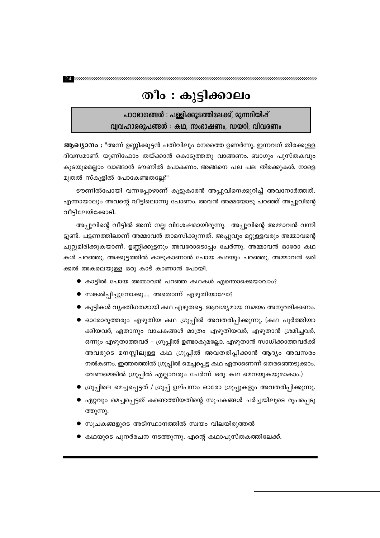${\bf 24}$ ynnammannammannammannammannammannammannammannammannam

## തീം : കുട്ടിക്കാലം

പാഠഭാഗങ്ങൾ : പള്ളിക്കൂടത്തിലേക്ക്, മുന്നറിയിപ്പ് വ്വവഹാരരൂപങ്ങൾ : കഥ, സംഭാഷണം, ഡയറി, വിവരണം

**ആഖ്യാനം :** "അന്ന് ഉണ്ണിക്കുട്ടൻ പതിവിലും നേരത്തെ ഉണർന്നു. ഇന്നവന് തിരക്കുള്ള ദിവസമാണ്. യൂണിഫോം തയ്ക്കാൻ കൊടുത്തതു വാങ്ങണം. ബാഗും പുസ്തകവും കുടയുമെല്ലാം വാങ്ങാൻ ടൗണിൽ പോകണം, അങ്ങനെ പല പല തിരക്കുകൾ. നാളെ മുതൽ സ്കൂളിൽ പോകേണ്ടതല്ലേ?"

ടൗണിൽപോയി വന്നപ്പോഴാണ് കൂട്ടുകാരൻ അപ്പുവിനെക്കുറിച്ച് അവനോർത്തത്. എന്തായാലും അവന്റെ വീട്ടിലൊന്നു പോണം. അവൻ അമ്മയോടു പറഞ്ഞ് അപ്പുവിന്റെ വീട്ടിലേയ്ക്കോടി.

അപ്പുവിന്റെ വീട്ടിൽ അന്ന് നല്ല വിശേഷമായിരുന്നു. അപ്പുവിന്റെ അമ്മാവൻ വന്നി ട്ടുണ്ട്. പട്ടണത്തിലാണ് അമ്മാവൻ താമസിക്കുന്നത്. അപ്പുവും മറ്റുള്ളവരും അമ്മാവന്റെ ചുറ്റുമിരിക്കുകയാണ്. ഉണ്ണിക്കുട്ടനും അവരോടൊപ്പം ചേർന്നു. അമ്മാവൻ ഓരോ കഥ കൾ പറഞ്ഞു. അക്കൂട്ടത്തിൽ കാടുകാണാൻ പോയ കഥയും പറഞ്ഞു. അമ്മാവൻ ഒരി ക്കൽ അകലെയുള്ള ഒരു കാട് കാണാൻ പോയി.

- $\bullet$  കാട്ടിൽ പോയ അമ്മാവൻ പറഞ്ഞ കഥകൾ എന്തൊക്കെയാവാം?
- സങ്കൽപ്പിച്ചുനോക്കൂ…. അതൊന്ന് എഴുതിയാലോ?
- കുട്ടികൾ വൃക്തിഗതമായി കഥ എഴുതട്ടെ. ആവശ്യമായ സമയം അനുവദിക്കണം.
- $\bullet$  ഓരോരുത്തരും എഴുതിയ കഥ ഗ്രൂപ്പിൽ അവതരിപ്പിക്കുന്നു. (കഥ പൂർത്തിയാ ക്കിയവർ, ഏതാനും വാചകങ്ങൾ മാത്രം എഴുതിയവർ, എഴുതാൻ ശ്രമിച്ചവർ, ഒന്നും എഴുതാത്തവർ – ഗ്രൂപ്പിൽ ഉണ്ടാകുമല്ലോ. എഴുതാൻ സാധിക്കാത്തവർക്ക് അവരുടെ മനസ്സിലുള്ള കഥ ഗ്രൂപ്പിൽ അവതരിപ്പിക്കാൻ ആദ്യം അവസരം നൽകണം. ഇത്തരത്തിൽ ഗ്രൂപ്പിൽ മെച്ചപ്പെട്ട കഥ ഏതാണെന്ന് തെരഞ്ഞെടുക്കാം. വേണമെങ്കിൽ ഗ്രൂപ്പിൽ എല്ലാവരും ചേർന്ന് ഒരു കഥ മെനയുകയുമാകാം.)
- ഗ്രൂപ്പിലെ മെച്ചപ്പെട്ടത് / ഗ്രൂപ്പ് ഉല്പന്നം ഓരോ ഗ്രൂപ്പുകളും അവതരിപ്പിക്കുന്നു.
- $\bullet$  ഏറ്റവും മെച്ചപ്പെട്ടത് കണ്ടെത്തിയതിന്റെ സൂചകങ്ങൾ ചർച്ചയിലൂടെ രൂപപ്പെടു ത്തുന്നു.
- സൂചകങ്ങളുടെ അടിസ്ഥാനത്തിൽ സ്വയം വിലയിരുത്തൽ
- കഥയുടെ പുനർരചന നടത്തുന്നു. എന്റെ കഥാപുസ്തകത്തിലേക്ക്.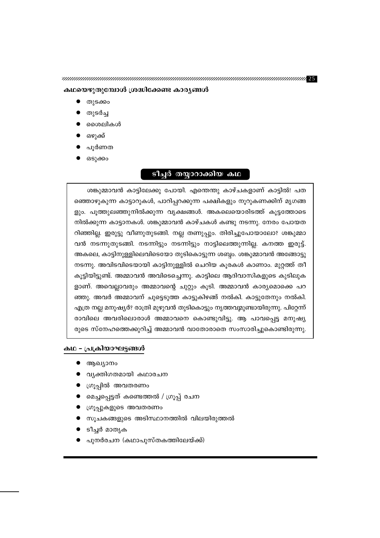<u>ടീച്ചർ തയ്യാറാക്കിയ കഥ</u>

ശങ്കുമ്മാവൻ കാട്ടിലേക്കു പോയി. എന്തെന്തു കാഴ്ചകളാണ് കാട്ടിൽ! പത ഞ്ഞൊഴുകുന്ന കാട്ടാറുകൾ, പാറിപ്പറക്കുന്ന പക്ഷികളും നൂറുകണക്കിന് മൃഗങ്ങ ളും. പൂത്തുലഞ്ഞുനിൽക്കുന്ന വൃക്ഷങ്ങൾ. അകലെയൊരിടത്ത് കൂട്ടത്തോടെ നിൽക്കുന്ന കാട്ടാനകൾ. ശങ്കുമ്മാവൻ കാഴ്ചകൾ കണ്ടു നടന്നു. നേരം പോയത റിഞ്ഞില്ല. ഇരുട്ടു വീണുതുടങ്ങി. നല്ല തണുപ്പും. തിരിച്ചുപോയാലോ? ശങ്കുമ്മാ വൻ നടന്നുതുടങ്ങി. നടന്നിട്ടും നടന്നിട്ടും നാട്ടിലെത്തുന്നില്ല. കനത്ത ഇരുട്ട്. അകലെ, കാട്ടിനുള്ളിലെവിടെയോ തുടികൊട്ടുന്ന ശബ്ദം. ശങ്കുമ്മാവൻ അങ്ങോട്ടു നടന്നു. അവിടവിടെയായി കാട്ടിനുള്ളിൽ ചെറിയ കൂരകൾ കാണാം. മുറ്റത്ത് തീ കൂട്ടിയിട്ടുണ്ട്. അമ്മാവൻ അവിടെച്ചെന്നു. കാട്ടിലെ ആദിവാസികളുടെ കുടിലുക ളാണ്. അവെല്ലാവരും അമ്മാവന്റെ ചുറ്റും കൂടി. അമ്മാവൻ കാര്യമൊക്കെ പറ ഞ്ഞു. അവർ അമ്മാവന് ചുട്ടെടുത്ത കാട്ടുകിഴങ്ങ് നൽകി. കാട്ടുതേനും നൽകി. എത്ര നല്ല മനുഷ്യർ? രാത്രി മുഴുവൻ തുടികൊട്ടും നൃത്തവുമുണ്ടായിരുന്നു. പിറ്റേന്ന് രാവിലെ അവരിലൊരാൾ അമ്മാവനെ കൊണ്ടുവിട്ടു. ആ പാവപ്പെട്ട മനുഷ്യ രുടെ സ്നേഹത്തെക്കുറിച്ച് അമ്മാവൻ വാതോരാതെ സംസാരിച്ചുകൊണ്ടിരുന്നു.

### കഥയെഴുതുമ്പോൾ ശ്രദ്ധിക്കേണ്ട കാര്യങ്ങൾ

തുടർച്ച

ഒഴുക്ക് പൂർണത ഒടുക്കം

ശൈലികൾ

കഥ - പ്രക്രിയാഘട്ടങ്ങൾ

ആഖ്യാനം

ടീച്ചർ മാതൃക

വ്യക്തിഗതമായി കഥാരചന

ഗ്രൂപ്പുകളുടെ അവതരണം

മെച്ചപ്പെട്ടത് കണ്ടെത്തൽ / ഗ്രൂപ്പ് രചന

പുനർരചന (കഥാപുസ്തകത്തിലേയ്ക്ക്)

സൂചകങ്ങളുടെ അടിസ്ഥാനത്തിൽ വിലയിരുത്തൽ

ഗ്രൂപ്പിൽ അവതരണം

തുടക്കം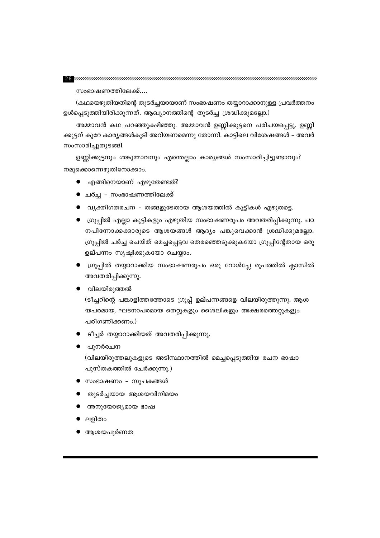#### 

സംഭാഷണത്തിലേക്ക്....

(കഥയെഴുതിയതിന്റെ തുടർച്ചയായാണ് സംഭാഷണം തയ്യാറാക്കാനുള്ള പ്രവർത്തനം ഉൾപ്പെടുത്തിയിരിക്കുന്നത്. ആഖ്യാനത്തിന്റെ തുടർച്ച ശ്രദ്ധിക്കുമല്ലോ.)

അമ്മാവൻ കഥ പറഞ്ഞുകഴിഞ്ഞു. അമ്മാവൻ ഉണ്ണിക്കുട്ടനെ പരിചയപ്പെട്ടു. ഉണ്ണി ക്കുട്ടന് കുറേ കാര്യങ്ങൾകൂടി അറിയണമെന്നു തോന്നി. കാട്ടിലെ വിശേഷങ്ങൾ – അവർ സംസാരിച്ചുതുടങ്ങി.

ഉണ്ണിക്കുട്ടനും ശങ്കുമ്മാവനും എന്തെല്ലാം കാര്യങ്ങൾ സംസാരിച്ചിട്ടുണ്ടാവും? നമുക്കൊന്നെഴുതിനോക്കാം.

- $\bullet$  എങ്ങിനെയാണ് എഴുതേണ്ടത്?
- ചർച്ച സംഭാഷണത്തിലേക്ക്
- $\bullet$  വ്യക്തിഗതരചന തങ്ങളുടേതായ ആശയത്തിൽ കുട്ടികൾ എഴുതട്ടെ.
- $\bullet$  ഭഗൂപ്പിൽ എല്ലാ കുട്ടികളും എഴുതിയ സംഭാഷണരൂപം അവതരിപ്പിക്കുന്നു. പഠ നപിന്നോക്കക്കാരുടെ ആശയങ്ങൾ ആദ്യം പങ്കുവെക്കാൻ ശ്രദ്ധിക്കുമല്ലോ. ഗ്രൂപ്പിൽ ചർച്ച ചെയ്ത് മെച്ചപ്പെട്ടവ തെരഞ്ഞെടുക്കുകയോ ഗ്രൂപ്പിന്റേതായ ഒരു ഉല്പന്നം സൃഷ്ടിക്കുകയോ ചെയ്യാം.
- $\bullet$  ഗ്രൂപ്പിൽ തയ്യാറാക്കിയ സംഭാഷണരൂപം ഒരു റോൾപ്ലേ രൂപത്തിൽ ക്ലാസിൽ അവതരിപ്പിക്കുന്നു.
- വിലയിരുത്തൽ

(ടീച്ചറിന്റെ പങ്കാളിത്തത്തോടെ ഗ്രൂപ്പ് ഉല്പന്നങ്ങളെ വിലയിരുത്തുന്നു. ആശ യപരമായ, ഘടനാപരമായ തെറ്റുകളും ശൈലികളും അക്ഷരത്തെറ്റുകളും പരിഗണിക്കണം.)

- ▶ ടീച്ചർ തയ്യാറാക്കിയത് അവതരിപ്പിക്കുന്നു.
- പുനർരചന

(വിലയിരുത്തലുകളുടെ അടിസ്ഥാനത്തിൽ മെച്ചപ്പെടുത്തിയ രചന ഭാഷാ പുസ്തകത്തിൽ ചേർക്കുന്നു.)

- സംഭാഷണം സൂചകങ്ങൾ
- തുടർച്ചയായ ആശയവിനിമയം
- അനുയോജ്യമായ ഭാഷ
- ലളിതം
- ആശയപൂർണത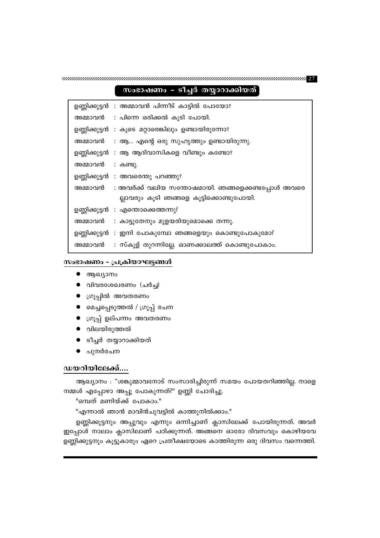ഉണ്ണിക്കുട്ടനും അപ്പുവും എന്നും ഒന്നിച്ചാണ് ക്ലാസിലേക്ക് പോയിരുന്നത്. അവർ ഇപ്പോൾ നാലാം ക്ലാസിലാണ് പഠിക്കുന്നത്. അങ്ങനെ ഓരോ ദിവസവും കൊഴിയവേ ഉണ്ണിക്കുട്ടനും കൂട്ടുകാരും ഏറെ പ്രതീക്ഷയോടെ കാത്തിരുന്ന ഒരു ദിവസം വന്നെത്തി.

"എന്നാൽ ഞാൻ മാവിൻചുവട്ടിൽ കാത്തുനിൽക്കാം."

നമ്മൾ എപ്പോഴാ അപ്പൂ പോകുന്നത്?" ഉണ്ണി ചോദിച്ചു. "ഒമ്പത് മണിയ്ക്ക് പോകാം."

ആഖ്യാനം : "ശങ്കുമ്മാവനോട് സംസാരിച്ചിരുന്ന് സമയം പോയതറിഞ്ഞില്ല. നാളെ

### ഡയറിയിലേക്ക്....

- 
- പുനർരചന
- ടീച്ചർ തയ്യാറാക്കിയത്
- വിലയിരുത്തൽ
- ഗ്രൂപ്പ് ഉല്പന്നം അവതരണം
- മെച്ചപ്പെടുത്തൽ / ഗ്രൂപ്പ് രചന
- 
- 
- 
- 

: കണ്ടു. ഉണ്ണിക്കുട്ടൻ : അവരെന്തു പറഞ്ഞു?

ഉണ്ണിക്കുട്ടൻ : എന്തൊക്കെത്തന്നു?

- 
- 
- 
- 
- ഗ്രൂപ്പിൽ അവതരണം
- 
- 
- 
- 
- 
- 
- 
- 
- 
- 
- 
- 
- 
- 
- 
- 
- 
- 
- 
- 
- 
- 
- $\bullet$  വിവരശേഖരണം (ചർച്ച)

സംഭാഷണം - പ്രക്രിയാഘട്ടങ്ങൾ

 $\bullet$  ആഖ്യാനം

അമ്മാവൻ

അമ്മാവൻ

അമ്മാവൻ

അമ്മാവൻ

അമ്മാവൻ

#### ഉണ്ണിക്കുട്ടൻ : അമ്മാവൻ പിന്നീട് കാട്ടിൽ പോയോ? : പിന്നെ ഒരിക്കൽ കൂടി പോയി. അമ്മാവൻ

ഉണ്ണിക്കുട്ടൻ : കൂടെ മറ്റാരെങ്കിലും ഉണ്ടായിരുന്നോ?

ഉണ്ണിക്കുട്ടൻ : ആ ആദിവാസികളെ വീണ്ടും കണ്ടോ?

### സംഭാഷണം - ടീച്ചർ തയ്യാറാക്കിയത്

: ആ... എന്റെ ഒരു സുഹൃത്തും ഉണ്ടായിരുന്നു.

ല്ലാവരും കൂടി ഞങ്ങളെ കൂട്ടിക്കൊണ്ടുപോയി.

: സ്കൂള് തുറന്നില്ലേ. ഓണക്കാലത്ത് കൊണ്ടുപോകാം.

: കാട്ടുതേനും മുളയരിയുമൊക്കെ തന്നു.

ഉണ്ണിക്കുട്ടൻ : ഇനി പോകുമ്പോ ഞങ്ങളെയും കൊണ്ടുപോകുമോ?

: അവർക്ക് വലിയ സന്തോഷമായി. ഞങ്ങളെക്കണ്ടപ്പോൾ അവരെ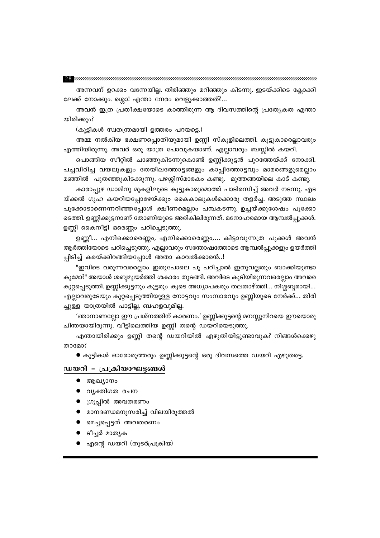#### ${\bf 28}$  униципителенно полности полности полности полности полности полности

അന്നവന് ഉറക്കം വന്നേയില്ല. തിരിഞ്ഞും മറിഞ്ഞും കിടന്നു. ഇടയ്ക്കിടെ ക്ലോക്കി ലേക്ക് നോക്കും. ശ്ശൊ! എന്താ നേരം വെളുക്കാത്തത്?...

അവൻ ഇത്ര പ്രതീക്ഷയോടെ കാത്തിരുന്ന ആ ദിവസത്തിന്റെ പ്രത്യേകത എന്താ യിരിക്കും?

(കുട്ടികൾ സ്വതന്ത്രമായി ഉത്തരം പറയട്ടെ.)

അമ്മ നൽകിയ ഭക്ഷണപ്പൊതിയുമായി ഉണ്ണി സ്കൂളിലെത്തി. കൂട്ടുകാരെല്ലാവരും എത്തിയിരുന്നു. അവർ ഒരു യാത്ര പോവുകയാണ്. എല്ലാവരും ബസ്സിൽ കയറി.

പൊങ്ങിയ സീറ്റിൽ ചാഞ്ഞുകിടന്നുകൊണ്ട് ഉണ്ണിക്കുട്ടൻ പുറത്തേയ്ക്ക് നോക്കി. പച്ചവിരിച്ച വയലുകളും തേയിലത്തോട്ടങ്ങളും കാപ്പിത്തോട്ടവും മാമരങ്ങളുമെല്ലാം മഞ്ഞിൽ പുതഞ്ഞുകിടക്കുന്നു. പഴശ്ശിസ്മാരകം കണ്ടു. മുത്തങ്ങയിലെ കാട് കണ്ടു.

കാരാപ്പുഴ ഡാമിനു മുകളിലൂടെ കൂട്ടുകാരുമൊത്ത് പാടിരസിച്ച് അവർ നടന്നു. എട യ്ക്കൽ ഗുഹ കയറിയപ്പോഴേയ്ക്കും കൈകാലുകൾക്കൊരു തളർച്ച. അടുത്ത സ്ഥലം പൂക്കോടാണെന്നറിഞ്ഞപ്പോൾ ക്ഷീണമെല്ലാം പമ്പകടന്നു. ഉച്ചയ്ക്കുശേഷം പൂക്കോ ടെത്തി. ഉണ്ണിക്കുട്ടനാണ് തോണിയുടെ അരികിലിരുന്നത്. മനോഹരമായ ആമ്പൽപ്പൂക്കൾ. ഉണ്ണി കൈനീട്ടി ഒരെണ്ണം പറിച്ചെടുത്തു.

ഉണ്ണീ... എനിക്കൊരെണ്ണം, എനിക്കൊരെണ്ണം,... കിട്ടാവുന്നത്ര പൂക്കൾ അവൻ ആർത്തിയോടെ പറിച്ചെടുത്തു. എല്ലാവരും സന്തോഷത്തോടെ ആമ്പൽപ്പൂക്കളും ഉയർത്തി പ്പിടിച്ച് കരയ്ക്കിറങ്ങിയപ്പോൾ അതാ കാവൽക്കാരൻ..!

"ഇവിടെ വരുന്നവരെല്ലാം ഇതുപോലെ പൂ പറിച്ചാൽ ഇതുവല്ലതും ബാക്കിയുണ്ടാ കുമോ?" അയാൾ ശബ്ബമുയർത്തി ശകാരം തുടങ്ങി. അവിടെ കൂടിയിരുന്നവരെല്ലാം അവരെ കുറ്റപ്പെടുത്തി. ഉണ്ണിക്കുട്ടനും കൂട്ടരും കൂടെ അധ്യാപകരും തലതാഴ്ത്തി... നിശ്ശബ്ദരായി... എല്ലാവരുടേയും കുറ്റപ്പെടുത്തിയുള്ള നോട്ടവും സംസാരവും ഉണ്ണിയുടെ നേർക്ക്... തിരി ച്ചുള്ള യാത്രയിൽ പാട്ടില്ല, ബഹളവുമില്ല.

'ഞാനാണല്ലോ ഈ പ്രശ്നത്തിന് കാരണം.' ഉണ്ണിക്കുട്ടന്റെ മനസ്സുനിറയെ ഈയൊരു ചിന്തയായിരുന്നു. വീട്ടിലെത്തിയ ഉണ്ണി തന്റെ ഡയറിയെടുത്തു.

എന്തായിരിക്കും ഉണ്ണി തന്റെ ഡയറിയിൽ എഴുതിയിട്ടുണ്ടാവുക? നിങ്ങൾക്കെഴു താമോ?

 $\bullet$  കുട്ടികൾ ഓരോരുത്തരും ഉണ്ണിക്കുട്ടന്റെ ഒരു ദിവസത്തെ ഡയറി എഴുതട്ടെ.

### ഡയറി - പ്രക്രിയാഘട്ടങ്ങൾ

- $\bullet$  ആഖ്യാനം
- വൃക്തിഗത രചന
- 
- $\bullet$  ഗ്രൂപ്പിൽ അവതരണം

● ടീച്ചർ മാതൃക

- 
- 
- 
- 
- 
- 
- 
- മാനദണ്ഡമനുസരിച്ച് വിലയിരുത്തൽ
- 
- 
- 
- 
- 
- 
- മെച്ചപ്പെട്ടത് അവതരണം

● എന്റെ ഡയറി (തുടർപ്രക്രിയ)

- 
-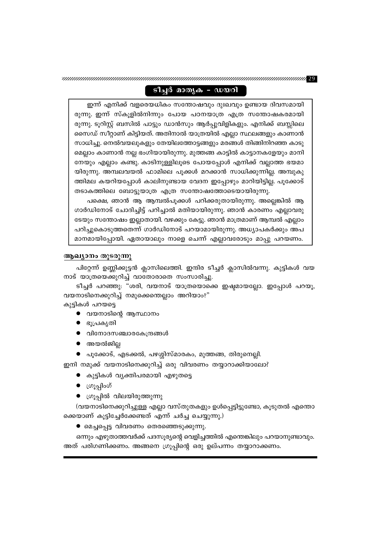### ടീച്ചർ മാതൃക - ഡയറി

ഇന്ന് എനിക്ക് വളരെയധികം സന്തോഷവും ദുഃഖവും ഉണ്ടായ ദിവസമായി രുന്നു. ഇന്ന് സ്കൂളിൽനിന്നും പോയ പഠനയാത്ര എത്ര സന്തോഷകരമായി രുന്നു. ടൂറിസ്റ്റ് ബസിൽ പാട്ടും ഡാൻസും ആർപ്പുവിളികളും. എനിക്ക് ബസ്സിലെ സൈഡ് സീറ്റാണ് കിട്ടിയത്. അതിനാൽ യാത്രയിൽ എല്ലാ സ്ഥലങ്ങളും കാണാൻ സാധിച്ചു. നെൽവയലുകളും തേയിലത്തോട്ടങ്ങളും മരങ്ങൾ തിങ്ങിനിറഞ്ഞ കാടു മെല്ലാം കാണാൻ നല്ല ഭംഗിയായിരുന്നു. മുത്തങ്ങ കാട്ടിൽ കാട്ടാനകളേയും മാനി നേയും എല്ലാം കണ്ടു. കാടിനുള്ളിലൂടെ പോയപ്പോൾ എനിക്ക് വല്ലാത്ത ഭയമാ യിരുന്നു. അമ്പലവയൽ ഫാമിലെ പൂക്കൾ മറക്കാൻ സാധിക്കുന്നില്ല. അമ്പുകു ത്തിമല കയറിയപ്പോൾ കാലിനുണ്ടായ വേദന ഇപ്പോഴും മാറിയിട്ടില്ല. പൂക്കോട് തടാകത്തിലെ ബോട്ടുയാത്ര എത്ര സന്തോഷത്തോടെയായിരുന്നു.

പക്ഷെ, ഞാൻ ആ ആമ്പൽപൂക്കൾ പറിക്കരുതായിരുന്നു. അല്ലെങ്കിൽ ആ ഗാർഡിനോട് ചോദിച്ചിട്ട് പറിച്ചാൽ മതിയായിരുന്നു. ഞാൻ കാരണം എല്ലാവരു ടേയും സന്തോഷം ഇല്ലാതായി. വഴക്കും കേട്ടു. ഞാൻ മാത്രമാണ് ആമ്പൽ എല്ലാം പറിച്ചുകൊടുത്തതെന്ന് ഗാർഡിനോട് പറയാമായിരുന്നു. അധ്യാപകർക്കും അപ മാനമായിപ്പോയി. ഏതായാലും നാളെ ചെന്ന് എല്ലാവരോടും മാപ്പു പറയണം.

### ആഖ്യാനം തുടരുന്നു

പിറ്റേന്ന് ഉണ്ണിക്കുട്ടൻ ക്ലാസിലെത്തി. ഇന്ദിര ടീച്ചർ ക്ലാസിൽവന്നു. കുട്ടികൾ വയ നാട് യാത്രയെക്കുറിച്ച് വാതോരാതെ സംസാരിച്ചു.

ടീച്ചർ പറഞ്ഞു: "ശരി, വയനാട് യാത്രയൊക്കെ ഇഷ്ടമായല്ലോ. ഇപ്പോൾ പറയൂ, വയനാടിനെക്കുറിച്ച് നമുക്കെന്തെല്ലാം അറിയാം?"

കുട്ടികൾ പറയട്ടെ

- $\bullet$  വയനാടിന്റെ ആസ്ഥാനം
- ഭൂപ്രകൃതി
- വിനോദസഞ്ചാരകേന്ദ്രങ്ങൾ
- $\bullet$  അയൽജില്ല
- പൂക്കോട്, എടക്കൽ, പഴശ്ശിസ്മാരകം, മുത്തങ്ങ, തിരുനെല്ലി.

ഇനി നമുക്ക് വയനാടിനെക്കുറിച്ച് ഒരു വിവരണം തയ്യാറാക്കിയാലോ?

- കുട്ടികൾ വൃക്തിപരമായി എഴുതട്ടെ
- $\bullet$  ကြွကျေတိ
- ഗ്രൂപ്പിൽ വിലയിരുത്തുന്നു

(വയനാടിനെക്കുറിച്ചുള്ള എല്ലാ വസ്തുതകളും ഉൾപ്പെട്ടിട്ടുണ്ടോ, കൂടുതൽ എന്തൊ ക്കെയാണ് കൂട്ടിച്ചേർക്കേണ്ടത് എന്ന് ചർച്ച ചെയ്യുന്നു.)

● മെച്ചപ്പെട്ട വിവരണം തെരഞ്ഞെടുക്കുന്നു.

ഒന്നും എഴുതാത്തവർക്ക് പദസൂര്യന്റെ വെളിച്ചത്തിൽ എന്തെങ്കിലും പറയാനുണ്ടാവും. അത് പരിഗണിക്കണം. അങ്ങനെ ഗ്രൂപ്പിന്റെ ഒരു ഉല്പന്നം തയ്യാറാക്കണം.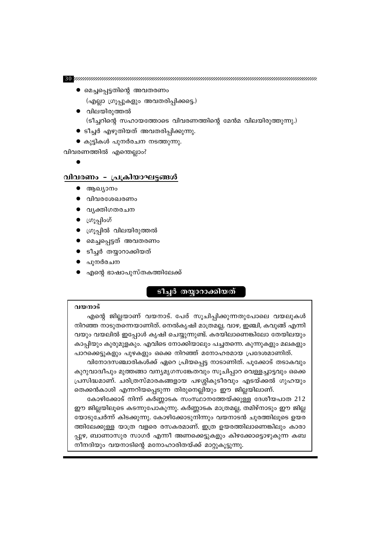(ടീച്ചറിന്റെ സഹായത്തോടെ വിവരണത്തിന്റെ മേൻമ വിലയിരുത്തുന്നു.)

● മെച്ചപ്പെട്ടതിന്റെ അവതരണം

● വിലയിരുത്തൽ

വിവരണത്തിൽ എന്തെല്ലാം?

ആഖ്യാനം

 $\bullet$  ကျွန္ပူ၀ဟိ

പുനർരചന

വിവരശേഖരണം വൃക്തിഗതരചന

● ഗ്രൂപ്പിൽ വിലയിരുത്തൽ ● മെച്ചപ്പെട്ടത് അവതരണം ടീച്ചർ തയ്യാറാക്കിയത്

● എന്റെ ഭാഷാപുസ്തകത്തിലേക്ക്

(എല്ലാ ഗ്രൂപ്പുകളും അവതരിപ്പിക്കട്ടെ.)

● ടീച്ചർ എഴുതിയത് അവതരിപ്പിക്കുന്നു.

● കുട്ടികൾ പുനർരചന നടത്തുന്നു.

<u>വിവരണം - പ്രക്രിയാഘട്ടങ്ങൾ</u>

### <u>ടീച്ചർ തയ്യാറാക്കിയത്</u>

### വയനാട്

എന്റെ ജില്ലയാണ് വയനാട്. പേര് സൂചിപ്പിക്കുന്നതുപോലെ വയലുകൾ നിറഞ്ഞ നാടുതന്നെയാണിത്. നെൽകൃഷി മാത്രമല്ല, വാഴ, ഇഞ്ചി, കവുങ്ങ് എന്നി വയും വയലിൽ ഇപ്പോൾ കൃഷി ചെയ്യുന്നുണ്ട്. കരയിലാണെങ്കിലോ തേയിലയും കാപ്പിയും കുരുമുളകും. എവിടെ നോക്കിയാലും പച്ചതന്നെ. കുന്നുകളും മലകളും പാറക്കെട്ടുകളും പുഴകളും ഒക്കെ നിറഞ്ഞ് മനോഹരമായ പ്രദേശമാണിത്.

വിനോദസഞ്ചാരികൾക്ക് ഏറെ പ്രിയപ്പെട്ട നാടാണിത്. പൂക്കോട് തടാകവും കുറുവാദ്വീപും മുത്തങ്ങാ വന്യമൃഗസങ്കേതവും സൂചിപ്പാറ വെള്ളച്ചാട്ടവും ഒക്കെ പ്രസിദ്ധമാണ്. ചരിത്രസ്മാരകങ്ങളായ പഴശ്ശികുടീരവും എടയ്ക്കൽ ഗുഹയും തെക്കൻകാശി എന്നറിയപ്പെടുന്ന തിരുനെല്ലിയും ഈ ജില്ലയിലാണ്.

കോഴിക്കോട് നിന്ന് കർണ്ണാടക സംസ്ഥാനത്തേയ്ക്കുള്ള ദേശീയപാത 212 ഈ ജില്ലയിലൂടെ കടന്നുപോകുന്നു. കർണ്ണാടക മാത്രമല്ല, തമിഴ്നാടും ഈ ജില്ല യോടുചേർന്ന് കിടക്കുന്നു. കോഴിക്കോടുനിന്നും വയനാടൻ ചുരത്തിലൂടെ ഉയര ത്തിലേക്കുള്ള യാത്ര വളരെ രസകരമാണ്. ഇത്ര ഉയരത്തിലാണെങ്കിലും കാരാ പ്പുഴ, ബാണാസുര സാഗർ എന്നീ അണക്കെട്ടുകളും കിഴക്കോട്ടൊഴുകുന്ന കബ നീനദിയും വയനാടിന്റെ മനോഹാരിതയ്ക്ക് മാറ്റുകൂട്ടുന്നു.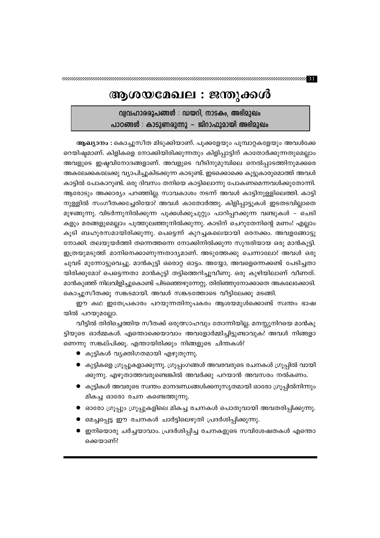## ആശയമേഖല : ജന്തുക്കൾ

വ്വവഹാരരൂപങ്ങൾ : ഡയറി, നാടകം, അഭിമുഖം പാഠങ്ങൾ : കാടുണരുന്നു – ജിറാഫുമായി അഭിമുഖം

ആഖ്യാനം : കൊച്ചുസീത മിടുക്കിയാണ്. പൂക്കളേയും പൂമ്പാറ്റകളേയും അവൾക്കേ റെയിഷ്ടമാണ്. കിളികളെ നോക്കിയിരിക്കുന്നതും കിളിപ്പാട്ടിന് കാതോർക്കുന്നതുമെല്ലാം അവളുടെ ഇഷ്ടവിനോദങ്ങളാണ്. അവളുടെ വീടിനുമുമ്പിലെ നെൽപ്പാടത്തിനുമക്കരെ അകലേക്കകലേക്കു വ്യാപിച്ചുകിടക്കുന്ന കാടുണ്ട്. ഇടക്കൊക്കെ കൂട്ടുകാരുമൊത്ത് അവൾ കാട്ടിൽ പോകാറുണ്ട്. ഒരു ദിവസം തനിയെ കാട്ടിലൊന്നു പോകണമെന്നവൾക്കുതോന്നി. ആരോടും അക്കാര്യം പറഞ്ഞില്ല. സാവകാശം നടന്ന് അവൾ കാട്ടിനുള്ളിലെത്തി. കാട്ടി നുള്ളിൽ സംഗീതക്കച്ചേരിയോ? അവൾ കാതോർത്തു. കിളിപ്പാട്ടുകൾ ഇടതടവില്ലാതെ മുഴങ്ങുന്നു. വിടർന്നുനിൽക്കുന്ന പൂക്കൾക്കുചുറ്റും പാറിപ്പറക്കുന്ന വണ്ടുകൾ - ചെടി കളും മരങ്ങളുമെല്ലാം പൂത്തുലഞ്ഞുനിൽക്കുന്നു. കാടിന് ചെറുതേനിന്റെ മണം! എല്ലാം കൂടി ബഹുരസമായിരിക്കുന്നു. പെട്ടെന്ന് കുറച്ചകലെയായി ഒരനക്കം. അവളങ്ങോട്ടു നോക്കി. തലയുയർത്തി തന്നെത്തന്നെ നോക്കിനിൽക്കുന്ന സുന്ദരിയായ ഒരു മാൻകുട്ടി. ഇത്രയുമടുത്ത് മാനിനെക്കാണുന്നതാദ്യമാണ്. അടുത്തേക്കു ചെന്നാലോ? അവൾ ഒരു ചുവട് മുന്നോട്ടുവെച്ചു. മാൻകുട്ടി ഒരൊറ്റ ഓട്ടം. അയ്യോ, അവളെന്നെക്കണ്ട് പേടിച്ചതാ യിരിക്കുമോ? പെട്ടെന്നതാ മാൻകുട്ടി തട്ടിത്തെറിച്ചുവീണു. ഒരു കുഴിയിലാണ് വീണത്. മാൻകുഞ്ഞ് നിലവിളിച്ചുകൊണ്ട് പിടഞ്ഞെഴുന്നേറ്റു. തിരിഞ്ഞുനോക്കാതെ അകലേക്കോടി. കൊച്ചുസീതക്കു സങ്കടമായി. അവൾ സങ്കടത്തോടെ വീട്ടിലേക്കു മടങ്ങി.

ഈ കഥ ഇതേപ്രകാരം പറയുന്നതിനുപകരം ആശയമുൾക്കൊണ്ട് സ്വന്തം ഭാഷ യിൽ പറയുമല്ലോ.

വീട്ടിൽ തിരിച്ചെത്തിയ സീതക്ക് ഒരുത്സാഹവും തോന്നിയില്ല. മനസ്സുനിറയെ മാൻകു ട്ടിയുടെ ഓർമ്മകൾ. എന്തൊക്കെയാവാം അവളോർമ്മിച്ചിട്ടുണ്ടാവുക? അവൾ നിങ്ങളാ ണെന്നു സങ്കല്പിക്കൂ. എന്തായിരിക്കും നിങ്ങളുടെ ചിന്തകൾ?

- കുട്ടികൾ വ്യക്തിഗതമായി എഴുതുന്നു.
- കുട്ടികളെ ഗ്രൂപ്പുകളാക്കുന്നു. ഗ്രൂപ്പംഗങ്ങൾ അവരവരുടെ രചനകൾ ഗ്രൂപ്പിൽ വായി ക്കുന്നു. എഴുതാത്തവരുണ്ടെങ്കിൽ അവർക്കു പറയാൻ അവസരം നൽകണം.
- കുട്ടികൾ അവരുടെ സ്വന്തം മാനദണ്ഡങ്ങൾക്കനുസൃതമായി ഓരോ ഗ്രൂപ്പിൽനിന്നും മികച്ച ഓരോ രചന കണ്ടെത്തുന്നു.
- ഓരോ ഗ്രൂപ്പും ഗ്രൂപ്പുകളിലെ മികച്ച രചനകൾ പൊതുവായി അവതരിപ്പിക്കുന്നു.
- മെച്ചപ്പെട്ട ഈ രചനകൾ ചാർട്ടിലെഴുതി പ്രദർശിപ്പിക്കുന്നു.
- $\bullet$  ഇനിയൊരു ചർച്ചയാവാം. പ്രദർശിപ്പിച്ച രചനകളുടെ സവിശേഷതകൾ എന്തൊ ക്കെയാണ്?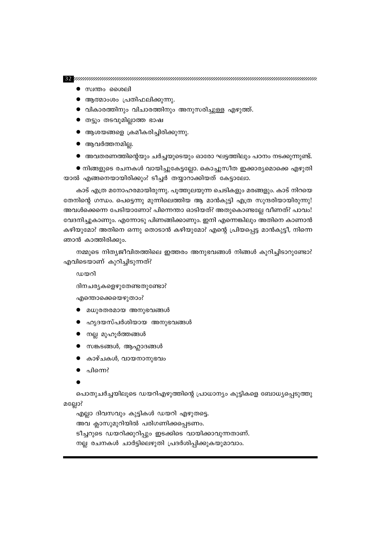- $\bullet$  സ്വന്തം ശൈലി
- ആത്മാംശം പ്രതിഫലിക്കുന്നു.
- വികാരത്തിനും വിചാരത്തിനും അനുസരിച്ചുള്ള എഴുത്ത്.
- തട്ടും തടവുമില്ലാത്ത ഭാഷ
- $\bullet$  ആശയങ്ങളെ ക്രമീകരിച്ചിരിക്കുന്നു.
- $\bullet$  ആവർത്തനമില്ല.
- അവതരണത്തിന്റെയും ചർച്ചയുടെയും ഓരോ ഘട്ടത്തിലും പഠനം നടക്കുന്നുണ്ട്.

● നിങ്ങളുടെ രചനകൾ വായിച്ചുകേട്ടല്ലോ. കൊച്ചുസീത ഇക്കാര്യമൊക്കെ എഴുതി യാൽ എങ്ങനെയായിരിക്കും? ടീച്ചർ തയ്യാറാക്കിയത് കേട്ടാലോ.

കാട് എത്ര മനോഹരമായിരുന്നു. പൂത്തുലയുന്ന ചെടികളും മരങ്ങളും. കാട് നിറയെ തേനിന്റെ ഗന്ധം. പെട്ടെന്നു മുന്നിലെത്തിയ ആ മാൻകുട്ടി എത്ര സുന്ദരിയായിരുന്നു! അവൾക്കെന്നെ പേടിയാണോ? പിന്നെന്താ ഓടിയത്? അതുകൊണ്ടല്ലേ വീണത്? പാവം! വേദനിച്ചുകാണും. എന്നോടു പിണങ്ങിക്കാണും. ഇനി എന്നെങ്കിലും അതിനെ കാണാൻ കഴിയുമോ? അതിനെ ഒന്നു തൊടാൻ കഴിയുമോ? എന്റെ പ്രിയപ്പെട്ട മാൻകുട്ടീ, നിന്നെ ഞാൻ കാത്തിരിക്കും.

നമ്മുടെ നിത്യജീവിതത്തിലെ ഇത്തരം അനുഭവങ്ങൾ നിങ്ങൾ കുറിച്ചിടാറുണ്ടോ? എവിടെയാണ് കുറിച്ചിടുന്നത്?

ഡയറി

ദിനചര്യകളെഴുതേണ്ടതുണ്ടോ?

എന്തൊക്കെയെഴുതാം?

- മധുരതരമായ അനുഭവങ്ങൾ  $\bullet$
- ഹൃദയസ്പർശിയായ അനുഭവങ്ങൾ
- നല്ല മുഹൂർത്തങ്ങൾ
- സങ്കടങ്ങൾ, ആഹ്ലാദങ്ങൾ
- കാഴ്ചകൾ, വായനാനുഭവം
- പിന്നെ?
- 

പൊതുചർച്ചയിലൂടെ ഡയറിഎഴുത്തിന്റെ പ്രാധാന്യം കുട്ടികളെ ബോധ്യപ്പെടുത്തു

മല്ലോ?

എല്ലാ ദിവസവും കുട്ടികൾ ഡയറി എഴുതട്ടെ. അവ ക്ലാസുമുറിയിൽ പരിഗണിക്കപ്പെടണം. ടീച്ചറുടെ ഡയറിക്കുറിപ്പും ഇടക്കിടെ വായിക്കാവുന്നതാണ്. നല്ല രചനകൾ ചാർട്ടിലെഴുതി പ്രദർശിപ്പിക്കുകയുമാവാം.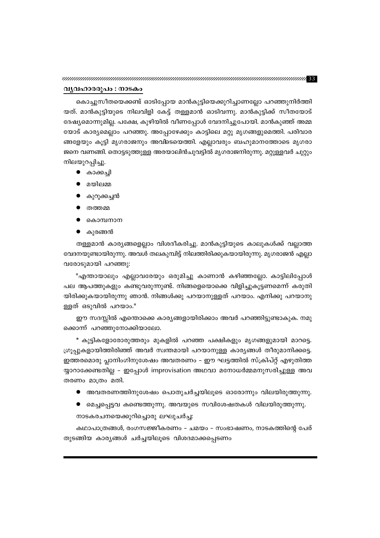#### വൃവഹാരരൂപം : നാടകം

കൊച്ചുസീതയെക്കണ്ട് ഓടിപ്പോയ മാൻകുട്ടിയെക്കുറിച്ചാണല്ലോ പറഞ്ഞുനിർത്തി യത്. മാൻകുട്ടിയുടെ നിലവിളി കേട്ട് തള്ളമാൻ ഓടിവന്നു. മാൻകുട്ടിക്ക് സീതയോട് ദേഷ്യമൊന്നുമില്ല. പക്ഷേ, കുഴിയിൽ വീണപ്പോൾ വേദനിച്ചുപോയി. മാൻകുഞ്ഞ് അമ്മ യോട് കാര്യമെല്ലാം പറഞ്ഞു. അപ്പോഴേക്കും കാട്ടിലെ മറ്റു മൃഗങ്ങളുമെത്തി. പരിവാര ങ്ങളേയും കൂട്ടി മൃഗരാജനും അവിടെയെത്തി. എല്ലാവരും ബഹുമാനത്തോടെ മൃഗരാ ജനെ വണങ്ങി. തൊട്ടടുത്തുള്ള അരയാലിൻചുവട്ടിൽ മൃഗരാജനിരുന്നു. മറ്റുള്ളവർ ചുറ്റും നിലയുറപ്പിച്ചു.

- കാക്കച്ചി
- മയിലമ്മ
- കുറുക്കച്ചൻ
- തത്തമ്മ
- കൊമ്പനാന
- $\bullet$  കുരങ്ങൻ

തള്ളമാൻ കാര്യങ്ങളെല്ലാം വിശദീകരിച്ചു. മാൻകുട്ടിയുടെ കാലുകൾക്ക് വല്ലാത്ത വേദനയുണ്ടായിരുന്നു. അവൾ തലകുമ്പിട്ട് നിലത്തിരിക്കുകയായിരുന്നു. മൃഗരാജൻ എല്ലാ വരോടുമായി പറഞ്ഞു:

"എന്തായാലും എല്ലാവരേയും ഒരുമിച്ചു കാണാൻ കഴിഞ്ഞല്ലോ. കാട്ടിലിപ്പോൾ പല ആപത്തുകളും കണ്ടുവരുന്നുണ്ട്. നിങ്ങളെയൊക്കെ വിളിച്ചുകൂട്ടണമെന്ന് കരുതി യിരിക്കുകയായിരുന്നു ഞാൻ. നിങ്ങൾക്കു പറയാനുള്ളത് പറയാം. എനിക്കു പറയാനു ള്ളത് ഒടുവിൽ പറയാം."

ഈ സദസ്സിൽ എന്തൊക്കെ കാര്യങ്ങളായിരിക്കാം അവർ പറഞ്ഞിട്ടുണ്ടാകുക. നമു ക്കൊന്ന് പറഞ്ഞുനോക്കിയാലോ.

\* കുട്ടികളോരോരുത്തരും മുകളിൽ പറഞ്ഞ പക്ഷികളും മൃഗങ്ങളുമായി മാറട്ടെ. ഗ്രൂപ്പുകളായിത്തിരിഞ്ഞ് അവർ സ്വന്തമായി പറയാനുള്ള കാര്യങ്ങൾ തീരുമാനിക്കട്ടെ. ഇത്തരമൊരു പ്ലാനിംഗിനുശേഷം അവതരണം – ഈ ഘട്ടത്തിൽ സ്ക്രിപ്റ്റ് എഴുതിത്ത യ്യാറാക്കേണ്ടതില്ല - ഇപ്പോൾ improvisation അഥവാ മനോധർമ്മമനുസരിച്ചുള്ള അവ തരണം മാത്രം മതി.

- അവതരണത്തിനുശേഷം പൊതുചർച്ചയിലൂടെ ഓരോന്നും വിലയിരുത്തുന്നു.
- മെച്ചപ്പെട്ടവ കണ്ടെത്തുന്നു. അവയുടെ സവിശേഷതകൾ വിലയിരുത്തുന്നു.

നാടകരചനയെക്കുറിച്ചൊരു ലഘുചർച്ച:

കഥാപാത്രങ്ങൾ, രംഗസജ്ജീകരണം – ചമയം – സംഭാഷണം, നാടകത്തിന്റെ പേര് തുടങ്ങിയ കാര്യങ്ങൾ ചർച്ചയിലൂടെ വിശദമാക്കപ്പെടണം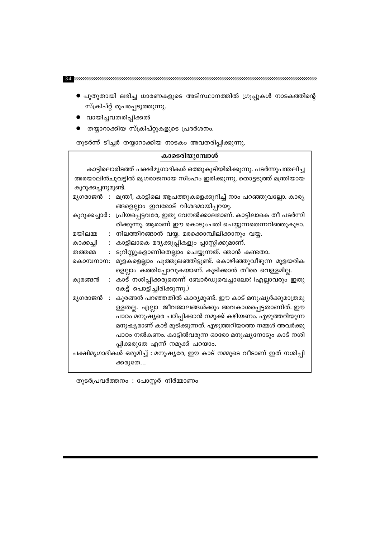- പുതുതായി ലഭിച്ച ധാരണകളുടെ അടിസ്ഥാനത്തിൽ ഗ്രൂപ്പുകൾ നാടകത്തിന്റെ സ്ക്രിപ്റ്റ് രൂപപ്പെടുത്തുന്നു.
- വായിച്ചവതരിപ്പിക്കൽ
- തയ്യാറാക്കിയ സ്ക്രിപ്റ്റുകളുടെ പ്രദർശനം.

തുടർന്ന് ടീച്ചർ തയ്യാറാക്കിയ നാടകം അവതരിപ്പിക്കുന്നു.

### കാടെരിയുമ്പോൾ

കാട്ടിലൊരിടത്ത് പക്ഷിമൃഗാദികൾ ഒത്തുകൂടിയിരിക്കുന്നു. പടർന്നുപന്തലിച്ച അരയാലിൻചുവട്ടിൽ മൃഗരാജനായ സിംഹം ഇരിക്കുന്നു. തൊട്ടടുത്ത് മന്ത്രിയായ കുറുക്കച്ചനുമുണ്ട്. മൃഗരാജൻ : മന്ത്രീ, കാട്ടിലെ ആപത്തുകളെക്കുറിച്ച് നാം പറഞ്ഞുവല്ലോ. കാര്യ

ങ്ങളെല്ലാം ഇവരോട് വിശദമായിപ്പറയൂ. കുറുക്കച്ചാർ: പ്രിയപ്പെട്ടവരേ, ഇതു വേനൽക്കാലമാണ്. കാട്ടിലാകെ തീ പടർന്നി രിക്കുന്നു. ആരാണ് ഈ കൊടുംചതി ചെയ്യുന്നതെന്നറിഞ്ഞുകൂടാ.

മയിലമ്മ : നിലത്തിറങ്ങാൻ വയ്യ. മരക്കൊമ്പിലിക്കാനും വയ്യ.

: കാട്ടിലാകെ മദ്യക്കുപ്പികളും പ്ലാസ്റ്റിക്കുമാണ്. കാക്കച്ചി

: ടൂറിസ്റ്റുകളാണിതെല്ലാം ചെയ്യുന്നത്. ഞാൻ കണ്ടതാ. തത്തമ്മ

കൊമ്പനാന: മുളകളെല്ലാം പൂത്തുലഞ്ഞിട്ടുണ്ട്. കൊഴിഞ്ഞുവീഴുന്ന മുളയരിക ളെല്ലാം കത്തിപ്പോവുകയാണ്. കുടിക്കാൻ തീരെ വെള്ളമില്ല.

- കുരങ്ങൻ : കാട് നശിപ്പിക്കരുതെന്ന് ബോർഡുവെച്ചാലോ? (എല്ലാവരും ഇതു കേട്ട് പൊട്ടിച്ചിരിക്കുന്നു.)
- മൃഗരാജൻ : കുരങ്ങൻ പറഞ്ഞതിൽ കാര്യമുണ്ട്. ഈ കാട് മനുഷ്യർക്കുമാത്രമു ള്ളതല്ല. എല്ലാ ജീവജാലങ്ങൾക്കും അവകാശപ്പെട്ടതാണിത്. ഈ പാഠം മനുഷ്യരെ പഠിപ്പിക്കാൻ നമുക്ക് കഴിയണം. എഴുത്തറിയുന്ന മനുഷ്യരാണ് കാട് മുടിക്കുന്നത്. എഴുത്തറിയാത്ത നമ്മൾ അവർക്കു പാഠം നൽകണം. കാട്ടിൽവരുന്ന ഓരോ മനുഷ്യനോടും കാട് നശി പ്പിക്കരുതേ എന്ന് നമുക്ക് പറയാം.

പക്ഷിമൃഗാദികൾ ഒരുമിച്ച് : മനുഷ്യരേ, ഈ കാട് നമ്മുടെ വീടാണ് ഇത് നശിപ്പി ക്കരുതേ…

തുടർപ്രവർത്തനം : പോസ്റ്റർ നിർമ്മാണം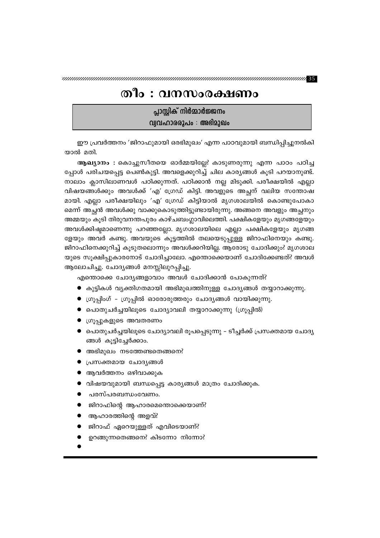### തീം : വനസംരക്ഷണം

പ്ലാസ്റ്റിക് നിർമ്മാർജ്ജനം വ്വവഹാരരൂപം : അഭിമുഖം

ഈ പ്രവർത്തനം 'ജിറാഫുമായി ഒരഭിമുഖം' എന്ന പാഠവുമായി ബന്ധിപ്പിച്ചുനൽകി യാൽ മതി.

ആഖ്യാനം : കൊച്ചുസീതയെ ഓർമ്മയില്ലേ? കാടുണരുന്നു എന്ന പാഠം പഠിച്ച പ്പോൾ പരിചയപ്പെട്ട പെൺകുട്ടി. അവളെക്കുറിച്ച് ചില കാര്യങ്ങൾ കൂടി പറയാനുണ്ട്. നാലാം ക്ലാസിലാണവൾ പഠിക്കുന്നത്. പഠിക്കാൻ നല്ല മിടുക്കി. പരീക്ഷയിൽ എല്ലാ വിഷയങ്ങൾക്കും അവൾക്ക് 'എ' ഗ്രേഡ് കിട്ടി. അവളുടെ അച്ഛന് വലിയ സന്തോഷ മായി. എല്ലാ പരീക്ഷയിലും 'എ' ഗ്രേഡ് കിട്ടിയാൽ മൃഗശാലയിൽ കൊണ്ടുപോകാ മെന്ന് അച്ഛൻ അവൾക്കു വാക്കുകൊടുത്തിട്ടുണ്ടായിരുന്നു. അങ്ങനെ അവളും അച്ഛനും അമ്മയും കൂടി തിരുവനന്തപുരം കാഴ്ചബംഗ്ലാവിലെത്തി. പക്ഷികളേയും മൃഗങ്ങളേയും അവൾക്കിഷ്ടമാണെന്നു പറഞ്ഞല്ലോ. മൃഗശാലയിലെ എല്ലാ പക്ഷികളേയും മൃഗങ്ങ ളേയും അവർ കണ്ടു. അവയുടെ കൂട്ടത്തിൽ തലയെടുപ്പുള്ള ജിറാഫിനെയും കണ്ടു. ജിറാഫിനെക്കുറിച്ച് കൂടുതലൊന്നും അവൾക്കറിയില്ല. ആരോടു ചോദിക്കും? മൃഗശാല യുടെ സൂക്ഷിപ്പുകാരനോട് ചോദിച്ചാലോ. എന്തൊക്കെയാണ് ചോദിക്കേണ്ടത്? അവൾ ആലോചിച്ചു. ചോദ്യങ്ങൾ മനസ്സിലുറപ്പിച്ചു.

എന്തൊക്കെ ചോദ്യങ്ങളാവാം അവൾ ചോദിക്കാൻ പോകുന്നത്?

- $\bullet$  കുട്ടികൾ വ്യക്തിഗതമായി അഭിമുഖത്തിനുള്ള ചോദ്യങ്ങൾ തയ്യാറാക്കുന്നു.
- ഗ്രൂപ്പിംഗ് ഗ്രൂപ്പിൽ ഓരോരുത്തരും ചോദ്യങ്ങൾ വായിക്കുന്നു.
- പൊതുചർച്ചയിലൂടെ ചോദ്യാവലി തയ്യാറാക്കുന്നു (ഗ്രൂപ്പിൽ)
- ഗ്രൂപ്പുകളുടെ അവതരണം
- പൊതുചർച്ചയിലൂടെ ചോദ്യാവലി രൂപപ്പെടുന്നു ടീച്ചർക്ക് പ്രസക്തമായ ചോദ്യ ങ്ങൾ കൂട്ടിച്ചേർക്കാം.
- $\bullet$  അഭിമുഖം നടത്തേണ്ടതെങ്ങനെ?
- പ്രസക്തമായ ചോദൃങ്ങൾ
- ആവർത്തനം ഒഴിവാക്കുക
- വിഷയവുമായി ബന്ധപ്പെട്ട കാര്യങ്ങൾ മാത്രം ചോദിക്കുക.
- പരസ്പരബന്ധംവേണം.
- ജിറാഫിന്റെ ആഹാരമെന്തൊക്കെയാണ്?
- ആഹാരത്തിന്റെ അളവ്?
- ജിറാഫ് ഏറെയുള്ളത് എവിടെയാണ്?
- ഉറങ്ങുന്നതെങ്ങനെ? കിടന്നോ നിന്നോ?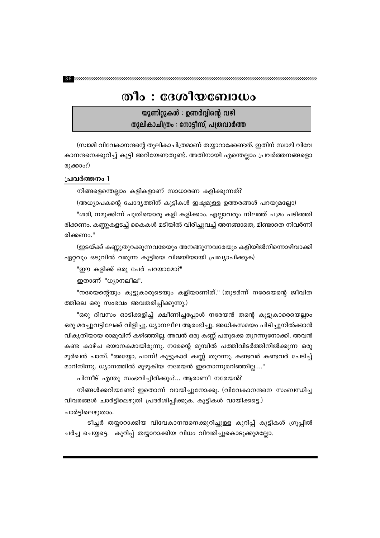## തീം $:$  ദേശീയബോധം

യൂണിറ്റുകൾ $\,$ : ഉണർവ്വിന്റെ വഴി തുലികാചിത്രം : നോട്ടീസ്, പത്രവാർത്ത

(സ്വാമി വിവേകാനന്ദന്റെ തൂലികാചിത്രമാണ് തയ്യാറാക്കേണ്ടത്. ഇതിന് സ്വാമി വിവേ കാനന്ദനെക്കുറിച്ച് കുട്ടി അറിയേണ്ടതുണ്ട്. അതിനായി എന്തെല്ലാം പ്രവർത്തനങ്ങളൊ രുക്കാം?)

### പ്രവർത്തനം 1

നിങ്ങളെന്തെല്ലാം കളികളാണ് സാധാരണ കളിക്കുന്നത്?

(അധ്യാപകന്റെ ചോദ്യത്തിന് കുട്ടികൾ ഇഷ്ടമുള്ള ഉത്തരങ്ങൾ പറയുമല്ലോ) "ശരി, നമുക്കിന്ന് പുതിയൊരു കളി കളിക്കാം. എല്ലാവരും നിലത്ത് ചമ്രം പടിഞ്ഞി രിക്കണം. കണ്ണുകളടച്ച് കൈകൾ മടിയിൽ വിരിച്ചുവച്ച് അനങ്ങാതെ, മിണ്ടാതെ നിവർന്നി രിക്കണം."

(ഇടയ്ക്ക് കണ്ണുതുറക്കുന്നവരേയും അനങ്ങുന്നവരേയും കളിയിൽനിന്നൊഴിവാക്കി ഏറ്റവും ഒടുവിൽ വരുന്ന കുട്ടിയെ വിജയിയായി പ്രഖ്യാപിക്കുക)

"ഈ കളിക്ക് ഒരു പേര് പറയാമോ?"

ഇതാണ് "ധ്യാനലീല".

"നരേയന്റെയും കൂട്ടുകാരുടെയും കളിയാണിത്." (തുടർന്ന് നരേയെന്റെ ജ<mark>ീവി</mark>ത ത്തിലെ ഒരു സംഭവം അവതരിപ്പിക്കുന്നു.)

"ഒരു ദിവസം ഓടിക്കളിച്ച് ക്ഷീണിച്ചപ്പോൾ നരേയൻ തന്റെ കൂട്ടുകാരെയെല്ലാം ഒരു മരച്ചുവട്ടിലേക്ക് വിളിച്ചു. ധ്യാനലീല ആരംഭിച്ചു. അധികസമയം പിടിച്ചുനിൽക്കാൻ വികൃതിയായ രാമുവിന് കഴിഞ്ഞില്ല. അവൻ ഒരു കണ്ണ് പതുക്കെ തുറന്നുനോക്കി. അവൻ കണ്ട കാഴ്ച ഭയാനകമായിരുന്നു. നരേന്റെ മുമ്പിൽ പത്തിവിടർത്തിനിൽക്കുന്ന ഒരു മൂർഖൻ പാമ്പ്. "അയ്യോ, പാമ്പ്! കൂട്ടുകാർ കണ്ണ് തുറന്നു. കണ്ടവർ കണ്ടവർ പേടിച്ച് മാറിനിന്നു. ധ്യാനത്തിൽ മുഴുകിയ നരേയൻ ഇതൊന്നുമറിഞ്ഞില്ല...."

പിന്നീട് എന്തു സംഭവിച്ചിരിക്കും?... ആരാണീ നരേയൻ?

നിങ്ങൾക്കറിയണ്ടേ? ഇതൊന്ന് വായിച്ചുനോക്കൂ. (വിവേകാനന്ദനെ സംബന്ധിച്ച വിവരങ്ങൾ ചാർട്ടിലെഴുതി പ്രദർശിപ്പിക്കുക. കുട്ടികൾ വായിക്കട്ടെ.)

ചാർട്ടിലെഴുതാം.

ടീച്ചർ തയ്യാറാക്കിയ വിവേകാനന്ദനെക്കുറിച്ചുള്ള കുറിപ്പ് കുട്ടികൾ ഗ്രൂപ്പിൽ ചർച്ച ചെയ്യട്ടെ. കുറിപ്പ് തയ്യാറാക്കിയ വിധം വിവരിച്ചുകൊടുക്കുമല്ലോ.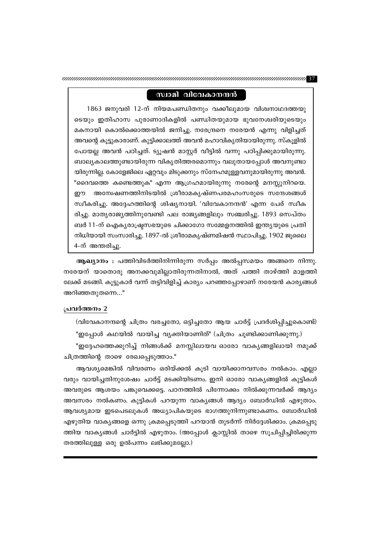### സ്വാമി വിവേകാനന്ദൻ

1863 ജനുവരി 12-ന് നിയമപണ്ഡിതനും വക്കീലുമായ വിശ്വനാഥദത്തയു ടെയും ഇതിഹാസ പുരാണാദികളിൽ പണ്ഡിതയുമായ ഭുവനേശ്വരിയുടെയും മകനായി കൊൽക്കൊത്തയിൽ ജനിച്ചു. നരേന്ദ്രനെ നരേയൻ എന്നു വിളിച്ചത് അവന്റെ കൂട്ടുകാരാണ്. കുട്ടിക്കാലത്ത് അവൻ മഹാവികൃതിയായിരുന്നു. സ്കൂളിൽ പോയല്ല അവൻ പഠിച്ചത്. ട്യൂഷൻ മാസ്റ്റർ വീട്ടിൽ വന്നു പഠിപ്പിക്കുമായിരുന്നു. ബാല്യകാലത്തുണ്ടായിരുന്ന വികൃതിത്തരമൊന്നും വലുതായപ്പോൾ അവനുണ്ടാ യിരുന്നില്ല. കോളേജിലെ ഏറ്റവും മിടുക്കനും സ്നേഹമുള്ളവനുമായിരുന്നു അവൻ. "ദൈവത്തെ കണ്ടെത്തുക" എന്ന ആഗ്രഹമായിരുന്നു നരേന്റെ മനസ്സുനിറയെ. ഈ അന്വേഷണത്തിനിടയിൽ ശ്രീരാമകൃഷ്ണപരമഹംസരുടെ സന്ദേശങ്ങൾ സ്ഥീകരിച്ചു. അദ്ദേഹത്തിന്റെ ശിഷ്യനായി. 'വിവേകാനന്ദൻ' എന്ന പേര് സ്ഥീക രിച്ചു. മാതൃരാജ്യത്തിനുവേണ്ടി പല രാജ്യങ്ങളിലും സഞ്ചരിച്ചു. 1893 സെപ്തം ബർ 11-ന് ഐക്യരാഷ്ട്രസഭയുടെ ചിക്കാഗോ സമ്മേളനത്തിൽ ഇന്ത്യയുടെ പ്രതി നിധിയായി സംസാരിച്ചു. 1897-ൽ ശ്രീരാമകൃഷ്ണമിഷൻ സ്ഥാപിച്ചു. 1902 ജൂലൈ 4-ന് അന്തരിച്ചു.

ആഖ്യാനം : പത്തിവിടർത്തിനിന്നിരുന്ന സർപ്പം അൽപ്പസമയം അങ്ങനെ നിന്നു. നരേയന് യാതൊരു അനക്കവുമില്ലാതിരുന്നതിനാൽ, അത് പത്തി താഴ്ത്തി മാളത്തി ലേക്ക് മടങ്ങി. കൂട്ടുകാർ വന്ന് തട്ടിവിളിച്ച് കാര്യം പറഞ്ഞപ്പോഴാണ് നരേയൻ കാര്യങ്ങൾ അറിഞ്ഞതുതന്നെ…"

#### പ്രവർത്തനം 2

(വിവേകാനന്ദന്റെ ചിത്രം വരച്ചതോ, ഒട്ടിച്ചതോ ആയ ചാർട്ട് പ്രദർശിപ്പിച്ചുകൊണ്ട്)

"ഇപ്പോൾ കഥയിൽ വായിച്ച വ്യക്തിയാണിത്" (ചിത്രം ചൂണ്ടിക്കാണിക്കുന്നു.)

"ഇദ്ദേഹത്തെക്കുറിച്ച് നിങ്ങൾക്ക് മനസ്സിലായവ ഓരോ വാകൃങ്ങളിലായി നമുക്ക് ചിത്രത്തിന്റെ താഴെ രേഖപ്പെടുത്താം."

ആവശ്യമെങ്കിൽ വിവരണം ഒരിയ്ക്കൽ കൂടി വായിക്കാനവസരം നൽകാം. എല്ലാ വരും വായിച്ചതിനുശേഷം ചാർട്ട് മടക്കിയിടണം. ഇനി ഓരോ വാകൃങ്ങളിൽ കുട്ടികൾ അവരുടെ ആശയം പങ്കുവെക്കട്ടെ. പഠനത്തിൽ പിന്നോക്കം നിൽക്കുന്നവർക്ക് ആദ്യം അവസരം നൽകണം. കുട്ടികൾ പറയുന്ന വാകൃങ്ങൾ ആദ്യം ബോർഡിൽ എഴുതാം. ആവശ്യമായ ഇടപെടലുകൾ അധ്യാപികയുടെ ഭാഗത്തുനിന്നുണ്ടാകണം. ബോർഡിൽ എഴുതിയ വാകൃങ്ങളെ ഒന്നു ക്രമപ്പെടുത്തി പറയാൻ തുടർന്ന് നിർദ്ദേശിക്കാം. ക്രമപ്പെടു ത്തിയ വാക്യങ്ങൾ ചാർട്ടിൽ എഴുതാം. (അപ്പോൾ ക്ലാസ്സിൽ താഴെ സൂചിപ്പിച്ചിരിക്കുന്ന തരത്തിലുള്ള ഒരു ഉൽപന്നം ലഭിക്കുമല്ലോ.)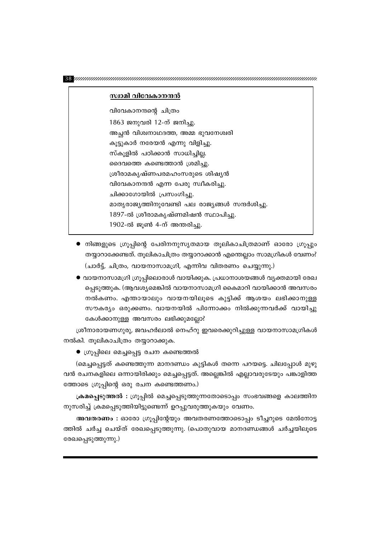#### സ്വാമി വിവേകാനന്ദൻ

വിവേകാനന്ദന്റെ ചിത്രം 1863 ജനുവരി 12-ന് ജനിച്ചു. അച്ഛൻ വിശ്വനാഥദത്ത, അമ്മ ഭുവനേശ്വരി കൂട്ടുകാർ നരേയൻ എന്നു വിളിച്ചു. സ്കൂളിൽ പഠിക്കാൻ സാധിച്ചില്ല. ദൈവത്തെ കണ്ടെത്താൻ ശ്രമിച്ചു. ശ്രീരാമകൃഷ്ണപരമഹംസരുടെ ശിഷ്യൻ വിവേകാനന്ദൻ എന്ന പേരു സ്വീകരിച്ചു. ചിക്കാഗോയിൽ പ്രസംഗിച്ചു. മാതൃരാജ്യത്തിനുവേണ്ടി പല രാജ്യങ്ങൾ സന്ദർശിച്ചു. 1897-ൽ ശ്രീരാമകൃഷ്ണമിഷൻ സ്ഥാപിച്ചു. 1902-ൽ ജൂൺ 4-ന് അന്തരിച്ചു.

- $\bullet$  നിങ്ങളുടെ ഗ്രൂപ്പിന്റെ പേരിനനുസൃതമായ തൂലികാചിത്രമാണ് ഓരോ ഗ്രൂപ്പും തയ്യാറാക്കേണ്ടത്. തൂലികാചിത്രം തയ്യാറാക്കാൻ എന്തെല്ലാം സാമഗ്രികൾ വേണം? (ചാർട്ട്, ചിത്രം, വായനാസാമഗ്രി, എന്നിവ വിതരണം ചെയ്യുന്നു.)
- വായനാസാമഗ്രി ഗ്രൂപ്പിലൊരാൾ വായിക്കുക. പ്രധാനാശയങ്ങൾ വ്യക്തമായി രേഖ പ്പെടുത്തുക. (ആവശ്യമെങ്കിൽ വായനാസാമഗ്രി കൈമാറി വായിക്കാൻ അവസരം നൽകണം. എന്തായാലും വായനയിലൂടെ കുട്ടിക്ക് ആശയം ലഭിക്കാനുള്ള സൗകര്യം ഒരുക്കണം. വായനയിൽ പിന്നോക്കം നിൽക്കുന്നവർക്ക് വായിച്ചു കേൾക്കാനുള്ള അവസരം ലഭിക്കുമല്ലോ?

ശ്രീനാരായണഗുരു, ജവഹർലാൽ നെഹ്റു ഇവരെക്കുറിച്ചുള്ള വായനാസാമഗ്രികൾ നൽകി. തൂലികാചിത്രം തയ്യാറാക്കുക.

 $\bullet$  ഗ്രൂപ്പിലെ മെച്ചപ്പെട്ട രചന കണ്ടെത്തൽ

(മെച്ചപ്പെട്ടത് കണ്ടെത്തുന്ന മാനദണ്ഡം കുട്ടികൾ തന്നെ പറയട്ടെ. ചിലപ്പോൾ മുഴു വൻ രചനകളിലെ ഒന്നായിരിക്കും മെച്ചപ്പെട്ടത്. അല്ലെങ്കിൽ എല്ലാവരുടേയും പങ്കാളിത്ത ത്തോടെ ഗ്രൂപ്പിന്റെ ഒരു രചന കണ്ടെത്തണം.)

ക്രമപ്പെടുത്തൽ : ഗ്രൂപ്പിൽ മെച്ചപ്പെടുത്തുന്നതോടൊപ്പം സംഭവങ്ങളെ കാലത്തിന നുസരിച്ച് ക്രമപ്പെടുത്തിയിട്ടുണ്ടെന്ന് ഉറപ്പുവരുത്തുകയും വേണം.

അവതരണം : ഓരോ ഗ്രൂപ്പിന്റേയും അവതരണത്തോടൊപ്പം ടീച്ചറുടെ മേൽനോട്ട ത്തിൽ ചർച്ച ചെയ്ത് രേഖപ്പെടുത്തുന്നു. (പൊതുവായ മാനദണ്ഡങ്ങൾ ചർച്ചയിലൂടെ രേഖപ്പെടുത്തുന്നു.)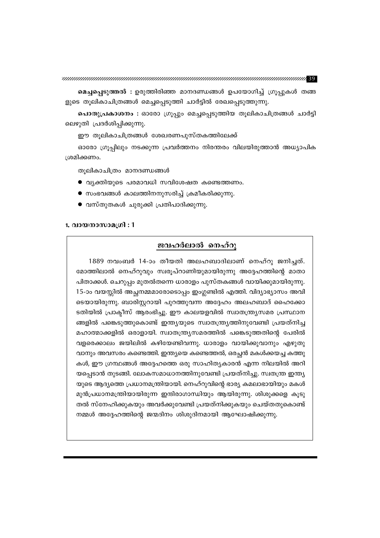മെച്ചപ്പെടുത്തൽ : ഉരുത്തിരിഞ്ഞ മാനദണ്ഡങ്ങൾ ഉപയോഗിച്ച് ഗ്രൂപ്പുകൾ തങ്ങ ളുടെ തൂലികാചിത്രങ്ങൾ മെച്ചപ്പെടുത്തി ചാർട്ടിൽ രേഖപ്പെടുത്തുന്നു.

പൊതുപ്രകാശനം : ഓരോ ഗ്രൂപ്പും മെച്ചപ്പെടുത്തിയ തൂലികാചിത്രങ്ങൾ ചാർട്ടി ലെഴുതി പ്രദർശിപ്പിക്കുന്നു.

ഈ തൂലികാചിത്രങ്ങൾ ശേഖരണപുസ്തകത്തിലേക്ക്

ഓരോ ഗ്രൂപ്പിലും നടക്കുന്ന പ്രവർത്തനം നിരന്തരം വിലയിരുത്താൻ അധ്യാപിക ശ്രമിക്കണം.

തൂലികാചിത്രം മാനദണ്ഡങ്ങൾ

- വൃക്തിയുടെ പരമാവധി സവിശേഷത കണ്ടെത്തണം.
- സംഭവങ്ങൾ കാലത്തിനനുസരിച്ച് ക്രമീകരിക്കുന്നു.
- വസ്തുതകൾ ചുരുക്കി പ്രതിപാദിക്കുന്നു.

#### 1. വായനാസാമഗ്രി : 1

### ജവഹർലാൽ നെഹ്റു

1889 നവംബർ 14-ാം തീയതി അലഹബാദിലാണ് നെഹ്റു ജനിച്ചത്. മോത്തിലാൽ നെഹ്റുവും സ്വരൂപ്റാണിയുമായിരുന്നു അദ്ദേഹത്തിന്റെ മാതാ പിതാക്കൾ. ചെറുപ്പം മുതൽതന്നെ ധാരാളം പുസ്തകങ്ങൾ വായിക്കുമായിരുന്നു. 15-ാം വയസ്സിൽ അച്ഛനമ്മമാരോടൊപ്പം ഇംഗ്ലണ്ടിൽ എത്തി. വിദ്യാഭ്യാസം അവി ടെയായിരുന്നു. ബാരിസ്റ്ററായി പുറത്തുവന്ന അദ്ദേഹം അലഹബാദ് ഹൈക്കോ ടതിയിൽ പ്രാക്ടീസ് ആരംഭിച്ചു. ഈ കാലയളവിൽ സ്വാതന്ത്ര്യസമര പ്രസ്ഥാന ങ്ങളിൽ പങ്കെടുത്തുകൊണ്ട് ഇന്ത്യയുടെ സ്വാതന്ത്ര്യത്തിനുവേണ്ടി പ്രയത്നിച്ച മഹാത്മാക്കളിൽ ഒരാളായി. സ്വാതന്ത്ര്യസമരത്തിൽ പങ്കെടുത്തതിന്റെ പേരിൽ വളരെക്കാലം ജയിലിൽ കഴിയേണ്ടിവന്നു. ധാരാളം വായിക്കുവാനും എഴുതു വാനും അവസരം കണ്ടെത്തി. ഇന്ത്യയെ കണ്ടെത്തൽ, ഒരച്ചൻ മകൾക്കയച്ച കത്തു കൾ, ഈ ഗ്രന്ഥങ്ങൾ അദ്ദേഹത്തെ ഒരു സാഹിത്യകാരൻ എന്ന നിലയിൽ അറി യപ്പെടാൻ തുടങ്ങി. ലോകസമാധാനത്തിനുവേണ്ടി പ്രയത്നിച്ചു. സ്വതന്ത്ര ഇന്ത്യ യുടെ ആദ്യത്തെ പ്രധാനമന്ത്രിയായി. നെഹ്റുവിന്റെ ഭാര്യ കമലാഭായിയും മകൾ മുൻപ്രധാനമന്ത്രിയായിരുന്ന ഇന്ദിരാഗാന്ധിയും ആയിരുന്നു. ശിശുക്കളെ കൂടു തൽ സ്നേഹിക്കുകയും അവർക്കുവേണ്ടി പ്രയത്നിക്കുകയും ചെയ്തതുകൊണ്ട് നമ്മൾ അദ്ദേഹത്തിന്റെ ജന്മദിനം ശിശുദിനമായി ആഘോഷിക്കുന്നു.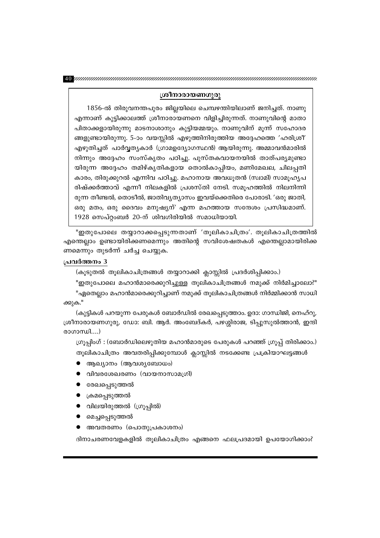### ശ്രീനാരായണഗുരു

1856-ൽ തിരുവനന്തപുരം ജില്ലയിലെ ചെമ്പഴന്തിയിലാണ് ജനിച്ചത്. നാണു എന്നാണ് കുട്ടിക്കാലത്ത് ശ്രീനാരായണനെ വിളിച്ചിരുന്നത്. നാണുവിന്റെ മാതാ പിതാക്കളായിരുന്നു മാടനാശാനും കുട്ടിയമ്മയും. നാണുവിന് മൂന്ന് സഹോദര ങ്ങളുണ്ടായിരുന്നു. 5-ാം വയസ്സിൽ എഴുത്തിനിരുത്തിയ അദ്ദേഹത്തെ 'ഹരിശ്രീ' എഴുതിച്ചത് പാർവ്വത്യകാർ (ഗ്രാമഉദ്യോഗസ്ഥൻ) ആയിരുന്നു. അമ്മാവൻമാരിൽ നിന്നും അദ്ദേഹം സംസ്കൃതം പഠിച്ചു. പുസ്തകവായനയിൽ താത്പര്യമുണ്ടാ യിരുന്ന അദ്ദേഹം തമിഴ്കൃതികളായ തൊൽകാപ്പിയം, മണിമേഖല, ചിലപ്പതി കാരം, തിരുക്കുറൽ എന്നിവ പഠിച്ചു. മഹാനായ അവധൂതൻ (സ്ഥമി) സാമൂഹൃപ രിഷ്ക്കർത്താവ് എന്നീ നിലകളിൽ പ്രശസ്തി നേടി. സമുഹത്തിൽ നിലനിന്നി രുന്ന തീണ്ടൽ, തൊടീൽ, ജാതിവ്യത്യാസം ഇവയ്ക്കെതിരെ പോരാടി. 'ഒരു ജാതി, ഒരു മതം, ഒരു ദൈവം മനുഷ്യന്' എന്ന മഹത്തായ സന്ദേശം പ്രസിദ്ധമാണ്. 1928 സെപ്റ്റംബർ 20-ന് ശിവഗിരിയിൽ സമാധിയായി.

"ഇതുപോലെ തയ്യാറാക്കപ്പെടുന്നതാണ് ′തൂലികാചിത്രം′. തൂലികാചിത്രത്തിൽ എന്തെല്ലാം ഉണ്ടായിരിക്കണമെന്നും അതിന്റെ സവിശേഷതകൾ എന്തെല്ലാമായിരിക്ക ണമെന്നും തുടർന്ന് ചർച്ച ചെയ്യുക.

### പ്രവർത്തനം 3

(കൂടുതൽ തൂലികാചിത്രങ്ങൾ തയ്യാറാക്കി ക്ലാസ്സിൽ പ്രദർശിപ്പിക്കാം.)

"ഇതുപോലെ മഹാൻമാരെക്കുറിച്ചുള്ള തൂലികാചിത്രങ്ങൾ നമുക്ക് നിർമിച്ചാലോ?" "ഏതെല്ലാം മഹാൻമാരെക്കുറിച്ചാണ് നമുക്ക് തൂലികാചിത്രങ്ങൾ നിർമ്മിക്കാൻ സാധി ക്കുക."

(കുട്ടികൾ പറയുന്ന പേരുകൾ ബോർഡിൽ രേഖപ്പെടുത്താം. ഉദാ: ഗാന്ധിജി, നെഹ്റു, ശ്രീനാരായണഗുരു, ഡോ: ബി. ആർ. അംബേദ്കർ, പഴശ്ശിരാജ, ടിപ്പുസുൽത്താൻ, ഇന്ദി രാഗാന്ധി....)

ഗ്രൂപ്പിംഗ് : (ബോർഡിലെഴുതിയ മഹാൻമാരുടെ പേരുകൾ പറഞ്ഞ് ഗ്രൂപ്പ് തിരിക്കാം.) തൂലികാചിത്രം അവതരിപ്പിക്കുമ്പോൾ ക്ലാസ്സിൽ നടക്കേണ്ട പ്രക്രിയാഘട്ടങ്ങൾ

- ആഖ്യാനം (ആവശ്യബോധം)
- വിവരശേഖരണം (വായനാസാമഗ്രി)
- രേഖപ്പെടുത്തൽ
- ക്രമപ്പെടുത്തൽ
- വിലയിരുത്തൽ (ഗ്രൂപ്പിൽ)
- മെച്ചപ്പെടുത്തൽ
- അവതരണം(പൊതുപ്രകാശനം)

ദിനാചരണവേളകളിൽ തുലികാചിത്രം എങ്ങനെ ഫലപ്രദമായി ഉപയോഗിക്കാം?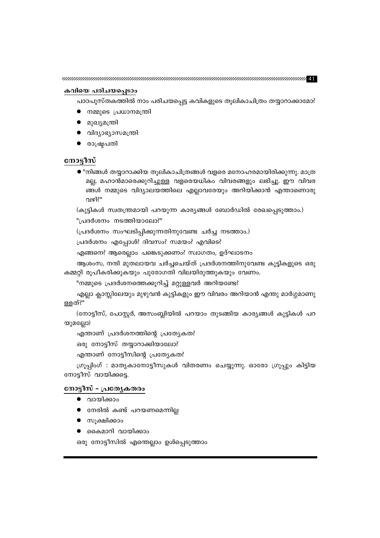### കവിയെ പരിചയപ്പെടാം

പാഠപുസ്തകത്തിൽ നാം പരിചയപ്പെട്ട കവികളുടെ തൂലികാചിത്രം തയ്യാറാക്കാമോ?

- നമ്മുടെ പ്രധാനമന്ത്രി
- മുഖ്യമന്ത്രി
- വിദ്യാഭ്യാസമന്ത്രി
- രാഷ്ട്രപതി

### നോട്ടീസ്

 $\bullet$  "നിങ്ങൾ തയ്യാറാക്കിയ തൂലികാചിത്രങ്ങൾ വളരെ മനോഹരമായിരിക്കുന്നു. മാത്ര മല്ല, മഹാൻമാരെക്കുറിച്ചുള്ള വളരെയധികം വിവരങ്ങളും ലഭിച്ചു. ഈ വിവര ങ്ങൾ നമ്മുടെ വിദ്യാലയത്തിലെ എല്ലാവരേയും അറിയിക്കാൻ എന്താണൊരു വഴി?"

(കുട്ടികൾ സ്വതന്ത്രമായി പറയുന്ന കാര്യങ്ങൾ ബോർഡിൽ രേഖപ്പെടുത്താം.)

"പ്രദർശനം നടത്തിയാലോ?"

(പ്രദർശനം സംഘടിപ്പിക്കുന്നതിനുവേണ്ട ചർച്ച നടത്താം.)

പ്രദർശനം എപ്പോൾ? ദിവസം? സമയം? എവിടെ?

എങ്ങനെ? ആരെല്ലാം പങ്കെടുക്കണം? സ്വാഗതം, ഉദ്ഘാടനം

ആശംസ, നന്ദി മുതലായവ ചർച്ചചെയ്ത് പ്രദർശനത്തിനുവേണ്ട കുട്ടികളുടെ ഒരു കമ്മറ്റി രൂപീകരിക്കുകയും പുരോഗതി വിലയിരുത്തുകയും വേണം.

"നമ്മുടെ പ്രദർശനത്തെക്കുറിച്ച് മറ്റുള്ളവർ അറിയണ്ടേ?

എല്ലാ ക്ലാസ്സിലേയും മുഴുവൻ കുട്ടികളും ഈ വിവരം അറിയാൻ എന്തു മാർഗ്ഗമാണു ള്ളത്?"

(നോട്ടീസ്, പോസ്റ്റർ, അസംബ്ലിയിൽ പറയാം തുടങ്ങിയ കാര്യങ്ങൾ കുട്ടികൾ പറ യുമല്ലോ)

എന്താണ് പ്രദർശനത്തിന്റെ പ്രത്യേകത?

ഒരു നോട്ടീസ് തയ്യാറാക്കിയാലോ?

എന്താണ് നോട്ടീസിന്റെ പ്രത്യേകത?

ഗ്രൂപ്പിംഗ് : മാതൃകാനോട്ടീസുകൾ വിതരണം ചെയ്യുന്നു. ഓരോ ഗ്രൂപ്പും കിട്ടിയ നോട്ടീസ് വായിക്കട്ടെ.

### നോട്ടീസ് – പ്രത്യേകതരം

- വായിക്കാം
- നേരിൽ കണ്ട് പറയണമെന്നില്ല
- സൂക്ഷിക്കാം
- കൈമാറി വായിക്കാം

ഒരു നോട്ടീസിൽ എന്തെല്ലാം ഉൾപ്പെടുത്താം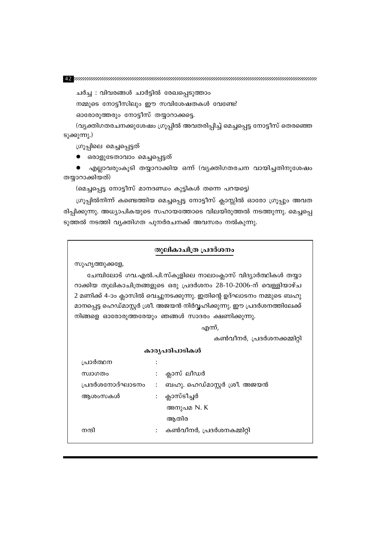ചർച്ച : വിവരങ്ങൾ ചാർട്ടിൽ രേഖപ്പെടുത്താം

നമ്മുടെ നോട്ടീസിലും ഈ സവിശേഷതകൾ വേണ്ടേ?

ഓരോരുത്തരും നോട്ടീസ് തയ്യാറാക്കട്ടെ.

(വ്യക്തിഗതരചനക്കുശേഷം ഗ്രൂപ്പിൽ അവതരിപ്പിച്ച് മെച്ചപ്പെട്ട നോട്ടീസ് തെരഞ്ഞെ ടുക്കുന്നു.)

ഗ്രൂപ്പിലെ മെച്ചപ്പെട്ടത്

● ഒരാളുടേതാവാം മെച്ചപ്പെട്ടത്

എല്ലാവരുംകൂടി തയ്യാറാക്കിയ ഒന്ന് (വ്യക്തിഗതരചന വായിച്ചതിനുശേഷം തയ്യാറാക്കിയത്)

(മെച്ചപ്പെട്ട നോട്ടീസ് മാനദണ്ഡം കുട്ടികൾ തന്നെ പറയട്ടെ)

ഗ്രൂപ്പിൽനിന്ന് കണ്ടെത്തിയ മെച്ചപ്പെട്ട നോട്ടീസ് ക്ലാസ്സിൽ ഓരോ ഗ്രൂപ്പും അവത രിപ്പിക്കുന്നു. അധ്യാപികയുടെ സഹായത്തോടെ വിലയിരുത്തൽ നടത്തുന്നു. മെച്ചപ്പെ ടുത്തൽ നടത്തി വ്യക്തിഗത പുനർരചനക്ക് അവസരം നൽകുന്നു.

### തൂലികാചിത്ര പ്രദർശനം

സുഹൃത്തുക്കളേ,

ചേമ്പിലോട് ഗവ.എൽ.പി.സ്കൂളിലെ നാലാംക്ലാസ് വിദ്യാർത്ഥികൾ തയ്യാ റാക്കിയ തൂലികാചിത്രങ്ങളുടെ ഒരു പ്രദർശനം 28-10-2006-ന് വെള്ളിയാഴ്ച 2 മണിക്ക് 4-ാം ക്ലാസിൽ വെച്ചുനടക്കുന്നു. ഇതിന്റെ ഉദ്ഘാടനം നമ്മുടെ ബഹു മാനപ്പെട്ട ഹെഡ്മാസ്റ്റർ ശ്രീ. അജയൻ നിർവ്വഹിക്കുന്നു. ഈ പ്രദർശനത്തിലേക്ക് നിങ്ങളെ ഓരോരുത്തരേയും ഞങ്ങൾ സാദരം ക്ഷണിക്കുന്നു.

എന്ന്,

കൺവീനർ, പ്രദർശനക്കമ്മിറ്റി

#### കാര്യപരിപാടികൾ

| പ്രാർത്ഥന       |                |                              |
|-----------------|----------------|------------------------------|
| സ്ഥാഗതം         | $\ddot{\cdot}$ | ക്ലാസ് ലീഡർ                  |
| പ്രദർശനോദ്ഘാടനം | $\ddot{\cdot}$ | ബഹു. ഹെഡ്മാസ്റ്റർ ശ്രീ. അജയൻ |
| ആശംസകൾ          | $\ddot{\cdot}$ | ക്ലാസ്ടീച്ചർ                 |
|                 |                | അനുപമ N. K                   |
|                 |                | ആതിര                         |
| നന്ദി           |                | കൺവീനർ, പ്രദർശനകമ്മിറ്റി     |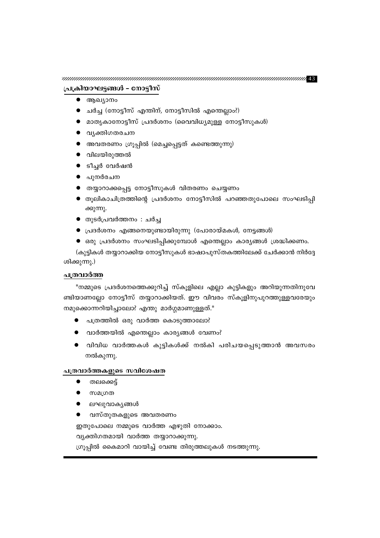### പ്രക്രിയാഘട്ടങ്ങൾ - നോട്ടീസ്

- $\bullet$  ആഖ്യാനം
- ചർച്ച (നോട്ടീസ് എന്തിന്, നോട്ടീസിൽ എന്തെല്ലാം?)
- മാതൃകാനോട്ടീസ് പ്രദർശനം (വൈവിധ്യമുള്ള നോട്ടീസുകൾ)
- വൃക്തിഗതരചന
- $\bullet$  അവതരണം ഗ്രൂപ്പിൽ (മെച്ചപ്പെട്ടത് കണ്ടെത്തുന്നു)
- $\bullet$  വിലയിരുത്തൽ
- $\bullet$  ടീച്ചർ വേർഷൻ
- പുനർരചന
- തയ്യാറാക്കപ്പെട്ട നോട്ടീസുകൾ വിതരണം ചെയ്യണം
- തൂലികാചിത്രത്തിന്റെ പ്രദർശനം നോട്ടീസിൽ പറഞ്ഞതുപോലെ സംഘടിപ്പി ക്കുന്നു.
- തുടർപ്രവർത്തനം : ചർച്ച
- $\bullet$  പ്രദർശനം എങ്ങനെയുണ്ടായിരുന്നു (പോരായ്മകൾ, നേട്ടങ്ങൾ)
- $\bullet$  ഒരു പ്രദർശനം സംഘടിപ്പിക്കുമ്പോൾ എന്തെല്ലാം കാര്യങ്ങൾ ശ്രദ്ധിക്കണം.

(കുട്ടികൾ തയ്യാറാക്കിയ നോട്ടീസുകൾ ഭാഷാപുസ്തകത്തിലേക്ക് ചേർക്കാൻ നിർദ്ദേ ശിക്കുന്നു.)

### പത്രവാർത്ത

"നമ്മുടെ പ്രദർശനത്തെക്കുറിച്ച് സ്കൂളിലെ എല്ലാ കുട്ടികളും അറിയുന്നതിനുവേ ണ്ടിയാണല്ലോ നോട്ടീസ് തയ്യാറാക്കിയത്. ഈ വിവരം സ്കൂളിനുപുറത്തുള്ളവരേയും നമുക്കൊന്നറിയിച്ചാലോ? എന്തു മാർഗ്ഗമാണുള്ളത്."

- പത്രത്തിൽ ഒരു വാർത്ത കൊടുത്താലോ?
- വാർത്തയിൽ എന്തെല്ലാം കാര്യങ്ങൾ വേണം?
- വിവിധ വാർത്തകൾ കുട്ടികൾക്ക് നൽകി പരിചയപ്പെടുത്താൻ അവസരം നൽകുന്നു.

### പത്രവാർത്തകളുടെ സവിശേഷത

- തലക്കെട്ട്
- സമഗ്രത
- ലഘുവാകൃങ്ങൾ
- വസ്തുതകളുടെ അവതരണം

ഇതുപോലെ നമ്മുടെ വാർത്ത എഴുതി നോക്കാം.

വ്യക്തിഗതമായി വാർത്ത തയ്യാറാക്കുന്നു.

ഗ്രൂപ്പിൽ കൈമാറി വായിച്ച് വേണ്ട തിരുത്തലുകൾ നടത്തുന്നു.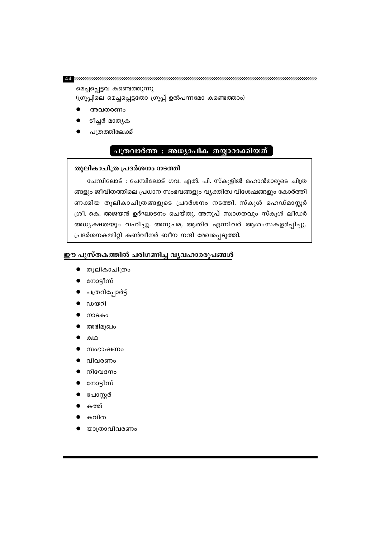11 minimuminimuminimuminimuminimuminimuminimuminimuminimuminimumini

മെച്ചപ്പെട്ടവ കണ്ടെത്തുന്നു (ഗ്രൂപ്പിലെ മെച്ചപ്പെട്ടതോ ഗ്രൂപ്പ് ഉൽപന്നമോ കണ്ടെത്താം)

- അവതരണം
- ടീച്ചർ മാതൃക
- പത്രത്തിലേക്ക്

### പത്രവാർത്ത : അധ്യാപിക തയ്യാറാക്കിയത്

### തുലികാചിത്ര പ്രദർശനം നടത്തി

ചേമ്പിലോട് : ചേമ്പിലോട് ഗവ. എൽ. പി. സ്കൂളിൽ മഹാൻമാരുടെ ചിത്ര ങ്ങളും ജീവിതത്തിലെ പ്രധാന സംഭവങ്ങളും വ്യക്തിത്വ വിശേഷങ്ങളും കോർത്തി ണക്കിയ തൂലികാചിത്രങ്ങളുടെ പ്രദർശനം നടത്തി. സ്കൂൾ ഹെഡ്മാസ്റ്റർ ശ്രീ. കെ. അജയൻ ഉദ്ഘാടനം ചെയ്തു. അനൂപ് സ്വാഗതവും സ്കൂൾ ലീഡർ അധ്യക്ഷതയും വഹിച്ചു. അനുപമ, ആതിര എന്നിവർ ആശംസകളർപ്പിച്ചു. പ്രദർശനകമ്മിറ്റി കൺവീനർ ബീന നന്ദി രേഖപ്പെടുത്തി.

### ഈ പുസ്തകത്തിൽ പരിഗണിച്ച വ്യവഹാരരൂപങ്ങൾ

- തുലികാചിത്രം
- നോട്ടീസ്
- പത്രറിപ്പോർട്ട്
- ഡയറി
- നാടകം
- അഭിമുഖം
- കഥ
- സംഭാഷണം
- വിവരണം
- നിവേദനം
- നോട്ടീസ്
- പോസ്റ്റർ
- കത്ത്
- കവിത
- യാത്രാവിവരണം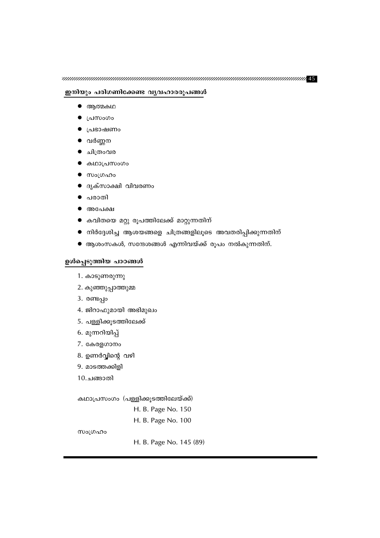### ഇനിയും പരിഗണിക്കേണ്ട വൃവഹാരരൂപങ്ങൾ

- $\bullet$  ആത്മകഥ
- പ്രസംഗം
- പ്രഭാഷണം
- വർണ്ണന
- ചിത്രംവര
- കഥാപ്രസംഗം
- $\bullet$  സംഗ്രഹം
- ദൃക്സാക്ഷി വിവരണം
- പരാതി
- $\bullet$  അപേക്ഷ
- കവിതയെ മറ്റു രൂപത്തിലേക്ക് മാറ്റുന്നതിന്
- $\bullet$  നിർദ്ദേശിച്ച ആശയങ്ങളെ ചിത്രങ്ങളിലൂടെ അവതരിപ്പിക്കുന്നതിന്
- $\bullet$  ആശംസകൾ, സന്ദേശങ്ങൾ എന്നിവയ്ക്ക് രൂപം നൽകുന്നതിന്.

### ഉൾപ്പെടുത്തിയ പാഠങ്ങൾ

- 1. കാടുണരുന്നു
- 2. കുഞ്ഞുപ്പാത്തുമ്മ
- 3. രണ്ടപ്പം
- 4. ജിറാഫുമായി അഭിമുഖം
- 5. പള്ളിക്കൂടത്തിലേക്ക്
- 6. മുന്നറിയിപ്പ്
- 7. കേരളഗാനം
- 8. ഉണർവ്വിന്റെ വഴി
- 9. മാടത്തക്കിളി
- 10.ചങ്ങാതി

കഥാപ്രസംഗം (പള്ളിക്കുടത്തിലേയ്ക്ക്)

```
H. B. Page No. 150
```
H. B. Page No. 100

സംഗ്രഹം

H. B. Page No. 145 (89)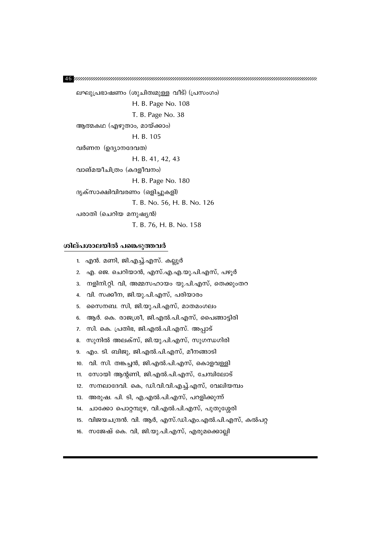ലഘുപ്രഭാഷണം (ശുചിത്വമുള്ള വീട്) (പ്രസംഗം) H. B. Page No. 108 T. B. Page No. 38 ആത്മകഥ (എഴുതാം, മായ്ക്കാം) H. B. 105 വർണന (ഉദ്യാനദേവത) H. B. 41, 42, 43 വാങ്മയീചിത്രം (കദളീവനം) H. B. Page No. 180 ദൃക്സാക്ഷിവിവരണം (ഒളിച്ചുകളി) T. B. No. 56, H. B. No. 126 പരാതി (ചെറിയ മനുഷ്യൻ) T. B. 76, H. B. No. 158

#### ശില്പശാലയിൽ പങ്കെടുത്തവർ

1. എൻ. മണി, ജി.എച്ച്.എസ്. കല്ലൂർ

- 2. എ. ജെ. ചെറിയാൻ, എസ്.എ.എ.യു.പി.എസ്, പഴൂർ
- 3. നളിനി.റ്റി. വി, അമ്മസഹായം യു.പി.എസ്, തെക്കുംതറ
- 4. വി. സക്കീന, ജി.യു.പി.എസ്, പരിയാരം
- 5. സൈനബ. സി, ജി.യു.പി.എസ്, മാതമംഗലം
- ആർ. കെ. രാജശ്രീ, ജി.എൽ.പി.എസ്, പൈങ്ങാട്ടിരി 6.
- സി. കെ. പ്രതിഭ, ജി.എൽ.പി.എസ്. അപ്പാട് 7.
- സുനിൽ അലക്സ്, ജി.യു.പി.എസ്, സുഗന്ധഗിരി 8.
- എം. ടി. ബിജു, ജി.എൽ.പി.എസ്, മീനങ്ങാടി 9.
- വി. സി. തങ്കച്ചൻ, ജി.എൽ.പി.എസ്, കൊളവള്ളി  $10.$
- സോയി ആന്റണി, ജി.എൽ.പി.എസ്, ചേമ്പിലോട്  $11.$
- സനലാദേവി. കെ, ഡി.വി.വി.എച്ച്.എസ്, വേലിയമ്പം  $12.$
- അരുഷ. പി. ടി, എ.എൽ.പി.എസ്, പറളിക്കുന്ന്  $13.$
- ചാക്കോ പൊറ്റമ്പുഴ, വി.എൽ.പി.എസ്, പുതുശ്ശേരി  $14.$
- വിജയചന്ദ്രൻ. വി. ആർ, എസ്.ഡി.എം.എൽ.പി.എസ്, കൽപറ്റ  $15.$
- സജേഷ് കെ. വി, ജി.യു.പി.എസ്, എരുമക്കൊല്ലി  $16.$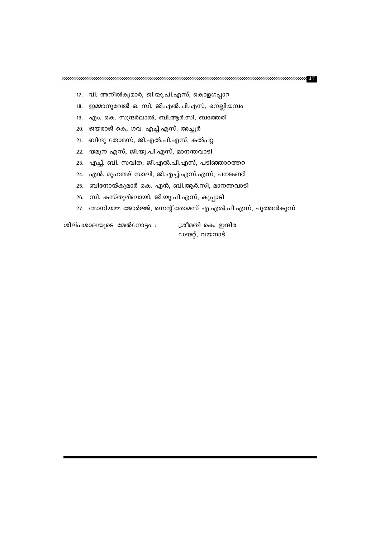- 17. വി. അനിൽകുമാർ, ജി.യു.പി.എസ്, കൊളഗപ്പാറ
- 18. ഇമ്മാനുവേൽ ഒ. സി, ജി.എൽ.പി.എസ്, നെല്ലിയമ്പം
- 19. എം. കെ. സുന്ദർലാൽ, ബി.ആർ.സി, ബത്തേരി
- 20. ജയരാജ് കെ, ഗവ. എച്ച്.എസ്. അച്ചൂർ
- 21. ബിന്ദു തോമസ്, ജി.എൽ.പി.എസ്, കൽപറ്റ
- 22. യമുന എസ്, ജി.യു.പി.എസ്, മാനന്തവാടി
- 23. എച്ച്. ബി. സവിത, ജി.എൽ.പി.എസ്, പടിഞ്ഞാറത്തറ
- 24. എൻ. മുഹമ്മദ് സാലി, ജി.എച്ച്.എസ്.എസ്, പനങ്കണ്ടി
- 25. ബിനോയ്കുമാർ കെ. എൻ, ബി.ആർ.സി, മാനന്തവാടി
- 26. സി. കസ്തൂരിബായി, ജി.യു.പി.എസ്, കുപ്പാടി
- 27. മോനിയമ്മ ജോർജ്ജ്, സെന്റ്തോമസ് എ.എൽ.പി.എസ്, പുത്തൻകുന്ന്

ശില്പശാലയുടെ മേൽനോട്ടം :

ശ്രീമതി കെ. ഇന്ദിര ഡയറ്റ്, വയനാട്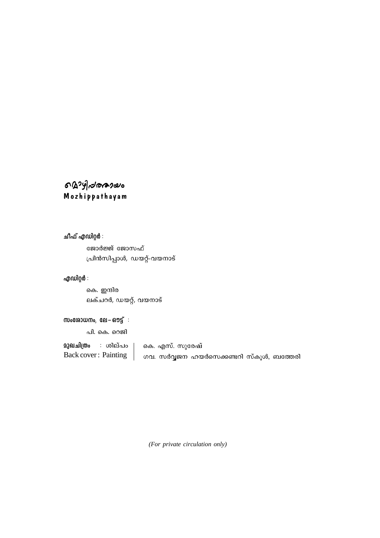### ดาวๆ ของควย Mozhippathayam

ചീഫ് എഡിറ്റർ **:** 

ജോർജ്ജ് ജോസഫ് ്പിൻസിപ്പാൾ, ഡയറ്റ്-വയനാട്

### **എഡിറ്റർ**:

കെ. ഇന്ദിര ലക്ചറർ, ഡയറ്റ്, വയനാട്

### **സം**രോധനം, ലേ–ഔട്ട് :

പി. കെ. റെജി

 $\mathbf{a}$ 3 ചിത്രം : ശില്പം Back cover : Painting കെ. എസ്. സുരേഷ് ഗവ. സർവ്വജന ഹയർസെക്കണ്ടറി സ്കൂൾ, ബത്തേരി

*(For private circulation only)*